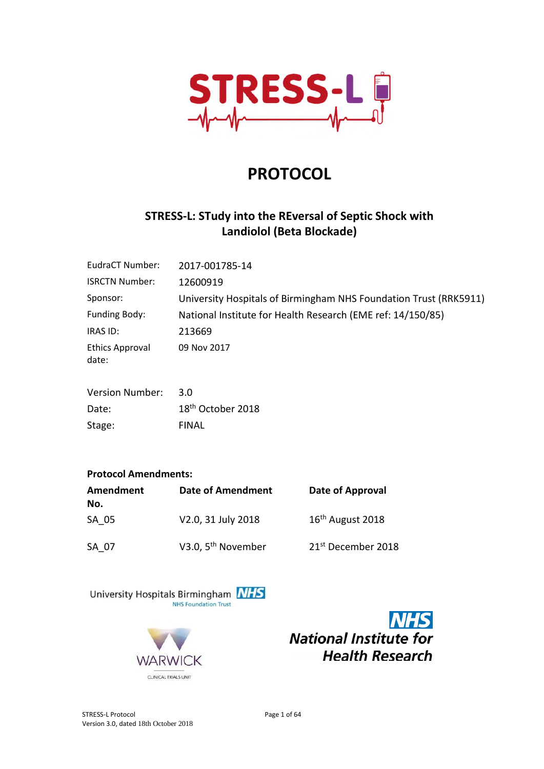

# **PROTOCOL**

# **STRESS-L: STudy into the REversal of Septic Shock with Landiolol (Beta Blockade)**

| EudraCT Number:                 | 2017-001785-14                                                    |
|---------------------------------|-------------------------------------------------------------------|
| <b>ISRCTN Number:</b>           | 12600919                                                          |
| Sponsor:                        | University Hospitals of Birmingham NHS Foundation Trust (RRK5911) |
| Funding Body:                   | National Institute for Health Research (EME ref: 14/150/85)       |
| IRAS ID:                        | 213669                                                            |
| <b>Ethics Approval</b><br>date: | 09 Nov 2017                                                       |

| <b>Version Number:</b> | 3.O                           |
|------------------------|-------------------------------|
| Date:                  | 18 <sup>th</sup> October 2018 |
| Stage:                 | <b>FINAL</b>                  |

#### **Protocol Amendments:**

| Amendment<br>No. | <b>Date of Amendment</b>       | Date of Approval               |
|------------------|--------------------------------|--------------------------------|
| SA 05            | V2.0, 31 July 2018             | 16 <sup>th</sup> August 2018   |
| SA 07            | V3.0, 5 <sup>th</sup> November | 21 <sup>st</sup> December 2018 |





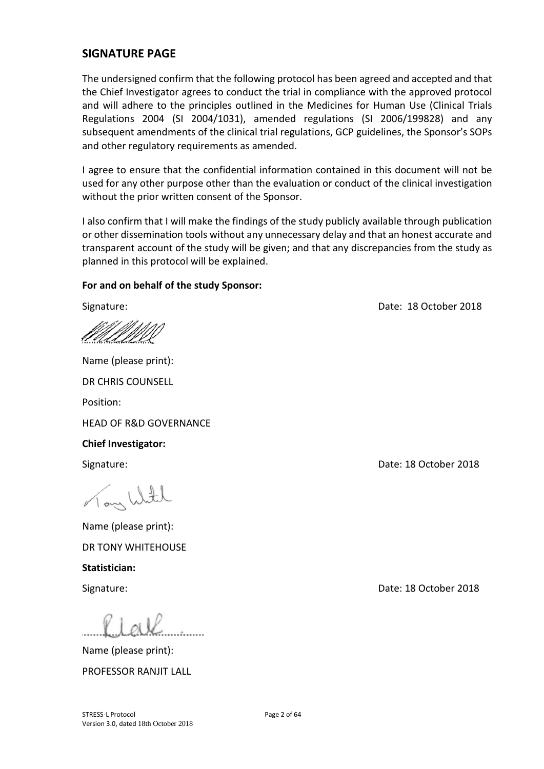#### **SIGNATURE PAGE**

The undersigned confirm that the following protocol has been agreed and accepted and that the Chief Investigator agrees to conduct the trial in compliance with the approved protocol and will adhere to the principles outlined in the Medicines for Human Use (Clinical Trials Regulations 2004 (SI 2004/1031), amended regulations (SI 2006/199828) and any subsequent amendments of the clinical trial regulations, GCP guidelines, the Sponsor's SOPs and other regulatory requirements as amended.

I agree to ensure that the confidential information contained in this document will not be used for any other purpose other than the evaluation or conduct of the clinical investigation without the prior written consent of the Sponsor.

I also confirm that I will make the findings of the study publicly available through publication or other dissemination tools without any unnecessary delay and that an honest accurate and transparent account of the study will be given; and that any discrepancies from the study as planned in this protocol will be explained.

#### **For and on behalf of the study Sponsor:**

Name (please print): DR CHRIS COUNSELL Position: HEAD OF R&D GOVERNANCE **Chief Investigator:**  Signature: Date: 18 October 2018 Nony With Name (please print):

DR TONY WHITEHOUSE **Statistician:** 

Name (please print): PROFESSOR RANJIT LALL

Signature: Date: 18 October 2018

Signature: Date: 18 October 2018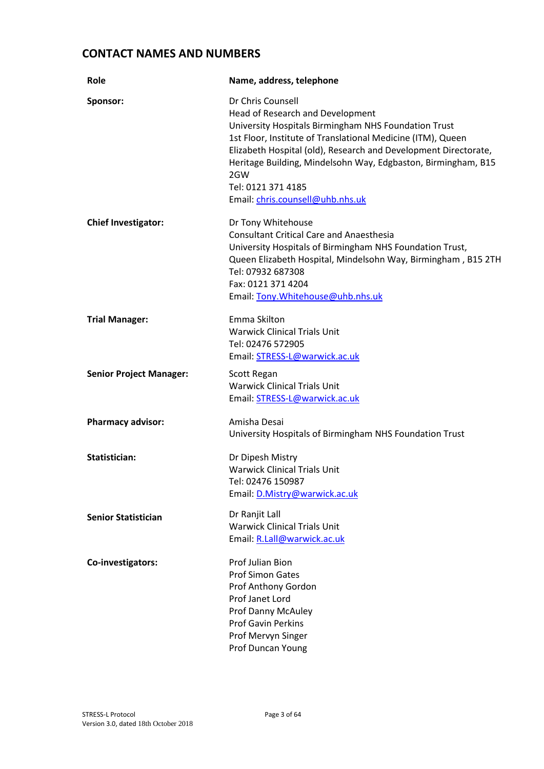## **CONTACT NAMES AND NUMBERS**

| Role                           | Name, address, telephone                                                                                                                                                                                                                                                                                                                                                          |
|--------------------------------|-----------------------------------------------------------------------------------------------------------------------------------------------------------------------------------------------------------------------------------------------------------------------------------------------------------------------------------------------------------------------------------|
| Sponsor:                       | Dr Chris Counsell<br>Head of Research and Development<br>University Hospitals Birmingham NHS Foundation Trust<br>1st Floor, Institute of Translational Medicine (ITM), Queen<br>Elizabeth Hospital (old), Research and Development Directorate,<br>Heritage Building, Mindelsohn Way, Edgbaston, Birmingham, B15<br>2GW<br>Tel: 0121 371 4185<br>Email: chris.counsell@uhb.nhs.uk |
| <b>Chief Investigator:</b>     | Dr Tony Whitehouse<br><b>Consultant Critical Care and Anaesthesia</b><br>University Hospitals of Birmingham NHS Foundation Trust,<br>Queen Elizabeth Hospital, Mindelsohn Way, Birmingham, B15 2TH<br>Tel: 07932 687308<br>Fax: 0121 371 4204<br>Email: Tony. Whitehouse@uhb.nhs.uk                                                                                               |
| <b>Trial Manager:</b>          | Emma Skilton<br><b>Warwick Clinical Trials Unit</b><br>Tel: 02476 572905<br>Email: STRESS-L@warwick.ac.uk                                                                                                                                                                                                                                                                         |
| <b>Senior Project Manager:</b> | Scott Regan<br><b>Warwick Clinical Trials Unit</b><br>Email: STRESS-L@warwick.ac.uk                                                                                                                                                                                                                                                                                               |
| <b>Pharmacy advisor:</b>       | Amisha Desai<br>University Hospitals of Birmingham NHS Foundation Trust                                                                                                                                                                                                                                                                                                           |
| Statistician:                  | Dr Dipesh Mistry<br><b>Warwick Clinical Trials Unit</b><br>Tel: 02476 150987<br>Email: D.Mistry@warwick.ac.uk                                                                                                                                                                                                                                                                     |
| <b>Senior Statistician</b>     | Dr Ranjit Lall<br><b>Warwick Clinical Trials Unit</b><br>Email: R.Lall@warwick.ac.uk                                                                                                                                                                                                                                                                                              |
| Co-investigators:              | Prof Julian Bion<br><b>Prof Simon Gates</b><br>Prof Anthony Gordon<br>Prof Janet Lord<br>Prof Danny McAuley<br><b>Prof Gavin Perkins</b><br>Prof Mervyn Singer<br>Prof Duncan Young                                                                                                                                                                                               |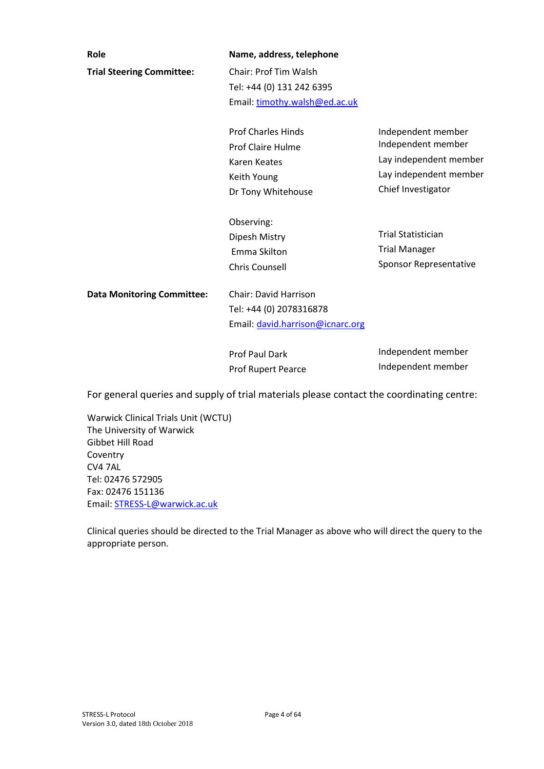| Role                              | Name, address, telephone         |                           |
|-----------------------------------|----------------------------------|---------------------------|
| <b>Trial Steering Committee:</b>  | <b>Chair: Prof Tim Walsh</b>     |                           |
|                                   | Tel: +44 (0) 131 242 6395        |                           |
|                                   | Email: timothy.walsh@ed.ac.uk    |                           |
|                                   | <b>Prof Charles Hinds</b>        | Independent member        |
|                                   | Prof Claire Hulme                | Independent member        |
|                                   | Karen Keates                     | Lay independent member    |
|                                   | Keith Young                      | Lay independent member    |
|                                   | Dr Tony Whitehouse               | Chief Investigator        |
|                                   | Observing:                       |                           |
|                                   | Dipesh Mistry                    | <b>Trial Statistician</b> |
|                                   | Emma Skilton                     | <b>Trial Manager</b>      |
|                                   | <b>Chris Counsell</b>            | Sponsor Representative    |
| <b>Data Monitoring Committee:</b> | <b>Chair: David Harrison</b>     |                           |
|                                   | Tel: +44 (0) 2078316878          |                           |
|                                   | Email: david.harrison@icnarc.org |                           |
|                                   | <b>Prof Paul Dark</b>            | Independent member        |
|                                   | <b>Prof Runert Pearce</b>        | Independent member        |

For general queries and supply of trial materials please contact the coordinating centre:

Prof Rupert Pearce

Warwick Clinical Trials Unit (WCTU) The University of Warwick Gibbet Hill Road Coventry CV4 7AL Tel: 02476 572905 Fax: 02476 151136 Email: STRESS-L@warwick.ac.uk

Clinical queries should be directed to the Trial Manager as above who will direct the query to the appropriate person.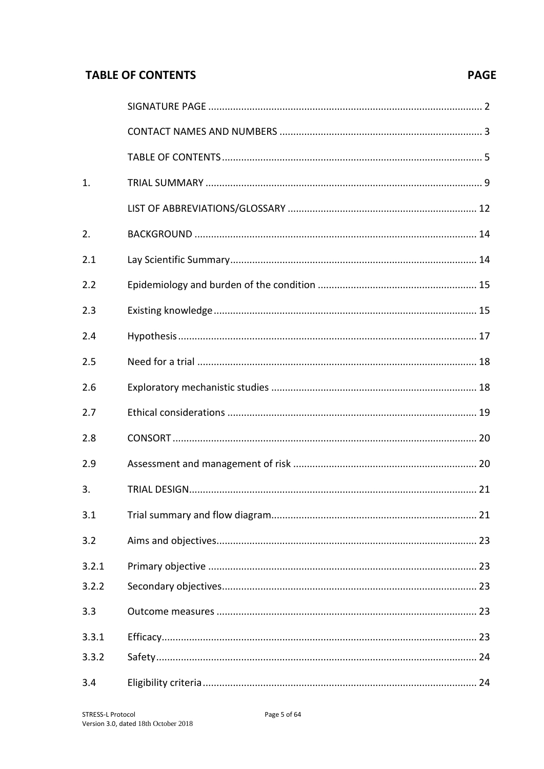# **TABLE OF CONTENTS**

# **PAGE**

| 1.    |    |  |
|-------|----|--|
|       |    |  |
| 2.    |    |  |
| 2.1   |    |  |
| 2.2   |    |  |
| 2.3   |    |  |
| 2.4   |    |  |
| 2.5   |    |  |
| 2.6   |    |  |
| 2.7   |    |  |
| 2.8   |    |  |
| 2.9   |    |  |
| 3.    |    |  |
| 3.1   |    |  |
| 3.2   |    |  |
| 3.2.1 |    |  |
| 3.2.2 |    |  |
| 3.3   |    |  |
| 3.3.1 |    |  |
| 3.3.2 | 24 |  |
| 3.4   |    |  |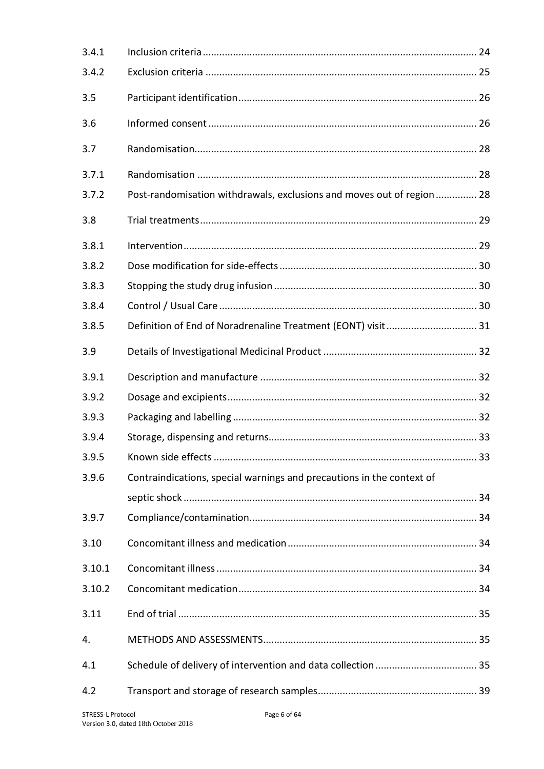| 3.4.1  |                                                                       |  |
|--------|-----------------------------------------------------------------------|--|
| 3.4.2  |                                                                       |  |
| 3.5    |                                                                       |  |
| 3.6    |                                                                       |  |
| 3.7    |                                                                       |  |
| 3.7.1  |                                                                       |  |
| 3.7.2  | Post-randomisation withdrawals, exclusions and moves out of region 28 |  |
| 3.8    |                                                                       |  |
| 3.8.1  |                                                                       |  |
| 3.8.2  |                                                                       |  |
| 3.8.3  |                                                                       |  |
| 3.8.4  |                                                                       |  |
| 3.8.5  |                                                                       |  |
| 3.9    |                                                                       |  |
| 3.9.1  |                                                                       |  |
| 3.9.2  |                                                                       |  |
| 3.9.3  |                                                                       |  |
| 3.9.4  |                                                                       |  |
| 3.9.5  |                                                                       |  |
| 3.9.6  | Contraindications, special warnings and precautions in the context of |  |
|        |                                                                       |  |
| 3.9.7  |                                                                       |  |
| 3.10   |                                                                       |  |
| 3.10.1 |                                                                       |  |
| 3.10.2 |                                                                       |  |
| 3.11   |                                                                       |  |
| 4.     |                                                                       |  |
| 4.1    |                                                                       |  |
| 4.2    |                                                                       |  |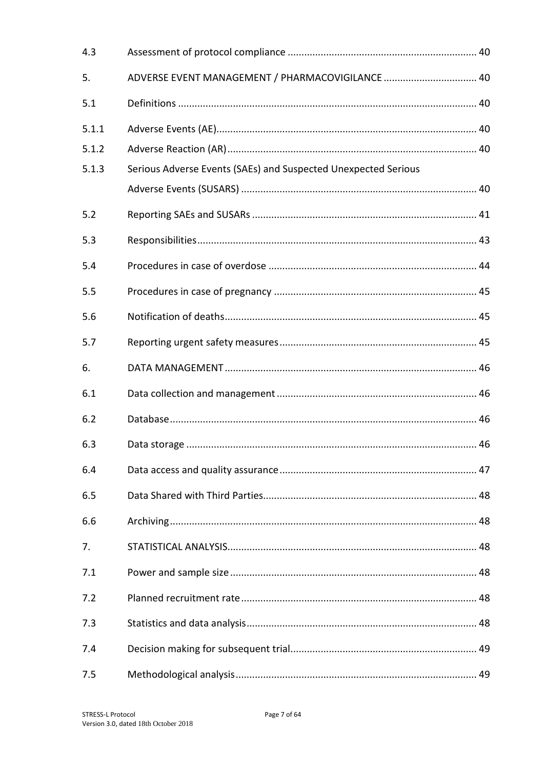| 4.3   |                                                                |  |
|-------|----------------------------------------------------------------|--|
| 5.    | ADVERSE EVENT MANAGEMENT / PHARMACOVIGILANCE  40               |  |
| 5.1   |                                                                |  |
| 5.1.1 |                                                                |  |
| 5.1.2 |                                                                |  |
| 5.1.3 | Serious Adverse Events (SAEs) and Suspected Unexpected Serious |  |
|       |                                                                |  |
| 5.2   |                                                                |  |
| 5.3   |                                                                |  |
| 5.4   |                                                                |  |
| 5.5   |                                                                |  |
| 5.6   |                                                                |  |
| 5.7   |                                                                |  |
| 6.    |                                                                |  |
| 6.1   |                                                                |  |
| 6.2   |                                                                |  |
| 6.3   |                                                                |  |
| 6.4   |                                                                |  |
| 6.5   |                                                                |  |
| 6.6   |                                                                |  |
| 7.    |                                                                |  |
| 7.1   |                                                                |  |
| 7.2   |                                                                |  |
| 7.3   |                                                                |  |
| 7.4   |                                                                |  |
| 7.5   |                                                                |  |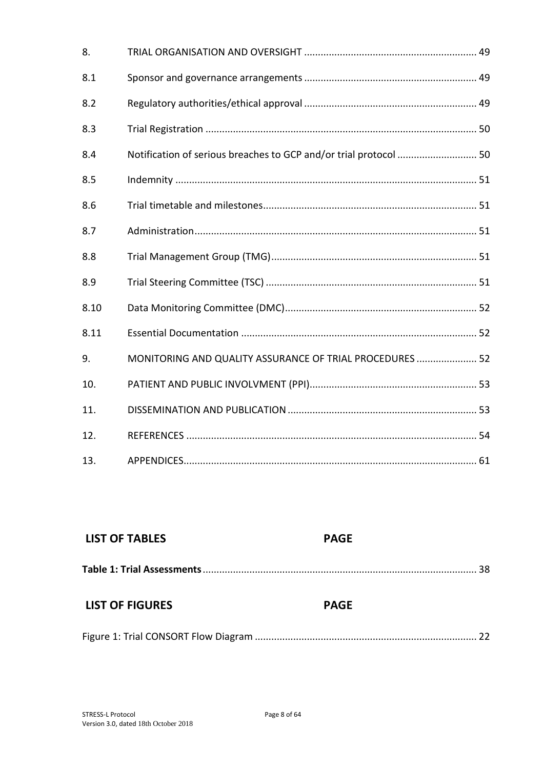| 8.   |                                                          |  |
|------|----------------------------------------------------------|--|
| 8.1  |                                                          |  |
| 8.2  |                                                          |  |
| 8.3  |                                                          |  |
| 8.4  |                                                          |  |
| 8.5  |                                                          |  |
| 8.6  |                                                          |  |
| 8.7  |                                                          |  |
| 8.8  |                                                          |  |
| 8.9  |                                                          |  |
| 8.10 |                                                          |  |
| 8.11 |                                                          |  |
| 9.   | MONITORING AND QUALITY ASSURANCE OF TRIAL PROCEDURES  52 |  |
| 10.  |                                                          |  |
| 11.  |                                                          |  |
| 12.  |                                                          |  |
| 13.  |                                                          |  |

| <b>LIST OF TABLES</b>  | <b>PAGE</b> |
|------------------------|-------------|
|                        |             |
| <b>LIST OF FIGURES</b> | <b>PAGE</b> |
|                        |             |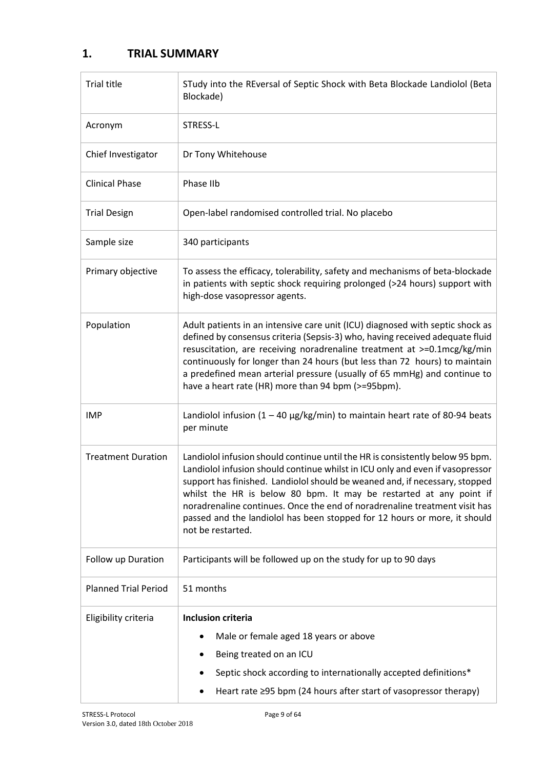# **1. TRIAL SUMMARY**

| <b>Trial title</b>          | STudy into the REversal of Septic Shock with Beta Blockade Landiolol (Beta<br>Blockade)                                                                                                                                                                                                                                                                                                                                                                                                             |
|-----------------------------|-----------------------------------------------------------------------------------------------------------------------------------------------------------------------------------------------------------------------------------------------------------------------------------------------------------------------------------------------------------------------------------------------------------------------------------------------------------------------------------------------------|
| Acronym                     | STRESS-L                                                                                                                                                                                                                                                                                                                                                                                                                                                                                            |
| Chief Investigator          | Dr Tony Whitehouse                                                                                                                                                                                                                                                                                                                                                                                                                                                                                  |
| <b>Clinical Phase</b>       | Phase IIb                                                                                                                                                                                                                                                                                                                                                                                                                                                                                           |
| <b>Trial Design</b>         | Open-label randomised controlled trial. No placebo                                                                                                                                                                                                                                                                                                                                                                                                                                                  |
| Sample size                 | 340 participants                                                                                                                                                                                                                                                                                                                                                                                                                                                                                    |
| Primary objective           | To assess the efficacy, tolerability, safety and mechanisms of beta-blockade<br>in patients with septic shock requiring prolonged (>24 hours) support with<br>high-dose vasopressor agents.                                                                                                                                                                                                                                                                                                         |
| Population                  | Adult patients in an intensive care unit (ICU) diagnosed with septic shock as<br>defined by consensus criteria (Sepsis-3) who, having received adequate fluid<br>resuscitation, are receiving noradrenaline treatment at >=0.1mcg/kg/min<br>continuously for longer than 24 hours (but less than 72 hours) to maintain<br>a predefined mean arterial pressure (usually of 65 mmHg) and continue to<br>have a heart rate (HR) more than 94 bpm (>=95bpm).                                            |
| <b>IMP</b>                  | Landiolol infusion $(1 - 40 \mu g/kg/min)$ to maintain heart rate of 80-94 beats<br>per minute                                                                                                                                                                                                                                                                                                                                                                                                      |
| <b>Treatment Duration</b>   | Landiolol infusion should continue until the HR is consistently below 95 bpm.<br>Landiolol infusion should continue whilst in ICU only and even if vasopressor<br>support has finished. Landiolol should be weaned and, if necessary, stopped<br>whilst the HR is below 80 bpm. It may be restarted at any point if<br>noradrenaline continues. Once the end of noradrenaline treatment visit has<br>passed and the landiolol has been stopped for 12 hours or more, it should<br>not be restarted. |
| Follow up Duration          | Participants will be followed up on the study for up to 90 days                                                                                                                                                                                                                                                                                                                                                                                                                                     |
| <b>Planned Trial Period</b> | 51 months                                                                                                                                                                                                                                                                                                                                                                                                                                                                                           |
| Eligibility criteria        | <b>Inclusion criteria</b>                                                                                                                                                                                                                                                                                                                                                                                                                                                                           |
|                             | Male or female aged 18 years or above                                                                                                                                                                                                                                                                                                                                                                                                                                                               |
|                             | Being treated on an ICU                                                                                                                                                                                                                                                                                                                                                                                                                                                                             |
|                             | Septic shock according to internationally accepted definitions*                                                                                                                                                                                                                                                                                                                                                                                                                                     |
|                             | Heart rate ≥95 bpm (24 hours after start of vasopressor therapy)                                                                                                                                                                                                                                                                                                                                                                                                                                    |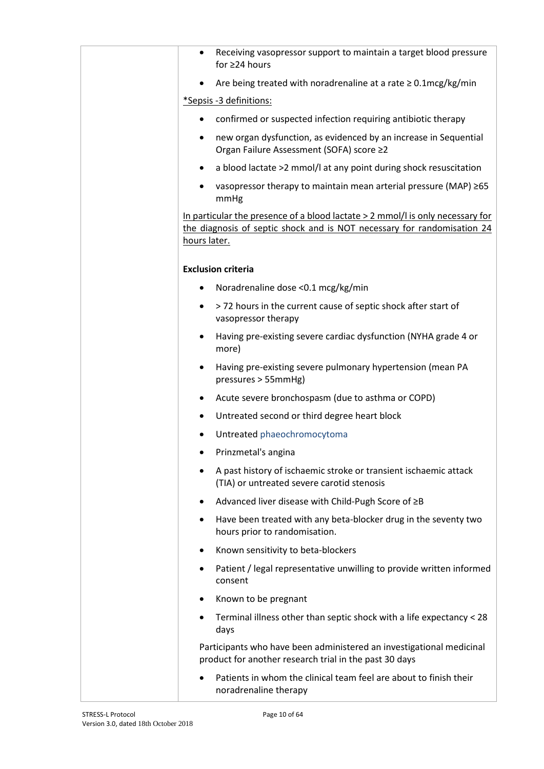| Receiving vasopressor support to maintain a target blood pressure<br>$\bullet$<br>for $\geq$ 24 hours                                                                       |
|-----------------------------------------------------------------------------------------------------------------------------------------------------------------------------|
| Are being treated with noradrenaline at a rate $\geq 0.1$ mcg/kg/min                                                                                                        |
| *Sepsis -3 definitions:                                                                                                                                                     |
| confirmed or suspected infection requiring antibiotic therapy<br>$\bullet$                                                                                                  |
| new organ dysfunction, as evidenced by an increase in Sequential<br>٠<br>Organ Failure Assessment (SOFA) score ≥2                                                           |
| a blood lactate >2 mmol/l at any point during shock resuscitation<br>$\bullet$                                                                                              |
| vasopressor therapy to maintain mean arterial pressure (MAP) $\geq 65$<br>mmHg                                                                                              |
| In particular the presence of a blood lactate $> 2$ mmol/l is only necessary for<br>the diagnosis of septic shock and is NOT necessary for randomisation 24<br>hours later. |
| <b>Exclusion criteria</b>                                                                                                                                                   |
| Noradrenaline dose < 0.1 mcg/kg/min<br>٠                                                                                                                                    |
| >72 hours in the current cause of septic shock after start of<br>٠<br>vasopressor therapy                                                                                   |
| Having pre-existing severe cardiac dysfunction (NYHA grade 4 or<br>٠<br>more)                                                                                               |
| Having pre-existing severe pulmonary hypertension (mean PA<br>$\bullet$<br>pressures > 55mmHg)                                                                              |
| Acute severe bronchospasm (due to asthma or COPD)<br>٠                                                                                                                      |
| Untreated second or third degree heart block<br>٠                                                                                                                           |
| Untreated phaeochromocytoma                                                                                                                                                 |
| Prinzmetal's angina                                                                                                                                                         |
| A past history of ischaemic stroke or transient ischaemic attack<br>(TIA) or untreated severe carotid stenosis                                                              |
| Advanced liver disease with Child-Pugh Score of ≥B<br>٠                                                                                                                     |
| Have been treated with any beta-blocker drug in the seventy two<br>$\bullet$<br>hours prior to randomisation.                                                               |
| Known sensitivity to beta-blockers                                                                                                                                          |
| Patient / legal representative unwilling to provide written informed<br>٠<br>consent                                                                                        |
| Known to be pregnant                                                                                                                                                        |
| Terminal illness other than septic shock with a life expectancy < 28<br>$\bullet$<br>days                                                                                   |
| Participants who have been administered an investigational medicinal<br>product for another research trial in the past 30 days                                              |
| Patients in whom the clinical team feel are about to finish their<br>noradrenaline therapy                                                                                  |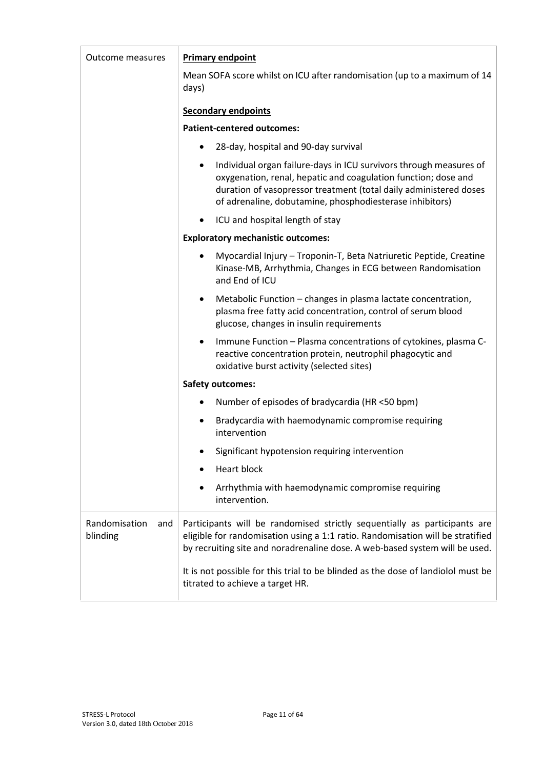| Outcome measures                 | <b>Primary endpoint</b>                                                                                                                                                                                                                                                            |
|----------------------------------|------------------------------------------------------------------------------------------------------------------------------------------------------------------------------------------------------------------------------------------------------------------------------------|
|                                  | Mean SOFA score whilst on ICU after randomisation (up to a maximum of 14<br>days)                                                                                                                                                                                                  |
|                                  | <b>Secondary endpoints</b>                                                                                                                                                                                                                                                         |
|                                  | <b>Patient-centered outcomes:</b>                                                                                                                                                                                                                                                  |
|                                  | 28-day, hospital and 90-day survival<br>٠                                                                                                                                                                                                                                          |
|                                  | Individual organ failure-days in ICU survivors through measures of<br>$\bullet$<br>oxygenation, renal, hepatic and coagulation function; dose and<br>duration of vasopressor treatment (total daily administered doses<br>of adrenaline, dobutamine, phosphodiesterase inhibitors) |
|                                  | ICU and hospital length of stay                                                                                                                                                                                                                                                    |
|                                  | <b>Exploratory mechanistic outcomes:</b>                                                                                                                                                                                                                                           |
|                                  | Myocardial Injury - Troponin-T, Beta Natriuretic Peptide, Creatine<br>Kinase-MB, Arrhythmia, Changes in ECG between Randomisation<br>and End of ICU                                                                                                                                |
|                                  | Metabolic Function - changes in plasma lactate concentration,<br>$\bullet$<br>plasma free fatty acid concentration, control of serum blood<br>glucose, changes in insulin requirements                                                                                             |
|                                  | Immune Function - Plasma concentrations of cytokines, plasma C-<br>$\bullet$<br>reactive concentration protein, neutrophil phagocytic and<br>oxidative burst activity (selected sites)                                                                                             |
|                                  | <b>Safety outcomes:</b>                                                                                                                                                                                                                                                            |
|                                  | Number of episodes of bradycardia (HR <50 bpm)                                                                                                                                                                                                                                     |
|                                  | Bradycardia with haemodynamic compromise requiring<br>٠<br>intervention                                                                                                                                                                                                            |
|                                  | Significant hypotension requiring intervention                                                                                                                                                                                                                                     |
|                                  | Heart block                                                                                                                                                                                                                                                                        |
|                                  | Arrhythmia with haemodynamic compromise requiring<br>intervention.                                                                                                                                                                                                                 |
| Randomisation<br>and<br>blinding | Participants will be randomised strictly sequentially as participants are<br>eligible for randomisation using a 1:1 ratio. Randomisation will be stratified<br>by recruiting site and noradrenaline dose. A web-based system will be used.                                         |
|                                  | It is not possible for this trial to be blinded as the dose of landiolol must be<br>titrated to achieve a target HR.                                                                                                                                                               |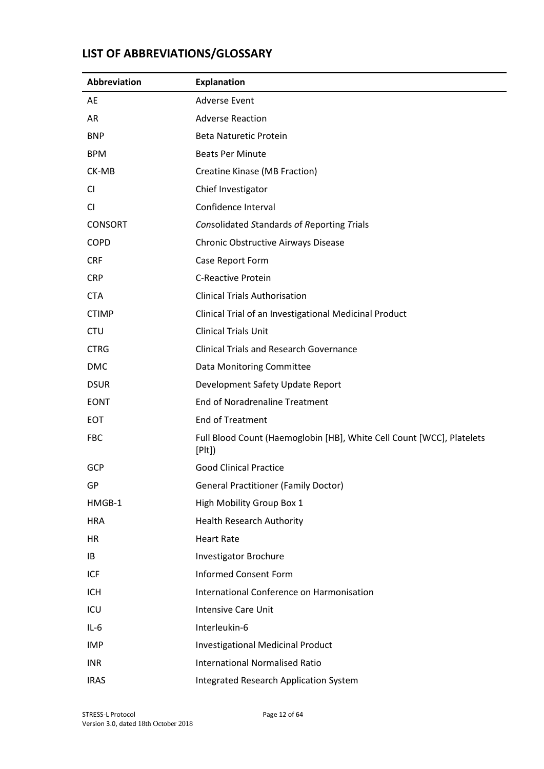# **LIST OF ABBREVIATIONS/GLOSSARY**

| <b>Abbreviation</b> | <b>Explanation</b>                                                             |
|---------------------|--------------------------------------------------------------------------------|
| AE                  | <b>Adverse Event</b>                                                           |
| AR                  | <b>Adverse Reaction</b>                                                        |
| <b>BNP</b>          | <b>Beta Naturetic Protein</b>                                                  |
| <b>BPM</b>          | <b>Beats Per Minute</b>                                                        |
| CK-MB               | Creatine Kinase (MB Fraction)                                                  |
| CI                  | Chief Investigator                                                             |
| CI                  | Confidence Interval                                                            |
| <b>CONSORT</b>      | <b>Consolidated Standards of Reporting Trials</b>                              |
| <b>COPD</b>         | Chronic Obstructive Airways Disease                                            |
| <b>CRF</b>          | Case Report Form                                                               |
| <b>CRP</b>          | <b>C-Reactive Protein</b>                                                      |
| <b>CTA</b>          | <b>Clinical Trials Authorisation</b>                                           |
| <b>CTIMP</b>        | Clinical Trial of an Investigational Medicinal Product                         |
| <b>CTU</b>          | <b>Clinical Trials Unit</b>                                                    |
| <b>CTRG</b>         | <b>Clinical Trials and Research Governance</b>                                 |
| <b>DMC</b>          | Data Monitoring Committee                                                      |
| <b>DSUR</b>         | Development Safety Update Report                                               |
| <b>EONT</b>         | <b>End of Noradrenaline Treatment</b>                                          |
| <b>EOT</b>          | <b>End of Treatment</b>                                                        |
| <b>FBC</b>          | Full Blood Count (Haemoglobin [HB], White Cell Count [WCC], Platelets<br>[Plt] |
| <b>GCP</b>          | <b>Good Clinical Practice</b>                                                  |
| GP                  | <b>General Practitioner (Family Doctor)</b>                                    |
| HMGB-1              | High Mobility Group Box 1                                                      |
| <b>HRA</b>          | <b>Health Research Authority</b>                                               |
| HR                  | <b>Heart Rate</b>                                                              |
| IB                  | <b>Investigator Brochure</b>                                                   |
| <b>ICF</b>          | <b>Informed Consent Form</b>                                                   |
| <b>ICH</b>          | International Conference on Harmonisation                                      |
| ICU                 | <b>Intensive Care Unit</b>                                                     |
| $IL-6$              | Interleukin-6                                                                  |
| <b>IMP</b>          | <b>Investigational Medicinal Product</b>                                       |
| <b>INR</b>          | <b>International Normalised Ratio</b>                                          |
| <b>IRAS</b>         | <b>Integrated Research Application System</b>                                  |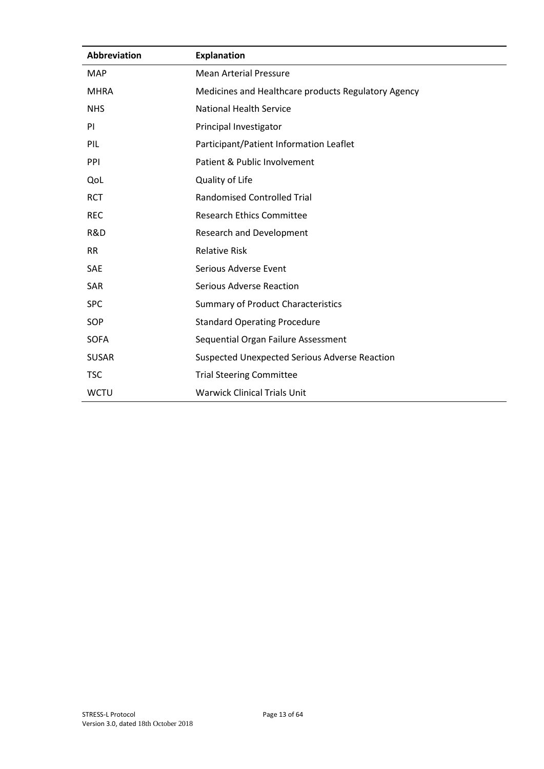| <b>Abbreviation</b> | <b>Explanation</b>                                   |
|---------------------|------------------------------------------------------|
| <b>MAP</b>          | <b>Mean Arterial Pressure</b>                        |
| <b>MHRA</b>         | Medicines and Healthcare products Regulatory Agency  |
| <b>NHS</b>          | <b>National Health Service</b>                       |
| <b>PI</b>           | Principal Investigator                               |
| PIL                 | Participant/Patient Information Leaflet              |
| PPI                 | Patient & Public Involvement                         |
| QoL                 | Quality of Life                                      |
| <b>RCT</b>          | <b>Randomised Controlled Trial</b>                   |
| <b>REC</b>          | <b>Research Ethics Committee</b>                     |
| R&D                 | Research and Development                             |
| <b>RR</b>           | <b>Relative Risk</b>                                 |
| <b>SAE</b>          | Serious Adverse Event                                |
| <b>SAR</b>          | <b>Serious Adverse Reaction</b>                      |
| <b>SPC</b>          | <b>Summary of Product Characteristics</b>            |
| SOP                 | <b>Standard Operating Procedure</b>                  |
| <b>SOFA</b>         | Sequential Organ Failure Assessment                  |
| <b>SUSAR</b>        | <b>Suspected Unexpected Serious Adverse Reaction</b> |
| <b>TSC</b>          | <b>Trial Steering Committee</b>                      |
| <b>WCTU</b>         | <b>Warwick Clinical Trials Unit</b>                  |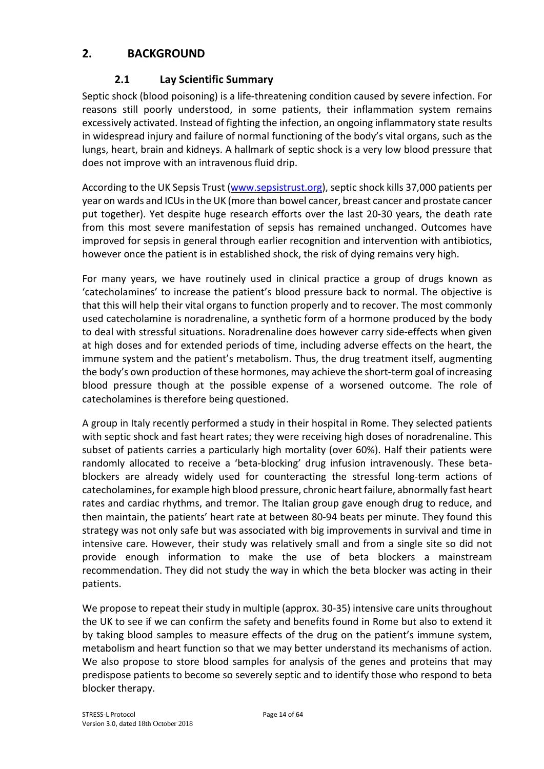# **2. BACKGROUND**

## **2.1 Lay Scientific Summary**

Septic shock (blood poisoning) is a life-threatening condition caused by severe infection. For reasons still poorly understood, in some patients, their inflammation system remains excessively activated. Instead of fighting the infection, an ongoing inflammatory state results in widespread injury and failure of normal functioning of the body's vital organs, such as the lungs, heart, brain and kidneys. A hallmark of septic shock is a very low blood pressure that does not improve with an intravenous fluid drip.

According to the UK Sepsis Trust (www.sepsistrust.org), septic shock kills 37,000 patients per year on wards and ICUs in the UK (more than bowel cancer, breast cancer and prostate cancer put together). Yet despite huge research efforts over the last 20-30 years, the death rate from this most severe manifestation of sepsis has remained unchanged. Outcomes have improved for sepsis in general through earlier recognition and intervention with antibiotics, however once the patient is in established shock, the risk of dying remains very high.

For many years, we have routinely used in clinical practice a group of drugs known as 'catecholamines' to increase the patient's blood pressure back to normal. The objective is that this will help their vital organs to function properly and to recover. The most commonly used catecholamine is noradrenaline, a synthetic form of a hormone produced by the body to deal with stressful situations. Noradrenaline does however carry side-effects when given at high doses and for extended periods of time, including adverse effects on the heart, the immune system and the patient's metabolism. Thus, the drug treatment itself, augmenting the body's own production of these hormones, may achieve the short-term goal of increasing blood pressure though at the possible expense of a worsened outcome. The role of catecholamines is therefore being questioned.

A group in Italy recently performed a study in their hospital in Rome. They selected patients with septic shock and fast heart rates; they were receiving high doses of noradrenaline. This subset of patients carries a particularly high mortality (over 60%). Half their patients were randomly allocated to receive a 'beta-blocking' drug infusion intravenously. These betablockers are already widely used for counteracting the stressful long-term actions of catecholamines, for example high blood pressure, chronic heart failure, abnormally fast heart rates and cardiac rhythms, and tremor. The Italian group gave enough drug to reduce, and then maintain, the patients' heart rate at between 80-94 beats per minute. They found this strategy was not only safe but was associated with big improvements in survival and time in intensive care. However, their study was relatively small and from a single site so did not provide enough information to make the use of beta blockers a mainstream recommendation. They did not study the way in which the beta blocker was acting in their patients.

We propose to repeat their study in multiple (approx. 30-35) intensive care units throughout the UK to see if we can confirm the safety and benefits found in Rome but also to extend it by taking blood samples to measure effects of the drug on the patient's immune system, metabolism and heart function so that we may better understand its mechanisms of action. We also propose to store blood samples for analysis of the genes and proteins that may predispose patients to become so severely septic and to identify those who respond to beta blocker therapy.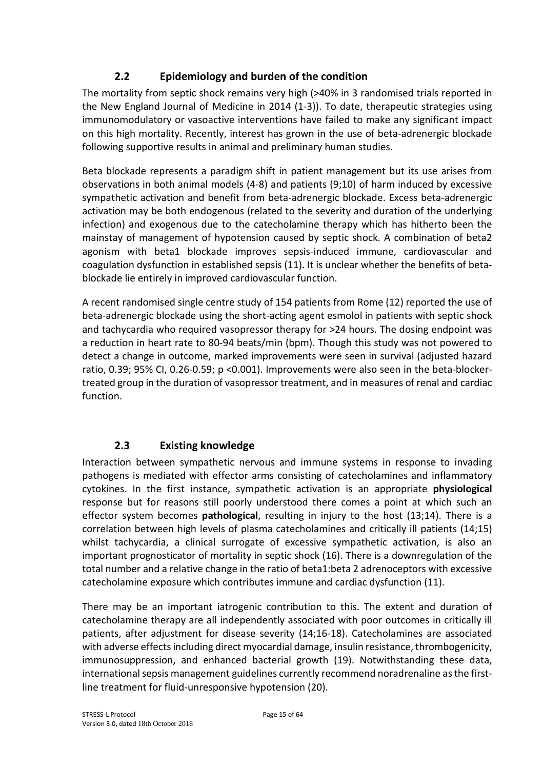## **2.2 Epidemiology and burden of the condition**

The mortality from septic shock remains very high (>40% in 3 randomised trials reported in the New England Journal of Medicine in 2014 (1-3)). To date, therapeutic strategies using immunomodulatory or vasoactive interventions have failed to make any significant impact on this high mortality. Recently, interest has grown in the use of beta-adrenergic blockade following supportive results in animal and preliminary human studies.

Beta blockade represents a paradigm shift in patient management but its use arises from observations in both animal models (4-8) and patients (9;10) of harm induced by excessive sympathetic activation and benefit from beta-adrenergic blockade. Excess beta-adrenergic activation may be both endogenous (related to the severity and duration of the underlying infection) and exogenous due to the catecholamine therapy which has hitherto been the mainstay of management of hypotension caused by septic shock. A combination of beta2 agonism with beta1 blockade improves sepsis-induced immune, cardiovascular and coagulation dysfunction in established sepsis (11). It is unclear whether the benefits of betablockade lie entirely in improved cardiovascular function.

A recent randomised single centre study of 154 patients from Rome (12) reported the use of beta-adrenergic blockade using the short-acting agent esmolol in patients with septic shock and tachycardia who required vasopressor therapy for >24 hours. The dosing endpoint was a reduction in heart rate to 80-94 beats/min (bpm). Though this study was not powered to detect a change in outcome, marked improvements were seen in survival (adjusted hazard ratio, 0.39; 95% CI, 0.26-0.59; p <0.001). Improvements were also seen in the beta-blockertreated group in the duration of vasopressor treatment, and in measures of renal and cardiac function.

## **2.3 Existing knowledge**

Interaction between sympathetic nervous and immune systems in response to invading pathogens is mediated with effector arms consisting of catecholamines and inflammatory cytokines. In the first instance, sympathetic activation is an appropriate **physiological** response but for reasons still poorly understood there comes a point at which such an effector system becomes **pathological**, resulting in injury to the host (13;14). There is a correlation between high levels of plasma catecholamines and critically ill patients (14;15) whilst tachycardia, a clinical surrogate of excessive sympathetic activation, is also an important prognosticator of mortality in septic shock (16). There is a downregulation of the total number and a relative change in the ratio of beta1:beta 2 adrenoceptors with excessive catecholamine exposure which contributes immune and cardiac dysfunction (11).

There may be an important iatrogenic contribution to this. The extent and duration of catecholamine therapy are all independently associated with poor outcomes in critically ill patients, after adjustment for disease severity (14;16-18). Catecholamines are associated with adverse effects including direct myocardial damage, insulin resistance, thrombogenicity, immunosuppression, and enhanced bacterial growth (19). Notwithstanding these data, international sepsis management guidelines currently recommend noradrenaline as the firstline treatment for fluid-unresponsive hypotension (20).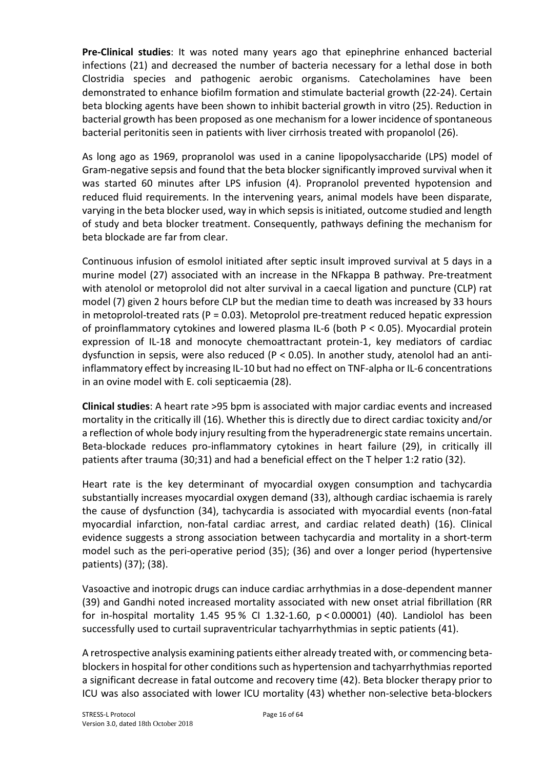**Pre-Clinical studies**: It was noted many years ago that epinephrine enhanced bacterial infections (21) and decreased the number of bacteria necessary for a lethal dose in both Clostridia species and pathogenic aerobic organisms. Catecholamines have been demonstrated to enhance biofilm formation and stimulate bacterial growth (22-24). Certain beta blocking agents have been shown to inhibit bacterial growth in vitro (25). Reduction in bacterial growth has been proposed as one mechanism for a lower incidence of spontaneous bacterial peritonitis seen in patients with liver cirrhosis treated with propanolol (26).

As long ago as 1969, propranolol was used in a canine lipopolysaccharide (LPS) model of Gram-negative sepsis and found that the beta blocker significantly improved survival when it was started 60 minutes after LPS infusion (4). Propranolol prevented hypotension and reduced fluid requirements. In the intervening years, animal models have been disparate, varying in the beta blocker used, way in which sepsis is initiated, outcome studied and length of study and beta blocker treatment. Consequently, pathways defining the mechanism for beta blockade are far from clear.

Continuous infusion of esmolol initiated after septic insult improved survival at 5 days in a murine model (27) associated with an increase in the NFkappa B pathway. Pre-treatment with atenolol or metoprolol did not alter survival in a caecal ligation and puncture (CLP) rat model (7) given 2 hours before CLP but the median time to death was increased by 33 hours in metoprolol-treated rats ( $P = 0.03$ ). Metoprolol pre-treatment reduced hepatic expression of proinflammatory cytokines and lowered plasma IL-6 (both P < 0.05). Myocardial protein expression of IL-18 and monocyte chemoattractant protein-1, key mediators of cardiac dysfunction in sepsis, were also reduced ( $P < 0.05$ ). In another study, atenolol had an antiinflammatory effect by increasing IL-10 but had no effect on TNF-alpha or IL-6 concentrations in an ovine model with E. coli septicaemia (28).

**Clinical studies**: A heart rate >95 bpm is associated with major cardiac events and increased mortality in the critically ill (16). Whether this is directly due to direct cardiac toxicity and/or a reflection of whole body injury resulting from the hyperadrenergic state remains uncertain. Beta-blockade reduces pro-inflammatory cytokines in heart failure (29), in critically ill patients after trauma (30;31) and had a beneficial effect on the T helper 1:2 ratio (32).

Heart rate is the key determinant of myocardial oxygen consumption and tachycardia substantially increases myocardial oxygen demand (33), although cardiac ischaemia is rarely the cause of dysfunction (34), tachycardia is associated with myocardial events (non-fatal myocardial infarction, non-fatal cardiac arrest, and cardiac related death) (16). Clinical evidence suggests a strong association between tachycardia and mortality in a short-term model such as the peri-operative period (35); (36) and over a longer period (hypertensive patients) (37); (38).

Vasoactive and inotropic drugs can induce cardiac arrhythmias in a dose-dependent manner (39) and Gandhi noted increased mortality associated with new onset atrial fibrillation (RR for in-hospital mortality 1.45 95 % CI 1.32-1.60, p < 0.00001) (40). Landiolol has been successfully used to curtail supraventricular tachyarrhythmias in septic patients (41).

A retrospective analysis examining patients either already treated with, or commencing betablockers in hospital for other conditions such as hypertension and tachyarrhythmias reported a significant decrease in fatal outcome and recovery time (42). Beta blocker therapy prior to ICU was also associated with lower ICU mortality (43) whether non-selective beta-blockers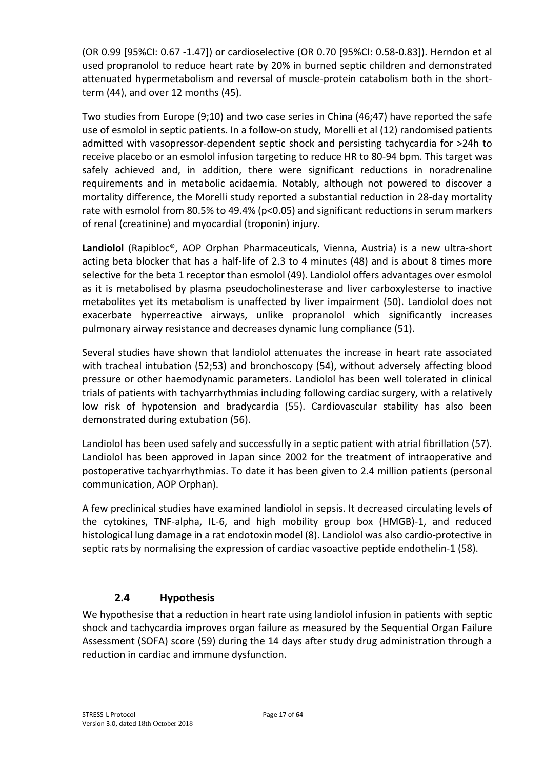(OR 0.99 [95%CI: 0.67 -1.47]) or cardioselective (OR 0.70 [95%CI: 0.58-0.83]). Herndon et al used propranolol to reduce heart rate by 20% in burned septic children and demonstrated attenuated hypermetabolism and reversal of muscle-protein catabolism both in the shortterm (44), and over 12 months (45).

Two studies from Europe (9;10) and two case series in China (46;47) have reported the safe use of esmolol in septic patients. In a follow-on study, Morelli et al (12) randomised patients admitted with vasopressor-dependent septic shock and persisting tachycardia for >24h to receive placebo or an esmolol infusion targeting to reduce HR to 80-94 bpm. This target was safely achieved and, in addition, there were significant reductions in noradrenaline requirements and in metabolic acidaemia. Notably, although not powered to discover a mortality difference, the Morelli study reported a substantial reduction in 28-day mortality rate with esmolol from 80.5% to 49.4% (p<0.05) and significant reductions in serum markers of renal (creatinine) and myocardial (troponin) injury.

**Landiolol** (Rapibloc®, AOP Orphan Pharmaceuticals, Vienna, Austria) is a new ultra-short acting beta blocker that has a half-life of 2.3 to 4 minutes (48) and is about 8 times more selective for the beta 1 receptor than esmolol (49). Landiolol offers advantages over esmolol as it is metabolised by plasma pseudocholinesterase and liver carboxylesterse to inactive metabolites yet its metabolism is unaffected by liver impairment (50). Landiolol does not exacerbate hyperreactive airways, unlike propranolol which significantly increases pulmonary airway resistance and decreases dynamic lung compliance (51).

Several studies have shown that landiolol attenuates the increase in heart rate associated with tracheal intubation (52;53) and bronchoscopy (54), without adversely affecting blood pressure or other haemodynamic parameters. Landiolol has been well tolerated in clinical trials of patients with tachyarrhythmias including following cardiac surgery, with a relatively low risk of hypotension and bradycardia (55). Cardiovascular stability has also been demonstrated during extubation (56).

Landiolol has been used safely and successfully in a septic patient with atrial fibrillation (57). Landiolol has been approved in Japan since 2002 for the treatment of intraoperative and postoperative tachyarrhythmias. To date it has been given to 2.4 million patients (personal communication, AOP Orphan).

A few preclinical studies have examined landiolol in sepsis. It decreased circulating levels of the cytokines, TNF-alpha, IL-6, and high mobility group box (HMGB)-1, and reduced histological lung damage in a rat endotoxin model (8). Landiolol was also cardio-protective in septic rats by normalising the expression of cardiac vasoactive peptide endothelin-1 (58).

## **2.4 Hypothesis**

We hypothesise that a reduction in heart rate using landiolol infusion in patients with septic shock and tachycardia improves organ failure as measured by the Sequential Organ Failure Assessment (SOFA) score (59) during the 14 days after study drug administration through a reduction in cardiac and immune dysfunction.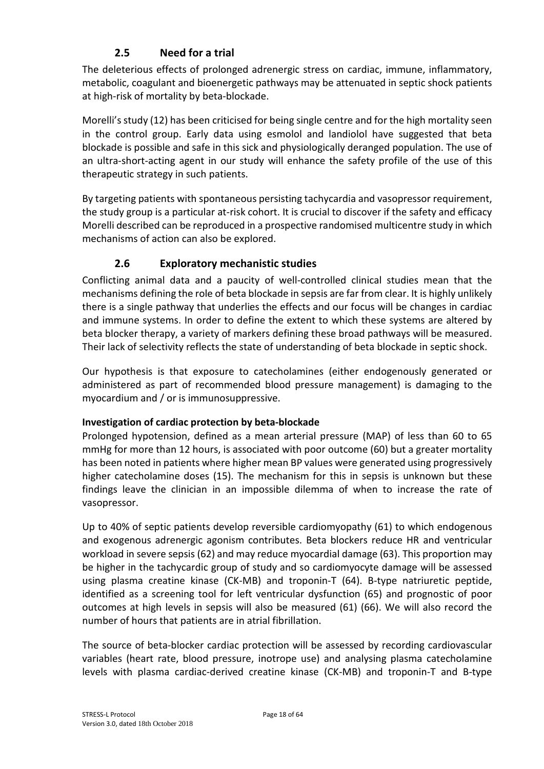# **2.5 Need for a trial**

The deleterious effects of prolonged adrenergic stress on cardiac, immune, inflammatory, metabolic, coagulant and bioenergetic pathways may be attenuated in septic shock patients at high-risk of mortality by beta-blockade.

Morelli's study (12) has been criticised for being single centre and for the high mortality seen in the control group. Early data using esmolol and landiolol have suggested that beta blockade is possible and safe in this sick and physiologically deranged population. The use of an ultra-short-acting agent in our study will enhance the safety profile of the use of this therapeutic strategy in such patients.

By targeting patients with spontaneous persisting tachycardia and vasopressor requirement, the study group is a particular at-risk cohort. It is crucial to discover if the safety and efficacy Morelli described can be reproduced in a prospective randomised multicentre study in which mechanisms of action can also be explored.

## **2.6 Exploratory mechanistic studies**

Conflicting animal data and a paucity of well-controlled clinical studies mean that the mechanisms defining the role of beta blockade in sepsis are far from clear. It is highly unlikely there is a single pathway that underlies the effects and our focus will be changes in cardiac and immune systems. In order to define the extent to which these systems are altered by beta blocker therapy, a variety of markers defining these broad pathways will be measured. Their lack of selectivity reflects the state of understanding of beta blockade in septic shock.

Our hypothesis is that exposure to catecholamines (either endogenously generated or administered as part of recommended blood pressure management) is damaging to the myocardium and / or is immunosuppressive.

#### **Investigation of cardiac protection by beta-blockade**

Prolonged hypotension, defined as a mean arterial pressure (MAP) of less than 60 to 65 mmHg for more than 12 hours, is associated with poor outcome (60) but a greater mortality has been noted in patients where higher mean BP values were generated using progressively higher catecholamine doses (15). The mechanism for this in sepsis is unknown but these findings leave the clinician in an impossible dilemma of when to increase the rate of vasopressor.

Up to 40% of septic patients develop reversible cardiomyopathy (61) to which endogenous and exogenous adrenergic agonism contributes. Beta blockers reduce HR and ventricular workload in severe sepsis (62) and may reduce myocardial damage (63). This proportion may be higher in the tachycardic group of study and so cardiomyocyte damage will be assessed using plasma creatine kinase (CK-MB) and troponin-T (64). B-type natriuretic peptide, identified as a screening tool for left ventricular dysfunction (65) and prognostic of poor outcomes at high levels in sepsis will also be measured (61) (66). We will also record the number of hours that patients are in atrial fibrillation.

The source of beta-blocker cardiac protection will be assessed by recording cardiovascular variables (heart rate, blood pressure, inotrope use) and analysing plasma catecholamine levels with plasma cardiac-derived creatine kinase (CK-MB) and troponin-T and B-type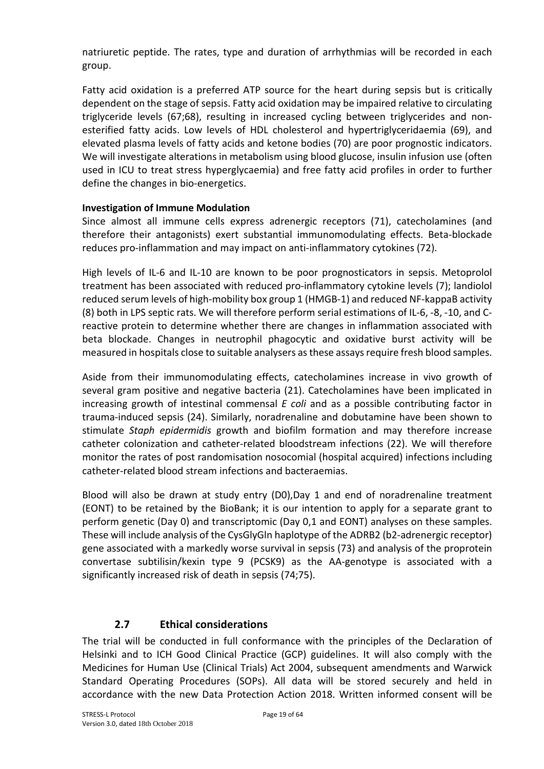natriuretic peptide. The rates, type and duration of arrhythmias will be recorded in each group.

Fatty acid oxidation is a preferred ATP source for the heart during sepsis but is critically dependent on the stage of sepsis. Fatty acid oxidation may be impaired relative to circulating triglyceride levels (67;68), resulting in increased cycling between triglycerides and nonesterified fatty acids. Low levels of HDL cholesterol and hypertriglyceridaemia (69), and elevated plasma levels of fatty acids and ketone bodies (70) are poor prognostic indicators. We will investigate alterations in metabolism using blood glucose, insulin infusion use (often used in ICU to treat stress hyperglycaemia) and free fatty acid profiles in order to further define the changes in bio-energetics.

#### **Investigation of Immune Modulation**

Since almost all immune cells express adrenergic receptors (71), catecholamines (and therefore their antagonists) exert substantial immunomodulating effects. Beta-blockade reduces pro-inflammation and may impact on anti-inflammatory cytokines (72).

High levels of IL-6 and IL-10 are known to be poor prognosticators in sepsis. Metoprolol treatment has been associated with reduced pro-inflammatory cytokine levels (7); landiolol reduced serum levels of high-mobility box group 1 (HMGB-1) and reduced NF-kappaB activity (8) both in LPS septic rats. We will therefore perform serial estimations of IL-6, -8, -10, and Creactive protein to determine whether there are changes in inflammation associated with beta blockade. Changes in neutrophil phagocytic and oxidative burst activity will be measured in hospitals close to suitable analysers as these assays require fresh blood samples.

Aside from their immunomodulating effects, catecholamines increase in vivo growth of several gram positive and negative bacteria (21). Catecholamines have been implicated in increasing growth of intestinal commensal *E coli* and as a possible contributing factor in trauma-induced sepsis (24). Similarly, noradrenaline and dobutamine have been shown to stimulate *Staph epidermidis* growth and biofilm formation and may therefore increase catheter colonization and catheter-related bloodstream infections (22). We will therefore monitor the rates of post randomisation nosocomial (hospital acquired) infections including catheter-related blood stream infections and bacteraemias.

Blood will also be drawn at study entry (D0),Day 1 and end of noradrenaline treatment (EONT) to be retained by the BioBank; it is our intention to apply for a separate grant to perform genetic (Day 0) and transcriptomic (Day 0,1 and EONT) analyses on these samples. These will include analysis of the CysGlyGln haplotype of the ADRB2 (b2-adrenergic receptor) gene associated with a markedly worse survival in sepsis (73) and analysis of the proprotein convertase subtilisin/kexin type 9 (PCSK9) as the AA-genotype is associated with a significantly increased risk of death in sepsis (74;75).

## **2.7 Ethical considerations**

The trial will be conducted in full conformance with the principles of the Declaration of Helsinki and to ICH Good Clinical Practice (GCP) guidelines. It will also comply with the Medicines for Human Use (Clinical Trials) Act 2004, subsequent amendments and Warwick Standard Operating Procedures (SOPs). All data will be stored securely and held in accordance with the new Data Protection Action 2018. Written informed consent will be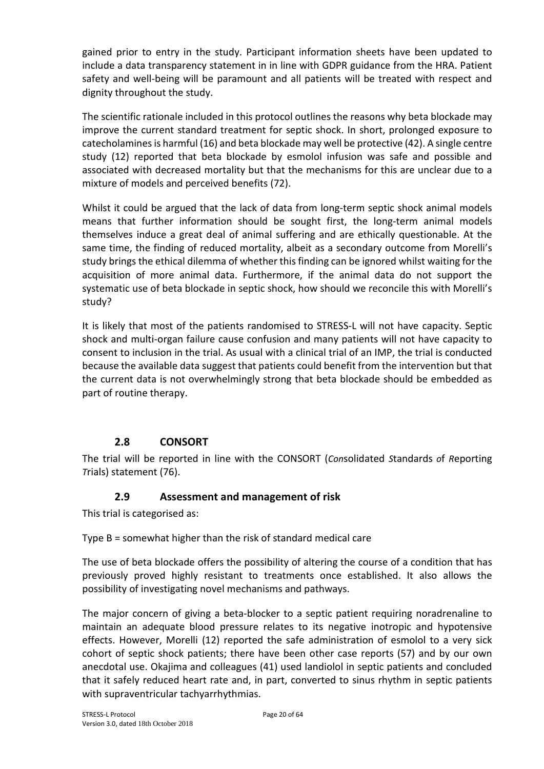gained prior to entry in the study. Participant information sheets have been updated to include a data transparency statement in in line with GDPR guidance from the HRA. Patient safety and well-being will be paramount and all patients will be treated with respect and dignity throughout the study.

The scientific rationale included in this protocol outlines the reasons why beta blockade may improve the current standard treatment for septic shock. In short, prolonged exposure to catecholamines is harmful (16) and beta blockade may well be protective (42). A single centre study (12) reported that beta blockade by esmolol infusion was safe and possible and associated with decreased mortality but that the mechanisms for this are unclear due to a mixture of models and perceived benefits (72).

Whilst it could be argued that the lack of data from long-term septic shock animal models means that further information should be sought first, the long-term animal models themselves induce a great deal of animal suffering and are ethically questionable. At the same time, the finding of reduced mortality, albeit as a secondary outcome from Morelli's study brings the ethical dilemma of whether this finding can be ignored whilst waiting for the acquisition of more animal data. Furthermore, if the animal data do not support the systematic use of beta blockade in septic shock, how should we reconcile this with Morelli's study?

It is likely that most of the patients randomised to STRESS-L will not have capacity. Septic shock and multi-organ failure cause confusion and many patients will not have capacity to consent to inclusion in the trial. As usual with a clinical trial of an IMP, the trial is conducted because the available data suggest that patients could benefit from the intervention but that the current data is not overwhelmingly strong that beta blockade should be embedded as part of routine therapy.

# **2.8 CONSORT**

The trial will be reported in line with the CONSORT (*Con*solidated *S*tandards *o*f *R*eporting *T*rials) statement (76).

## **2.9 Assessment and management of risk**

This trial is categorised as:

Type B = somewhat higher than the risk of standard medical care

The use of beta blockade offers the possibility of altering the course of a condition that has previously proved highly resistant to treatments once established. It also allows the possibility of investigating novel mechanisms and pathways.

The major concern of giving a beta-blocker to a septic patient requiring noradrenaline to maintain an adequate blood pressure relates to its negative inotropic and hypotensive effects. However, Morelli (12) reported the safe administration of esmolol to a very sick cohort of septic shock patients; there have been other case reports (57) and by our own anecdotal use. Okajima and colleagues (41) used landiolol in septic patients and concluded that it safely reduced heart rate and, in part, converted to sinus rhythm in septic patients with supraventricular tachyarrhythmias.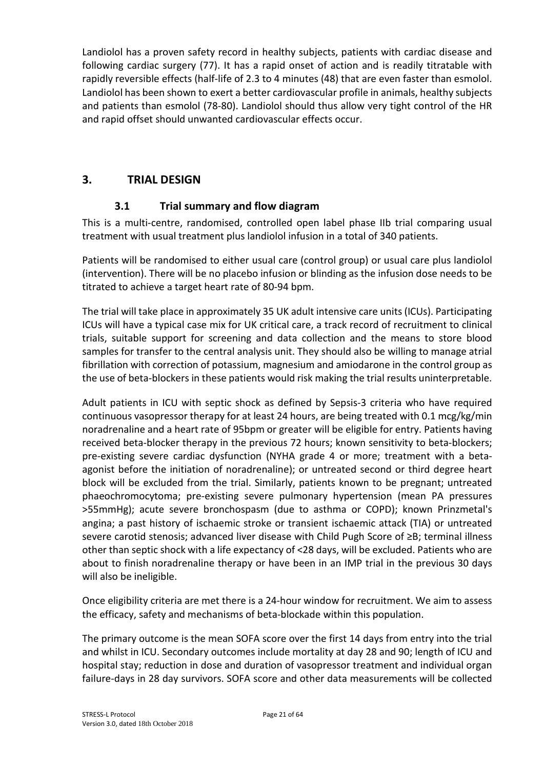Landiolol has a proven safety record in healthy subjects, patients with cardiac disease and following cardiac surgery (77). It has a rapid onset of action and is readily titratable with rapidly reversible effects (half-life of 2.3 to 4 minutes (48) that are even faster than esmolol. Landiolol has been shown to exert a better cardiovascular profile in animals, healthy subjects and patients than esmolol (78-80). Landiolol should thus allow very tight control of the HR and rapid offset should unwanted cardiovascular effects occur.

# **3. TRIAL DESIGN**

## **3.1 Trial summary and flow diagram**

This is a multi-centre, randomised, controlled open label phase IIb trial comparing usual treatment with usual treatment plus landiolol infusion in a total of 340 patients.

Patients will be randomised to either usual care (control group) or usual care plus landiolol (intervention). There will be no placebo infusion or blinding as the infusion dose needs to be titrated to achieve a target heart rate of 80-94 bpm.

The trial will take place in approximately 35 UK adult intensive care units (ICUs). Participating ICUs will have a typical case mix for UK critical care, a track record of recruitment to clinical trials, suitable support for screening and data collection and the means to store blood samples for transfer to the central analysis unit. They should also be willing to manage atrial fibrillation with correction of potassium, magnesium and amiodarone in the control group as the use of beta-blockers in these patients would risk making the trial results uninterpretable.

Adult patients in ICU with septic shock as defined by Sepsis-3 criteria who have required continuous vasopressor therapy for at least 24 hours, are being treated with 0.1 mcg/kg/min noradrenaline and a heart rate of 95bpm or greater will be eligible for entry. Patients having received beta-blocker therapy in the previous 72 hours; known sensitivity to beta-blockers; pre-existing severe cardiac dysfunction (NYHA grade 4 or more; treatment with a betaagonist before the initiation of noradrenaline); or untreated second or third degree heart block will be excluded from the trial. Similarly, patients known to be pregnant; untreated phaeochromocytoma; pre-existing severe pulmonary hypertension (mean PA pressures >55mmHg); acute severe bronchospasm (due to asthma or COPD); known Prinzmetal's angina; a past history of ischaemic stroke or transient ischaemic attack (TIA) or untreated severe carotid stenosis; advanced liver disease with Child Pugh Score of ≥B; terminal illness other than septic shock with a life expectancy of <28 days, will be excluded. Patients who are about to finish noradrenaline therapy or have been in an IMP trial in the previous 30 days will also be ineligible.

Once eligibility criteria are met there is a 24-hour window for recruitment. We aim to assess the efficacy, safety and mechanisms of beta-blockade within this population.

The primary outcome is the mean SOFA score over the first 14 days from entry into the trial and whilst in ICU. Secondary outcomes include mortality at day 28 and 90; length of ICU and hospital stay; reduction in dose and duration of vasopressor treatment and individual organ failure-days in 28 day survivors. SOFA score and other data measurements will be collected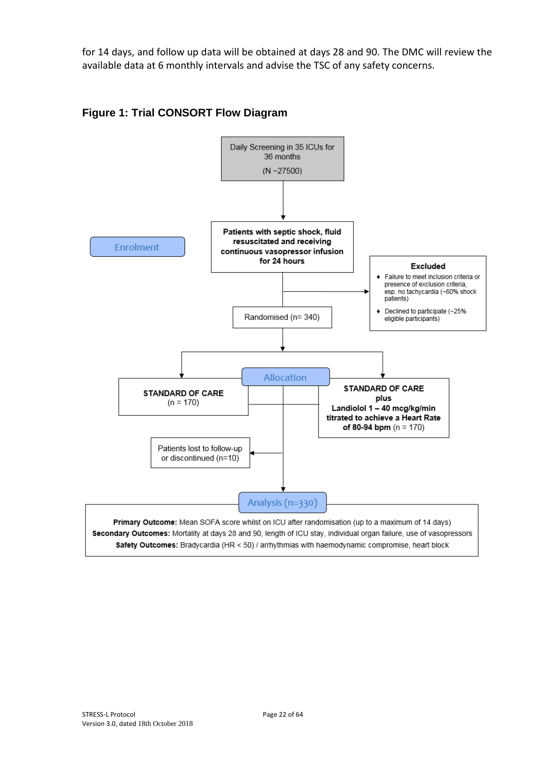for 14 days, and follow up data will be obtained at days 28 and 90. The DMC will review the available data at 6 monthly intervals and advise the TSC of any safety concerns.



#### **Figure 1: Trial CONSORT Flow Diagram**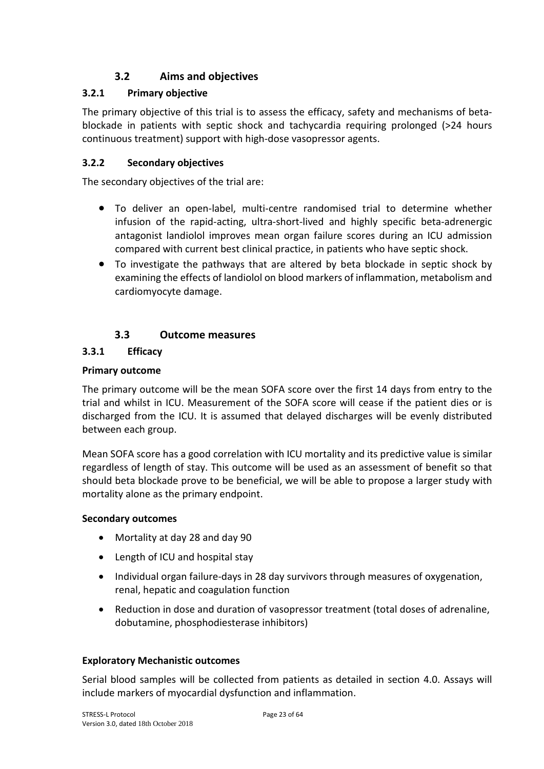## **3.2 Aims and objectives**

#### **3.2.1 Primary objective**

The primary objective of this trial is to assess the efficacy, safety and mechanisms of betablockade in patients with septic shock and tachycardia requiring prolonged (>24 hours continuous treatment) support with high-dose vasopressor agents.

#### **3.2.2 Secondary objectives**

The secondary objectives of the trial are:

- To deliver an open-label, multi-centre randomised trial to determine whether infusion of the rapid-acting, ultra-short-lived and highly specific beta-adrenergic antagonist landiolol improves mean organ failure scores during an ICU admission compared with current best clinical practice, in patients who have septic shock.
- To investigate the pathways that are altered by beta blockade in septic shock by examining the effects of landiolol on blood markers of inflammation, metabolism and cardiomyocyte damage.

#### **3.3 Outcome measures**

# **3.3.1 Efficacy**

#### **Primary outcome**

The primary outcome will be the mean SOFA score over the first 14 days from entry to the trial and whilst in ICU. Measurement of the SOFA score will cease if the patient dies or is discharged from the ICU. It is assumed that delayed discharges will be evenly distributed between each group.

Mean SOFA score has a good correlation with ICU mortality and its predictive value is similar regardless of length of stay. This outcome will be used as an assessment of benefit so that should beta blockade prove to be beneficial, we will be able to propose a larger study with mortality alone as the primary endpoint.

#### **Secondary outcomes**

- Mortality at day 28 and day 90
- Length of ICU and hospital stay
- Individual organ failure-days in 28 day survivors through measures of oxygenation, renal, hepatic and coagulation function
- Reduction in dose and duration of vasopressor treatment (total doses of adrenaline, dobutamine, phosphodiesterase inhibitors)

#### **Exploratory Mechanistic outcomes**

Serial blood samples will be collected from patients as detailed in section 4.0. Assays will include markers of myocardial dysfunction and inflammation.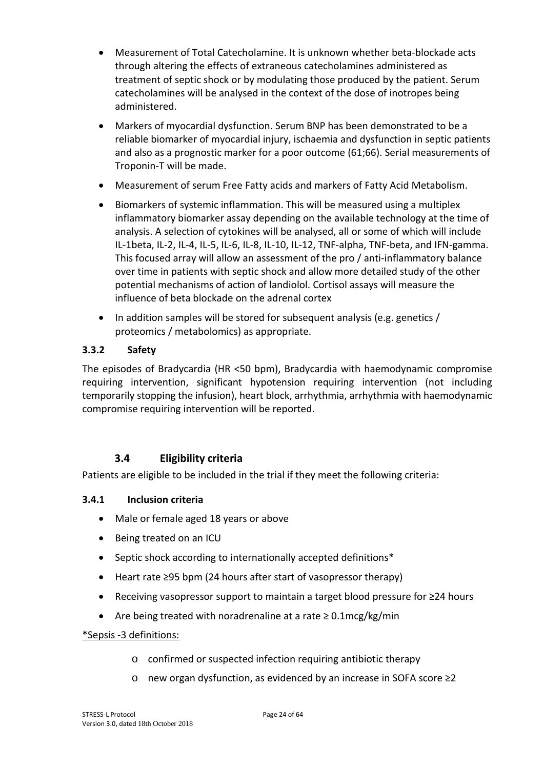- Measurement of Total Catecholamine. It is unknown whether beta-blockade acts through altering the effects of extraneous catecholamines administered as treatment of septic shock or by modulating those produced by the patient. Serum catecholamines will be analysed in the context of the dose of inotropes being administered.
- Markers of myocardial dysfunction. Serum BNP has been demonstrated to be a reliable biomarker of myocardial injury, ischaemia and dysfunction in septic patients and also as a prognostic marker for a poor outcome (61;66). Serial measurements of Troponin-T will be made.
- Measurement of serum Free Fatty acids and markers of Fatty Acid Metabolism.
- Biomarkers of systemic inflammation. This will be measured using a multiplex inflammatory biomarker assay depending on the available technology at the time of analysis. A selection of cytokines will be analysed, all or some of which will include IL-1beta, IL-2, IL-4, IL-5, IL-6, IL-8, IL-10, IL-12, TNF-alpha, TNF-beta, and IFN-gamma. This focused array will allow an assessment of the pro / anti-inflammatory balance over time in patients with septic shock and allow more detailed study of the other potential mechanisms of action of landiolol. Cortisol assays will measure the influence of beta blockade on the adrenal cortex
- In addition samples will be stored for subsequent analysis (e.g. genetics / proteomics / metabolomics) as appropriate.

#### **3.3.2 Safety**

The episodes of Bradycardia (HR <50 bpm), Bradycardia with haemodynamic compromise requiring intervention, significant hypotension requiring intervention (not including temporarily stopping the infusion), heart block, arrhythmia, arrhythmia with haemodynamic compromise requiring intervention will be reported.

## **3.4 Eligibility criteria**

Patients are eligible to be included in the trial if they meet the following criteria:

#### **3.4.1 Inclusion criteria**

- Male or female aged 18 years or above
- Being treated on an ICU
- Septic shock according to internationally accepted definitions\*
- Heart rate ≥95 bpm (24 hours after start of vasopressor therapy)
- Receiving vasopressor support to maintain a target blood pressure for ≥24 hours
- Are being treated with noradrenaline at a rate  $\geq 0.1$ mcg/kg/min

#### \*Sepsis -3 definitions:

- o confirmed or suspected infection requiring antibiotic therapy
- o new organ dysfunction, as evidenced by an increase in SOFA score ≥2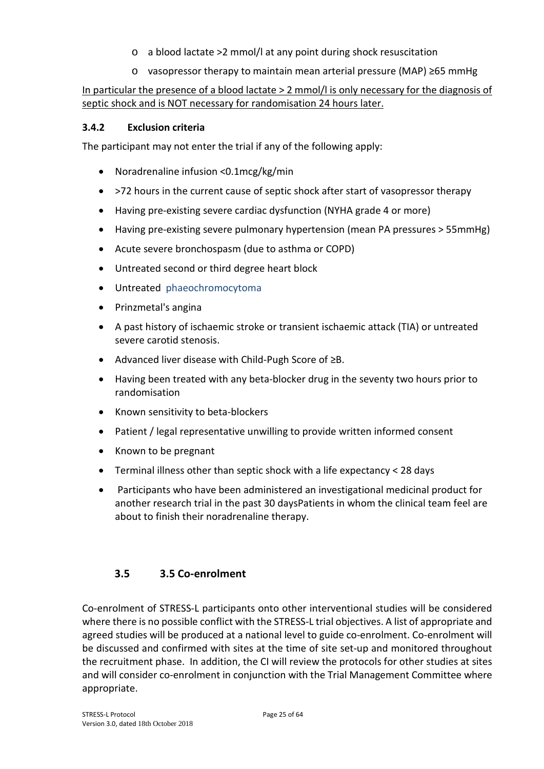- o a blood lactate >2 mmol/l at any point during shock resuscitation
- o vasopressor therapy to maintain mean arterial pressure (MAP) ≥65 mmHg

## In particular the presence of a blood lactate > 2 mmol/l is only necessary for the diagnosis of septic shock and is NOT necessary for randomisation 24 hours later.

#### **3.4.2 Exclusion criteria**

The participant may not enter the trial if any of the following apply:

- Noradrenaline infusion <0.1mcg/kg/min
- >72 hours in the current cause of septic shock after start of vasopressor therapy
- Having pre-existing severe cardiac dysfunction (NYHA grade 4 or more)
- Having pre-existing severe pulmonary hypertension (mean PA pressures > 55mmHg)
- Acute severe bronchospasm (due to asthma or COPD)
- Untreated second or third degree heart block
- Untreated phaeochromocytoma
- Prinzmetal's angina
- A past history of ischaemic stroke or transient ischaemic attack (TIA) or untreated severe carotid stenosis.
- Advanced liver disease with Child-Pugh Score of ≥B.
- Having been treated with any beta-blocker drug in the seventy two hours prior to randomisation
- Known sensitivity to beta-blockers
- Patient / legal representative unwilling to provide written informed consent
- Known to be pregnant
- Terminal illness other than septic shock with a life expectancy < 28 days
- Participants who have been administered an investigational medicinal product for another research trial in the past 30 daysPatients in whom the clinical team feel are about to finish their noradrenaline therapy.

## **3.5 3.5 Co-enrolment**

Co-enrolment of STRESS-L participants onto other interventional studies will be considered where there is no possible conflict with the STRESS-L trial objectives. A list of appropriate and agreed studies will be produced at a national level to guide co-enrolment. Co-enrolment will be discussed and confirmed with sites at the time of site set-up and monitored throughout the recruitment phase. In addition, the CI will review the protocols for other studies at sites and will consider co-enrolment in conjunction with the Trial Management Committee where appropriate.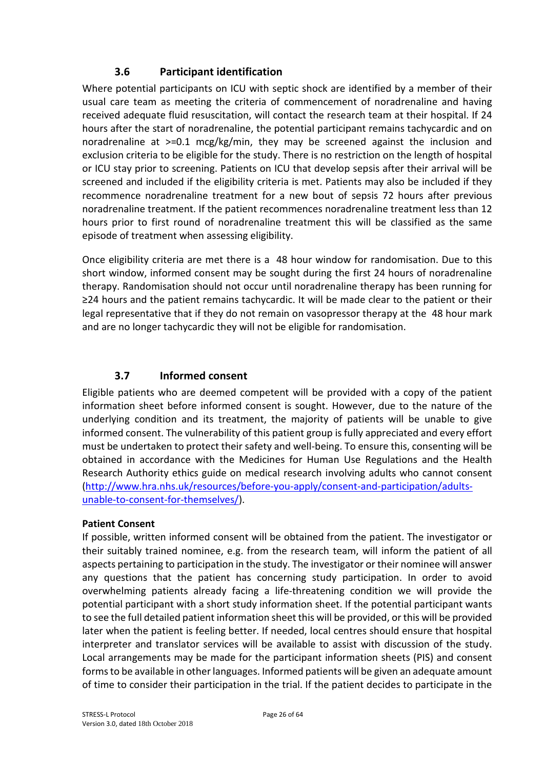#### **3.6 Participant identification**

Where potential participants on ICU with septic shock are identified by a member of their usual care team as meeting the criteria of commencement of noradrenaline and having received adequate fluid resuscitation, will contact the research team at their hospital. If 24 hours after the start of noradrenaline, the potential participant remains tachycardic and on noradrenaline at >=0.1 mcg/kg/min, they may be screened against the inclusion and exclusion criteria to be eligible for the study. There is no restriction on the length of hospital or ICU stay prior to screening. Patients on ICU that develop sepsis after their arrival will be screened and included if the eligibility criteria is met. Patients may also be included if they recommence noradrenaline treatment for a new bout of sepsis 72 hours after previous noradrenaline treatment. If the patient recommences noradrenaline treatment less than 12 hours prior to first round of noradrenaline treatment this will be classified as the same episode of treatment when assessing eligibility.

Once eligibility criteria are met there is a 48 hour window for randomisation. Due to this short window, informed consent may be sought during the first 24 hours of noradrenaline therapy. Randomisation should not occur until noradrenaline therapy has been running for ≥24 hours and the patient remains tachycardic. It will be made clear to the patient or their legal representative that if they do not remain on vasopressor therapy at the 48 hour mark and are no longer tachycardic they will not be eligible for randomisation.

## **3.7 Informed consent**

Eligible patients who are deemed competent will be provided with a copy of the patient information sheet before informed consent is sought. However, due to the nature of the underlying condition and its treatment, the majority of patients will be unable to give informed consent. The vulnerability of this patient group is fully appreciated and every effort must be undertaken to protect their safety and well-being. To ensure this, consenting will be obtained in accordance with the Medicines for Human Use Regulations and the Health Research Authority ethics guide on medical research involving adults who cannot consent (http://www.hra.nhs.uk/resources/before-you-apply/consent-and-participation/adultsunable-to-consent-for-themselves/).

#### **Patient Consent**

If possible, written informed consent will be obtained from the patient. The investigator or their suitably trained nominee, e.g. from the research team, will inform the patient of all aspects pertaining to participation in the study. The investigator or their nominee will answer any questions that the patient has concerning study participation. In order to avoid overwhelming patients already facing a life-threatening condition we will provide the potential participant with a short study information sheet. If the potential participant wants to see the full detailed patient information sheet this will be provided, or this will be provided later when the patient is feeling better. If needed, local centres should ensure that hospital interpreter and translator services will be available to assist with discussion of the study. Local arrangements may be made for the participant information sheets (PIS) and consent forms to be available in other languages. Informed patients will be given an adequate amount of time to consider their participation in the trial. If the patient decides to participate in the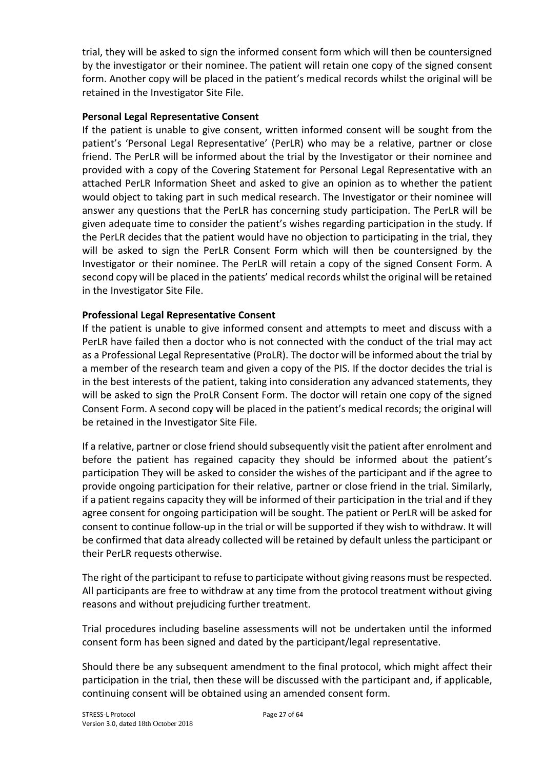trial, they will be asked to sign the informed consent form which will then be countersigned by the investigator or their nominee. The patient will retain one copy of the signed consent form. Another copy will be placed in the patient's medical records whilst the original will be retained in the Investigator Site File.

#### **Personal Legal Representative Consent**

If the patient is unable to give consent, written informed consent will be sought from the patient's 'Personal Legal Representative' (PerLR) who may be a relative, partner or close friend. The PerLR will be informed about the trial by the Investigator or their nominee and provided with a copy of the Covering Statement for Personal Legal Representative with an attached PerLR Information Sheet and asked to give an opinion as to whether the patient would object to taking part in such medical research. The Investigator or their nominee will answer any questions that the PerLR has concerning study participation. The PerLR will be given adequate time to consider the patient's wishes regarding participation in the study. If the PerLR decides that the patient would have no objection to participating in the trial, they will be asked to sign the PerLR Consent Form which will then be countersigned by the Investigator or their nominee. The PerLR will retain a copy of the signed Consent Form. A second copy will be placed in the patients' medical records whilst the original will be retained in the Investigator Site File.

#### **Professional Legal Representative Consent**

If the patient is unable to give informed consent and attempts to meet and discuss with a PerLR have failed then a doctor who is not connected with the conduct of the trial may act as a Professional Legal Representative (ProLR). The doctor will be informed about the trial by a member of the research team and given a copy of the PIS. If the doctor decides the trial is in the best interests of the patient, taking into consideration any advanced statements, they will be asked to sign the ProLR Consent Form. The doctor will retain one copy of the signed Consent Form. A second copy will be placed in the patient's medical records; the original will be retained in the Investigator Site File.

If a relative, partner or close friend should subsequently visit the patient after enrolment and before the patient has regained capacity they should be informed about the patient's participation They will be asked to consider the wishes of the participant and if the agree to provide ongoing participation for their relative, partner or close friend in the trial. Similarly, if a patient regains capacity they will be informed of their participation in the trial and if they agree consent for ongoing participation will be sought. The patient or PerLR will be asked for consent to continue follow-up in the trial or will be supported if they wish to withdraw. It will be confirmed that data already collected will be retained by default unless the participant or their PerLR requests otherwise.

The right of the participant to refuse to participate without giving reasons must be respected. All participants are free to withdraw at any time from the protocol treatment without giving reasons and without prejudicing further treatment.

Trial procedures including baseline assessments will not be undertaken until the informed consent form has been signed and dated by the participant/legal representative.

Should there be any subsequent amendment to the final protocol, which might affect their participation in the trial, then these will be discussed with the participant and, if applicable, continuing consent will be obtained using an amended consent form.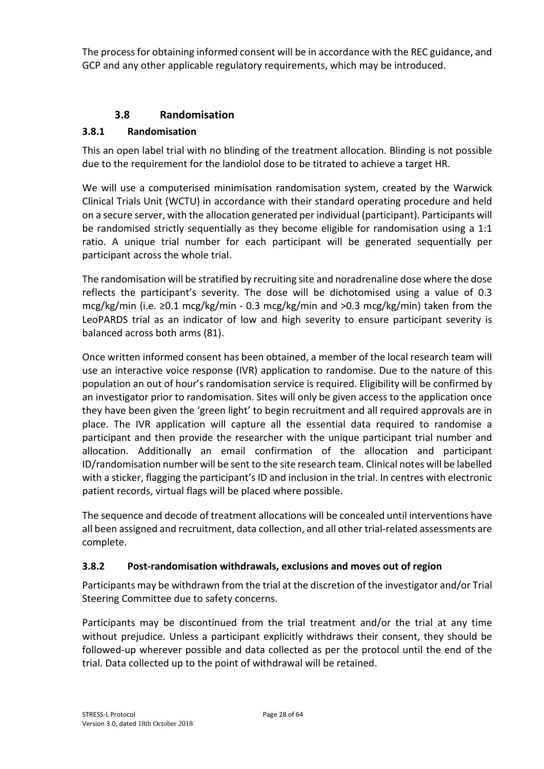The process for obtaining informed consent will be in accordance with the REC guidance, and GCP and any other applicable regulatory requirements, which may be introduced.

#### **3.8 Randomisation**

#### **3.8.1 Randomisation**

This an open label trial with no blinding of the treatment allocation. Blinding is not possible due to the requirement for the landiolol dose to be titrated to achieve a target HR.

We will use a computerised minimisation randomisation system, created by the Warwick Clinical Trials Unit (WCTU) in accordance with their standard operating procedure and held on a secure server, with the allocation generated per individual (participant). Participants will be randomised strictly sequentially as they become eligible for randomisation using a 1:1 ratio. A unique trial number for each participant will be generated sequentially per participant across the whole trial.

The randomisation will be stratified by recruiting site and noradrenaline dose where the dose reflects the participant's severity. The dose will be dichotomised using a value of 0.3 mcg/kg/min (i.e. ≥0.1 mcg/kg/min - 0.3 mcg/kg/min and >0.3 mcg/kg/min) taken from the LeoPARDS trial as an indicator of low and high severity to ensure participant severity is balanced across both arms (81).

Once written informed consent has been obtained, a member of the local research team will use an interactive voice response (IVR) application to randomise. Due to the nature of this population an out of hour's randomisation service is required. Eligibility will be confirmed by an investigator prior to randomisation. Sites will only be given access to the application once they have been given the 'green light' to begin recruitment and all required approvals are in place. The IVR application will capture all the essential data required to randomise a participant and then provide the researcher with the unique participant trial number and allocation. Additionally an email confirmation of the allocation and participant ID/randomisation number will be sent to the site research team. Clinical notes will be labelled with a sticker, flagging the participant's ID and inclusion in the trial. In centres with electronic patient records, virtual flags will be placed where possible.

The sequence and decode of treatment allocations will be concealed until interventions have all been assigned and recruitment, data collection, and all other trial-related assessments are complete.

#### **3.8.2 Post-randomisation withdrawals, exclusions and moves out of region**

Participants may be withdrawn from the trial at the discretion of the investigator and/or Trial Steering Committee due to safety concerns.

Participants may be discontinued from the trial treatment and/or the trial at any time without prejudice. Unless a participant explicitly withdraws their consent, they should be followed-up wherever possible and data collected as per the protocol until the end of the trial. Data collected up to the point of withdrawal will be retained.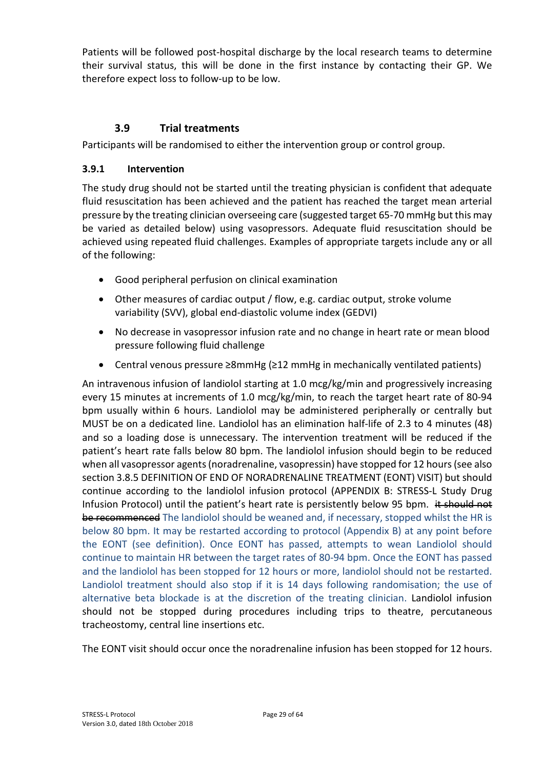Patients will be followed post-hospital discharge by the local research teams to determine their survival status, this will be done in the first instance by contacting their GP. We therefore expect loss to follow-up to be low.

## **3.9 Trial treatments**

Participants will be randomised to either the intervention group or control group.

#### **3.9.1 Intervention**

The study drug should not be started until the treating physician is confident that adequate fluid resuscitation has been achieved and the patient has reached the target mean arterial pressure by the treating clinician overseeing care (suggested target 65-70 mmHg but this may be varied as detailed below) using vasopressors. Adequate fluid resuscitation should be achieved using repeated fluid challenges. Examples of appropriate targets include any or all of the following:

- Good peripheral perfusion on clinical examination
- Other measures of cardiac output / flow, e.g. cardiac output, stroke volume variability (SVV), global end-diastolic volume index (GEDVI)
- No decrease in vasopressor infusion rate and no change in heart rate or mean blood pressure following fluid challenge
- Central venous pressure ≥8mmHg (≥12 mmHg in mechanically ventilated patients)

An intravenous infusion of landiolol starting at 1.0 mcg/kg/min and progressively increasing every 15 minutes at increments of 1.0 mcg/kg/min, to reach the target heart rate of 80-94 bpm usually within 6 hours. Landiolol may be administered peripherally or centrally but MUST be on a dedicated line. Landiolol has an elimination half-life of 2.3 to 4 minutes (48) and so a loading dose is unnecessary. The intervention treatment will be reduced if the patient's heart rate falls below 80 bpm. The landiolol infusion should begin to be reduced when all vasopressor agents (noradrenaline, vasopressin) have stopped for 12 hours (see also section 3.8.5 DEFINITION OF END OF NORADRENALINE TREATMENT (EONT) VISIT) but should continue according to the landiolol infusion protocol (APPENDIX B: STRESS-L Study Drug Infusion Protocol) until the patient's heart rate is persistently below 95 bpm. it should not be recommenced The landiolol should be weaned and, if necessary, stopped whilst the HR is below 80 bpm. It may be restarted according to protocol (Appendix B) at any point before the EONT (see definition). Once EONT has passed, attempts to wean Landiolol should continue to maintain HR between the target rates of 80-94 bpm. Once the EONT has passed and the landiolol has been stopped for 12 hours or more, landiolol should not be restarted. Landiolol treatment should also stop if it is 14 days following randomisation; the use of alternative beta blockade is at the discretion of the treating clinician. Landiolol infusion should not be stopped during procedures including trips to theatre, percutaneous tracheostomy, central line insertions etc.

The EONT visit should occur once the noradrenaline infusion has been stopped for 12 hours.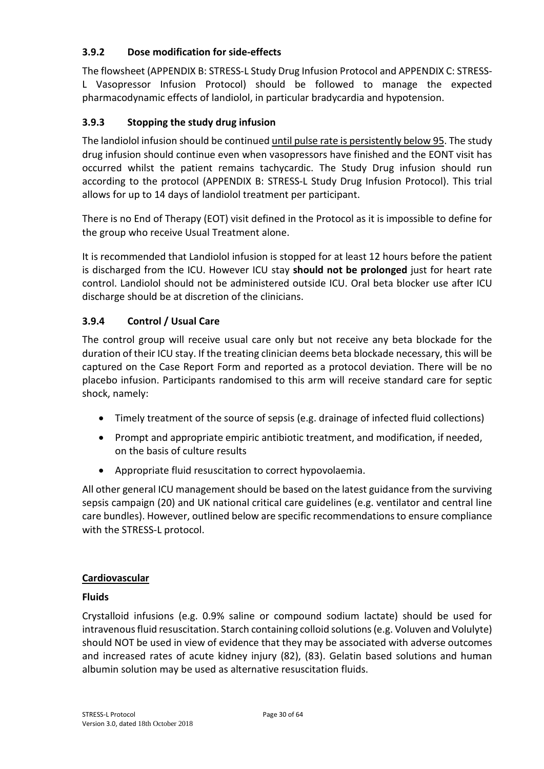#### **3.9.2 Dose modification for side-effects**

The flowsheet (APPENDIX B: STRESS-L Study Drug Infusion Protocol and APPENDIX C: STRESS-L Vasopressor Infusion Protocol) should be followed to manage the expected pharmacodynamic effects of landiolol, in particular bradycardia and hypotension.

## **3.9.3 Stopping the study drug infusion**

The landiolol infusion should be continued until pulse rate is persistently below 95. The study drug infusion should continue even when vasopressors have finished and the EONT visit has occurred whilst the patient remains tachycardic. The Study Drug infusion should run according to the protocol (APPENDIX B: STRESS-L Study Drug Infusion Protocol). This trial allows for up to 14 days of landiolol treatment per participant.

There is no End of Therapy (EOT) visit defined in the Protocol as it is impossible to define for the group who receive Usual Treatment alone.

It is recommended that Landiolol infusion is stopped for at least 12 hours before the patient is discharged from the ICU. However ICU stay **should not be prolonged** just for heart rate control. Landiolol should not be administered outside ICU. Oral beta blocker use after ICU discharge should be at discretion of the clinicians.

#### **3.9.4 Control / Usual Care**

The control group will receive usual care only but not receive any beta blockade for the duration of their ICU stay. If the treating clinician deems beta blockade necessary, this will be captured on the Case Report Form and reported as a protocol deviation. There will be no placebo infusion. Participants randomised to this arm will receive standard care for septic shock, namely:

- Timely treatment of the source of sepsis (e.g. drainage of infected fluid collections)
- Prompt and appropriate empiric antibiotic treatment, and modification, if needed, on the basis of culture results
- Appropriate fluid resuscitation to correct hypovolaemia.

All other general ICU management should be based on the latest guidance from the surviving sepsis campaign (20) and UK national critical care guidelines (e.g. ventilator and central line care bundles). However, outlined below are specific recommendations to ensure compliance with the STRESS-L protocol.

#### **Cardiovascular**

#### **Fluids**

Crystalloid infusions (e.g. 0.9% saline or compound sodium lactate) should be used for intravenous fluid resuscitation. Starch containing colloid solutions (e.g. Voluven and Volulyte) should NOT be used in view of evidence that they may be associated with adverse outcomes and increased rates of acute kidney injury (82), (83). Gelatin based solutions and human albumin solution may be used as alternative resuscitation fluids.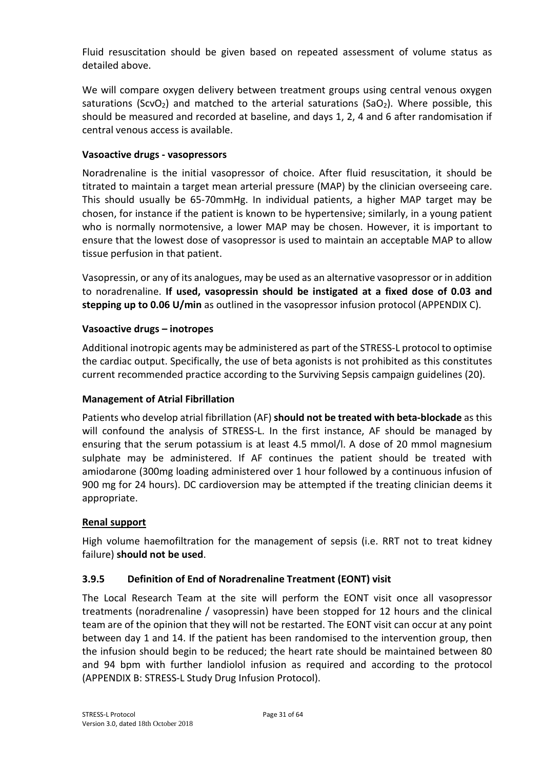Fluid resuscitation should be given based on repeated assessment of volume status as detailed above.

We will compare oxygen delivery between treatment groups using central venous oxygen saturations (ScvO<sub>2</sub>) and matched to the arterial saturations (SaO<sub>2</sub>). Where possible, this should be measured and recorded at baseline, and days 1, 2, 4 and 6 after randomisation if central venous access is available.

#### **Vasoactive drugs - vasopressors**

Noradrenaline is the initial vasopressor of choice. After fluid resuscitation, it should be titrated to maintain a target mean arterial pressure (MAP) by the clinician overseeing care. This should usually be 65-70mmHg. In individual patients, a higher MAP target may be chosen, for instance if the patient is known to be hypertensive; similarly, in a young patient who is normally normotensive, a lower MAP may be chosen. However, it is important to ensure that the lowest dose of vasopressor is used to maintain an acceptable MAP to allow tissue perfusion in that patient.

Vasopressin, or any of its analogues, may be used as an alternative vasopressor or in addition to noradrenaline. **If used, vasopressin should be instigated at a fixed dose of 0.03 and stepping up to 0.06 U/min** as outlined in the vasopressor infusion protocol (APPENDIX C).

#### **Vasoactive drugs – inotropes**

Additional inotropic agents may be administered as part of the STRESS-L protocol to optimise the cardiac output. Specifically, the use of beta agonists is not prohibited as this constitutes current recommended practice according to the Surviving Sepsis campaign guidelines (20).

#### **Management of Atrial Fibrillation**

Patients who develop atrial fibrillation (AF) **should not be treated with beta-blockade** as this will confound the analysis of STRESS-L. In the first instance, AF should be managed by ensuring that the serum potassium is at least 4.5 mmol/l. A dose of 20 mmol magnesium sulphate may be administered. If AF continues the patient should be treated with amiodarone (300mg loading administered over 1 hour followed by a continuous infusion of 900 mg for 24 hours). DC cardioversion may be attempted if the treating clinician deems it appropriate.

#### **Renal support**

High volume haemofiltration for the management of sepsis (i.e. RRT not to treat kidney failure) **should not be used**.

#### **3.9.5 Definition of End of Noradrenaline Treatment (EONT) visit**

The Local Research Team at the site will perform the EONT visit once all vasopressor treatments (noradrenaline / vasopressin) have been stopped for 12 hours and the clinical team are of the opinion that they will not be restarted. The EONT visit can occur at any point between day 1 and 14. If the patient has been randomised to the intervention group, then the infusion should begin to be reduced; the heart rate should be maintained between 80 and 94 bpm with further landiolol infusion as required and according to the protocol (APPENDIX B: STRESS-L Study Drug Infusion Protocol).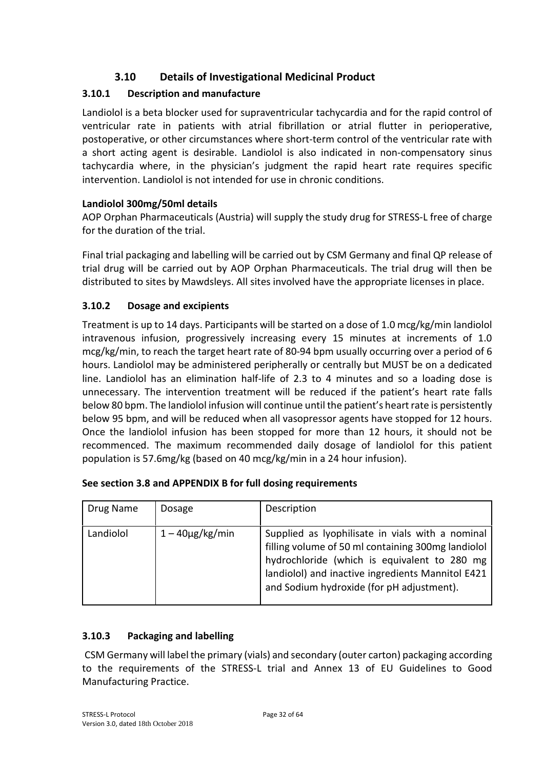# **3.10 Details of Investigational Medicinal Product**

# **3.10.1 Description and manufacture**

Landiolol is a beta blocker used for supraventricular tachycardia and for the rapid control of ventricular rate in patients with atrial fibrillation or atrial flutter in perioperative, postoperative, or other circumstances where short-term control of the ventricular rate with a short acting agent is desirable. Landiolol is also indicated in non-compensatory sinus tachycardia where, in the physician's judgment the rapid heart rate requires specific intervention. Landiolol is not intended for use in chronic conditions.

## **Landiolol 300mg/50ml details**

AOP Orphan Pharmaceuticals (Austria) will supply the study drug for STRESS-L free of charge for the duration of the trial.

Final trial packaging and labelling will be carried out by CSM Germany and final QP release of trial drug will be carried out by AOP Orphan Pharmaceuticals. The trial drug will then be distributed to sites by Mawdsleys. All sites involved have the appropriate licenses in place.

## **3.10.2 Dosage and excipients**

Treatment is up to 14 days. Participants will be started on a dose of 1.0 mcg/kg/min landiolol intravenous infusion, progressively increasing every 15 minutes at increments of 1.0 mcg/kg/min, to reach the target heart rate of 80-94 bpm usually occurring over a period of 6 hours. Landiolol may be administered peripherally or centrally but MUST be on a dedicated line. Landiolol has an elimination half-life of 2.3 to 4 minutes and so a loading dose is unnecessary. The intervention treatment will be reduced if the patient's heart rate falls below 80 bpm. The landiolol infusion will continue until the patient's heart rate is persistently below 95 bpm, and will be reduced when all vasopressor agents have stopped for 12 hours. Once the landiolol infusion has been stopped for more than 12 hours, it should not be recommenced. The maximum recommended daily dosage of landiolol for this patient population is 57.6mg/kg (based on 40 mcg/kg/min in a 24 hour infusion).

| Drug Name | Dosage             | Description                                                                                                                                                                                                                                              |
|-----------|--------------------|----------------------------------------------------------------------------------------------------------------------------------------------------------------------------------------------------------------------------------------------------------|
| Landiolol | $1-40\mu$ g/kg/min | Supplied as lyophilisate in vials with a nominal<br>filling volume of 50 ml containing 300mg landiolol<br>hydrochloride (which is equivalent to 280 mg<br>landiolol) and inactive ingredients Mannitol E421<br>and Sodium hydroxide (for pH adjustment). |

| See section 3.8 and APPENDIX B for full dosing requirements |  |
|-------------------------------------------------------------|--|
|-------------------------------------------------------------|--|

## **3.10.3 Packaging and labelling**

 CSM Germany will label the primary (vials) and secondary (outer carton) packaging according to the requirements of the STRESS-L trial and Annex 13 of EU Guidelines to Good Manufacturing Practice.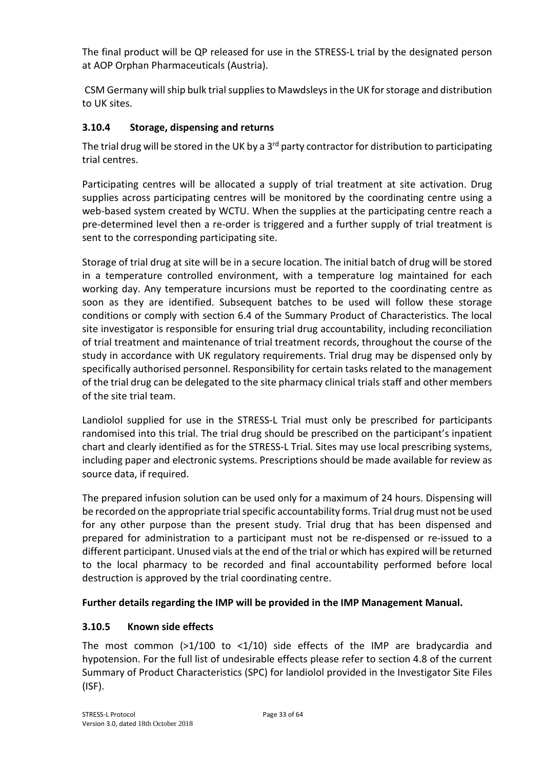The final product will be QP released for use in the STRESS-L trial by the designated person at AOP Orphan Pharmaceuticals (Austria).

 CSM Germany will ship bulk trial supplies to Mawdsleys in the UK for storage and distribution to UK sites.

## **3.10.4 Storage, dispensing and returns**

The trial drug will be stored in the UK by a 3<sup>rd</sup> party contractor for distribution to participating trial centres.

Participating centres will be allocated a supply of trial treatment at site activation. Drug supplies across participating centres will be monitored by the coordinating centre using a web-based system created by WCTU. When the supplies at the participating centre reach a pre-determined level then a re-order is triggered and a further supply of trial treatment is sent to the corresponding participating site.

Storage of trial drug at site will be in a secure location. The initial batch of drug will be stored in a temperature controlled environment, with a temperature log maintained for each working day. Any temperature incursions must be reported to the coordinating centre as soon as they are identified. Subsequent batches to be used will follow these storage conditions or comply with section 6.4 of the Summary Product of Characteristics. The local site investigator is responsible for ensuring trial drug accountability, including reconciliation of trial treatment and maintenance of trial treatment records, throughout the course of the study in accordance with UK regulatory requirements. Trial drug may be dispensed only by specifically authorised personnel. Responsibility for certain tasks related to the management of the trial drug can be delegated to the site pharmacy clinical trials staff and other members of the site trial team.

Landiolol supplied for use in the STRESS-L Trial must only be prescribed for participants randomised into this trial. The trial drug should be prescribed on the participant's inpatient chart and clearly identified as for the STRESS-L Trial. Sites may use local prescribing systems, including paper and electronic systems. Prescriptions should be made available for review as source data, if required.

The prepared infusion solution can be used only for a maximum of 24 hours. Dispensing will be recorded on the appropriate trial specific accountability forms. Trial drug must not be used for any other purpose than the present study. Trial drug that has been dispensed and prepared for administration to a participant must not be re-dispensed or re-issued to a different participant. Unused vials at the end of the trial or which has expired will be returned to the local pharmacy to be recorded and final accountability performed before local destruction is approved by the trial coordinating centre.

## **Further details regarding the IMP will be provided in the IMP Management Manual.**

## **3.10.5 Known side effects**

The most common  $(>1/100$  to  $<1/10$ ) side effects of the IMP are bradycardia and hypotension. For the full list of undesirable effects please refer to section 4.8 of the current Summary of Product Characteristics (SPC) for landiolol provided in the Investigator Site Files (ISF).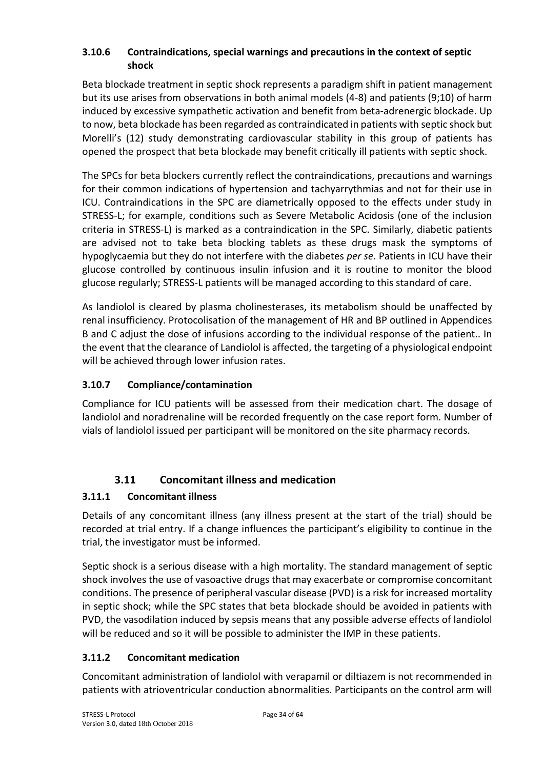#### **3.10.6 Contraindications, special warnings and precautions in the context of septic shock**

Beta blockade treatment in septic shock represents a paradigm shift in patient management but its use arises from observations in both animal models (4-8) and patients (9;10) of harm induced by excessive sympathetic activation and benefit from beta-adrenergic blockade. Up to now, beta blockade has been regarded as contraindicated in patients with septic shock but Morelli's (12) study demonstrating cardiovascular stability in this group of patients has opened the prospect that beta blockade may benefit critically ill patients with septic shock.

The SPCs for beta blockers currently reflect the contraindications, precautions and warnings for their common indications of hypertension and tachyarrythmias and not for their use in ICU. Contraindications in the SPC are diametrically opposed to the effects under study in STRESS-L; for example, conditions such as Severe Metabolic Acidosis (one of the inclusion criteria in STRESS-L) is marked as a contraindication in the SPC. Similarly, diabetic patients are advised not to take beta blocking tablets as these drugs mask the symptoms of hypoglycaemia but they do not interfere with the diabetes *per se*. Patients in ICU have their glucose controlled by continuous insulin infusion and it is routine to monitor the blood glucose regularly; STRESS-L patients will be managed according to this standard of care.

As landiolol is cleared by plasma cholinesterases, its metabolism should be unaffected by renal insufficiency. Protocolisation of the management of HR and BP outlined in Appendices B and C adjust the dose of infusions according to the individual response of the patient.. In the event that the clearance of Landiolol is affected, the targeting of a physiological endpoint will be achieved through lower infusion rates.

## **3.10.7 Compliance/contamination**

Compliance for ICU patients will be assessed from their medication chart. The dosage of landiolol and noradrenaline will be recorded frequently on the case report form. Number of vials of landiolol issued per participant will be monitored on the site pharmacy records.

# **3.11 Concomitant illness and medication**

## **3.11.1 Concomitant illness**

Details of any concomitant illness (any illness present at the start of the trial) should be recorded at trial entry. If a change influences the participant's eligibility to continue in the trial, the investigator must be informed.

Septic shock is a serious disease with a high mortality. The standard management of septic shock involves the use of vasoactive drugs that may exacerbate or compromise concomitant conditions. The presence of peripheral vascular disease (PVD) is a risk for increased mortality in septic shock; while the SPC states that beta blockade should be avoided in patients with PVD, the vasodilation induced by sepsis means that any possible adverse effects of landiolol will be reduced and so it will be possible to administer the IMP in these patients.

## **3.11.2 Concomitant medication**

Concomitant administration of landiolol with verapamil or diltiazem is not recommended in patients with atrioventricular conduction abnormalities. Participants on the control arm will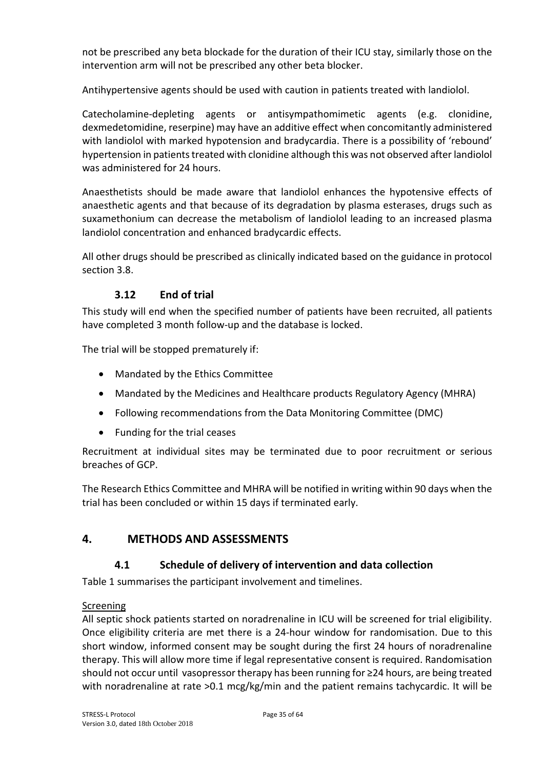not be prescribed any beta blockade for the duration of their ICU stay, similarly those on the intervention arm will not be prescribed any other beta blocker.

Antihypertensive agents should be used with caution in patients treated with landiolol.

Catecholamine-depleting agents or antisympathomimetic agents (e.g. clonidine, dexmedetomidine, reserpine) may have an additive effect when concomitantly administered with landiolol with marked hypotension and bradycardia. There is a possibility of 'rebound' hypertension in patients treated with clonidine although this was not observed after landiolol was administered for 24 hours.

Anaesthetists should be made aware that landiolol enhances the hypotensive effects of anaesthetic agents and that because of its degradation by plasma esterases, drugs such as suxamethonium can decrease the metabolism of landiolol leading to an increased plasma landiolol concentration and enhanced bradycardic effects.

All other drugs should be prescribed as clinically indicated based on the guidance in protocol section 3.8.

## **3.12 End of trial**

This study will end when the specified number of patients have been recruited, all patients have completed 3 month follow-up and the database is locked.

The trial will be stopped prematurely if:

- Mandated by the Ethics Committee
- Mandated by the Medicines and Healthcare products Regulatory Agency (MHRA)
- Following recommendations from the Data Monitoring Committee (DMC)
- Funding for the trial ceases

Recruitment at individual sites may be terminated due to poor recruitment or serious breaches of GCP.

The Research Ethics Committee and MHRA will be notified in writing within 90 days when the trial has been concluded or within 15 days if terminated early.

## **4. METHODS AND ASSESSMENTS**

#### **4.1 Schedule of delivery of intervention and data collection**

Table 1 summarises the participant involvement and timelines.

#### Screening

All septic shock patients started on noradrenaline in ICU will be screened for trial eligibility. Once eligibility criteria are met there is a 24-hour window for randomisation. Due to this short window, informed consent may be sought during the first 24 hours of noradrenaline therapy. This will allow more time if legal representative consent is required. Randomisation should not occur until vasopressortherapy has been running for ≥24 hours, are being treated with noradrenaline at rate >0.1 mcg/kg/min and the patient remains tachycardic. It will be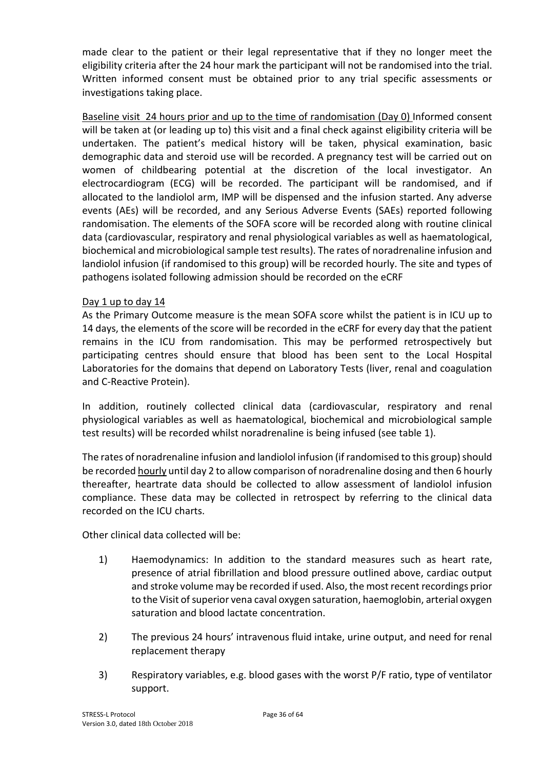made clear to the patient or their legal representative that if they no longer meet the eligibility criteria after the 24 hour mark the participant will not be randomised into the trial. Written informed consent must be obtained prior to any trial specific assessments or investigations taking place.

Baseline visit 24 hours prior and up to the time of randomisation (Day 0) Informed consent will be taken at (or leading up to) this visit and a final check against eligibility criteria will be undertaken. The patient's medical history will be taken, physical examination, basic demographic data and steroid use will be recorded. A pregnancy test will be carried out on women of childbearing potential at the discretion of the local investigator. An electrocardiogram (ECG) will be recorded. The participant will be randomised, and if allocated to the landiolol arm, IMP will be dispensed and the infusion started. Any adverse events (AEs) will be recorded, and any Serious Adverse Events (SAEs) reported following randomisation. The elements of the SOFA score will be recorded along with routine clinical data (cardiovascular, respiratory and renal physiological variables as well as haematological, biochemical and microbiological sample test results). The rates of noradrenaline infusion and landiolol infusion (if randomised to this group) will be recorded hourly. The site and types of pathogens isolated following admission should be recorded on the eCRF

#### Day 1 up to day 14

As the Primary Outcome measure is the mean SOFA score whilst the patient is in ICU up to 14 days, the elements of the score will be recorded in the eCRF for every day that the patient remains in the ICU from randomisation. This may be performed retrospectively but participating centres should ensure that blood has been sent to the Local Hospital Laboratories for the domains that depend on Laboratory Tests (liver, renal and coagulation and C-Reactive Protein).

In addition, routinely collected clinical data (cardiovascular, respiratory and renal physiological variables as well as haematological, biochemical and microbiological sample test results) will be recorded whilst noradrenaline is being infused (see table 1).

The rates of noradrenaline infusion and landiolol infusion (if randomised to this group) should be recorded hourly until day 2 to allow comparison of noradrenaline dosing and then 6 hourly thereafter, heartrate data should be collected to allow assessment of landiolol infusion compliance. These data may be collected in retrospect by referring to the clinical data recorded on the ICU charts.

Other clinical data collected will be:

- 1) Haemodynamics: In addition to the standard measures such as heart rate, presence of atrial fibrillation and blood pressure outlined above, cardiac output and stroke volume may be recorded if used. Also, the most recent recordings prior to the Visit of superior vena caval oxygen saturation, haemoglobin, arterial oxygen saturation and blood lactate concentration.
- 2) The previous 24 hours' intravenous fluid intake, urine output, and need for renal replacement therapy
- 3) Respiratory variables, e.g. blood gases with the worst P/F ratio, type of ventilator support.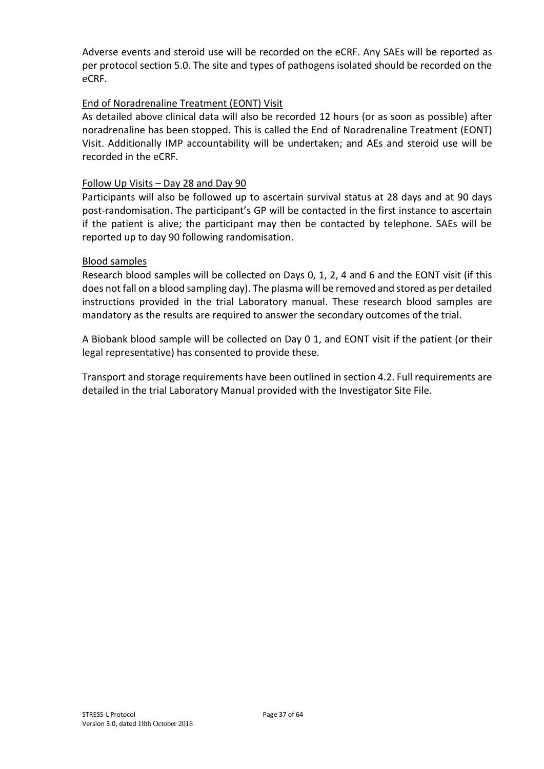Adverse events and steroid use will be recorded on the eCRF. Any SAEs will be reported as per protocol section 5.0. The site and types of pathogens isolated should be recorded on the eCRF.

#### End of Noradrenaline Treatment (EONT) Visit

As detailed above clinical data will also be recorded 12 hours (or as soon as possible) after noradrenaline has been stopped. This is called the End of Noradrenaline Treatment (EONT) Visit. Additionally IMP accountability will be undertaken; and AEs and steroid use will be recorded in the eCRF.

#### Follow Up Visits – Day 28 and Day 90

Participants will also be followed up to ascertain survival status at 28 days and at 90 days post-randomisation. The participant's GP will be contacted in the first instance to ascertain if the patient is alive; the participant may then be contacted by telephone. SAEs will be reported up to day 90 following randomisation.

#### Blood samples

Research blood samples will be collected on Days 0, 1, 2, 4 and 6 and the EONT visit (if this does not fall on a blood sampling day). The plasma will be removed and stored as per detailed instructions provided in the trial Laboratory manual. These research blood samples are mandatory as the results are required to answer the secondary outcomes of the trial.

A Biobank blood sample will be collected on Day 0 1, and EONT visit if the patient (or their legal representative) has consented to provide these.

Transport and storage requirements have been outlined in section 4.2. Full requirements are detailed in the trial Laboratory Manual provided with the Investigator Site File.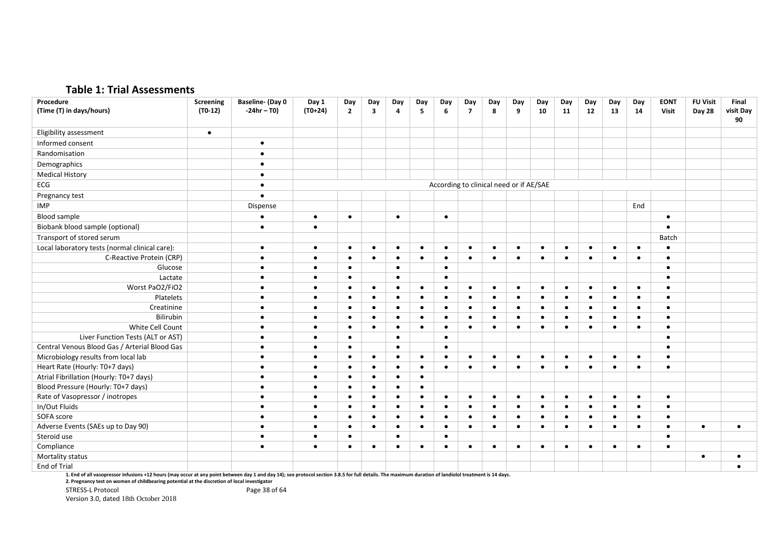#### **Table 1: Trial Assessments**

| Procedure                                      | Screening | <b>Baseline- (Day 0</b> | Day 1     | Day            | Day                     | Day       | Day       | Day       | Day            | Day                                     | Day       | Day       | Day       | Day       | Day       | Day       | <b>EONT</b> | <b>FU Visit</b> | Final     |
|------------------------------------------------|-----------|-------------------------|-----------|----------------|-------------------------|-----------|-----------|-----------|----------------|-----------------------------------------|-----------|-----------|-----------|-----------|-----------|-----------|-------------|-----------------|-----------|
| (Time (T) in days/hours)                       | $(T0-12)$ | $-24hr - T0$            | $(T0+24)$ | $\overline{2}$ | $\overline{\mathbf{3}}$ | 4         | 5         | 6         | $\overline{7}$ | 8                                       | 9         | 10        | 11        | 12        | 13        | 14        | Visit       | Day 28          | visit Day |
|                                                |           |                         |           |                |                         |           |           |           |                |                                         |           |           |           |           |           |           |             |                 | 90        |
| Eligibility assessment                         | $\bullet$ |                         |           |                |                         |           |           |           |                |                                         |           |           |           |           |           |           |             |                 |           |
| Informed consent                               |           | $\bullet$               |           |                |                         |           |           |           |                |                                         |           |           |           |           |           |           |             |                 |           |
| Randomisation                                  |           | $\bullet$               |           |                |                         |           |           |           |                |                                         |           |           |           |           |           |           |             |                 |           |
| Demographics                                   |           | $\bullet$               |           |                |                         |           |           |           |                |                                         |           |           |           |           |           |           |             |                 |           |
| <b>Medical History</b>                         |           | $\bullet$               |           |                |                         |           |           |           |                |                                         |           |           |           |           |           |           |             |                 |           |
| ECG                                            |           |                         |           |                |                         |           |           |           |                | According to clinical need or if AE/SAE |           |           |           |           |           |           |             |                 |           |
| Pregnancy test                                 |           |                         |           |                |                         |           |           |           |                |                                         |           |           |           |           |           |           |             |                 |           |
| <b>IMP</b>                                     |           | Dispense                |           |                |                         |           |           |           |                |                                         |           |           |           |           |           | End       |             |                 |           |
| <b>Blood sample</b>                            |           | $\bullet$               | $\bullet$ | $\bullet$      |                         | $\bullet$ |           | $\bullet$ |                |                                         |           |           |           |           |           |           | $\bullet$   |                 |           |
| Biobank blood sample (optional)                |           | $\bullet$               | $\bullet$ |                |                         |           |           |           |                |                                         |           |           |           |           |           |           |             |                 |           |
| Transport of stored serum                      |           |                         |           |                |                         |           |           |           |                |                                         |           |           |           |           |           |           | Batch       |                 |           |
| Local laboratory tests (normal clinical care): |           | $\bullet$               | $\bullet$ | $\bullet$      | $\bullet$               | $\bullet$ | $\bullet$ | $\bullet$ | $\bullet$      | $\bullet$                               | $\bullet$ | $\bullet$ | $\bullet$ | $\bullet$ | $\bullet$ | $\bullet$ | $\bullet$   |                 |           |
| C-Reactive Protein (CRP)                       |           | $\bullet$               | $\bullet$ | $\bullet$      | $\bullet$               | $\bullet$ | $\bullet$ | $\bullet$ | $\bullet$      | $\bullet$                               | $\bullet$ | $\bullet$ | $\bullet$ | $\bullet$ | $\bullet$ | $\bullet$ | $\bullet$   |                 |           |
| Glucose                                        |           | ٠                       | $\bullet$ | $\bullet$      |                         | $\bullet$ |           | $\bullet$ |                |                                         |           |           |           |           |           |           |             |                 |           |
| Lactate                                        |           | $\bullet$               | $\bullet$ | $\bullet$      |                         | $\bullet$ |           | $\bullet$ |                |                                         |           |           |           |           |           |           | ٠           |                 |           |
| Worst PaO2/FiO2                                |           | ٠                       | $\bullet$ | ٠              | $\bullet$               | ٠         | $\bullet$ | ٠         | $\bullet$      | ٠                                       | $\bullet$ | $\bullet$ | $\bullet$ | $\bullet$ | $\bullet$ | $\bullet$ | $\bullet$   |                 |           |
| Platelets                                      |           | $\bullet$               | $\bullet$ | $\bullet$      | $\bullet$               | $\bullet$ | $\bullet$ | $\bullet$ | $\bullet$      | ٠                                       | $\bullet$ | $\bullet$ | $\bullet$ | $\bullet$ | $\bullet$ | $\bullet$ | $\bullet$   |                 |           |
| Creatinine                                     |           | $\bullet$               | $\bullet$ | $\bullet$      | $\bullet$               | ٠         | $\bullet$ | $\bullet$ | $\bullet$      | ٠                                       | $\bullet$ | $\bullet$ | $\bullet$ | $\bullet$ | $\bullet$ | $\bullet$ | $\bullet$   |                 |           |
| Bilirubin                                      |           | $\bullet$               | $\bullet$ | $\bullet$      | $\bullet$               | ٠         | $\bullet$ | $\bullet$ | $\bullet$      | ٠                                       | $\bullet$ | $\bullet$ | $\bullet$ | $\bullet$ | $\bullet$ | $\bullet$ | $\bullet$   |                 |           |
| White Cell Count                               |           | $\bullet$               | $\bullet$ | $\bullet$      | $\bullet$               | $\bullet$ | $\bullet$ | $\bullet$ | $\bullet$      | $\bullet$                               | $\bullet$ | $\bullet$ | $\bullet$ | $\bullet$ | $\bullet$ | $\bullet$ | $\bullet$   |                 |           |
| Liver Function Tests (ALT or AST)              |           | $\bullet$               | $\bullet$ | $\bullet$      |                         | $\bullet$ |           | $\bullet$ |                |                                         |           |           |           |           |           |           | $\bullet$   |                 |           |
| Central Venous Blood Gas / Arterial Blood Gas  |           | $\bullet$               | $\bullet$ | $\bullet$      |                         | $\bullet$ |           | $\bullet$ |                |                                         |           |           |           |           |           |           | $\bullet$   |                 |           |
| Microbiology results from local lab            |           |                         | $\bullet$ | $\bullet$      | $\bullet$               | $\bullet$ | $\bullet$ | $\bullet$ | $\bullet$      | $\bullet$                               | $\bullet$ | $\bullet$ | $\bullet$ | $\bullet$ | $\bullet$ | $\bullet$ | $\bullet$   |                 |           |
| Heart Rate (Hourly: T0+7 days)                 |           |                         | $\bullet$ | $\bullet$      | $\bullet$               | ٠         | $\bullet$ | $\bullet$ | $\bullet$      |                                         | $\bullet$ | $\bullet$ | $\bullet$ | $\bullet$ | $\bullet$ | $\bullet$ | $\bullet$   |                 |           |
| Atrial Fibrillation (Hourly: T0+7 days)        |           |                         | $\bullet$ | $\bullet$      | $\bullet$               | $\bullet$ | $\bullet$ |           |                |                                         |           |           |           |           |           |           |             |                 |           |
| Blood Pressure (Hourly: T0+7 days)             |           | $\bullet$               | $\bullet$ | $\bullet$      | $\bullet$               | $\bullet$ | $\bullet$ |           |                |                                         |           |           |           |           |           |           |             |                 |           |
| Rate of Vasopressor / inotropes                |           | $\bullet$               | $\bullet$ | $\bullet$      | $\bullet$               | $\bullet$ | $\bullet$ | $\bullet$ | $\bullet$      | $\bullet$                               | $\bullet$ | $\bullet$ | $\bullet$ | $\bullet$ | $\bullet$ | $\bullet$ | $\bullet$   |                 |           |
| In/Out Fluids                                  |           | $\bullet$               | $\bullet$ | $\bullet$      | $\bullet$               | $\bullet$ | $\bullet$ | $\bullet$ | $\bullet$      | $\bullet$                               | $\bullet$ | $\bullet$ | $\bullet$ | $\bullet$ | $\bullet$ | $\bullet$ | $\bullet$   |                 |           |
| SOFA score                                     |           | $\bullet$               | $\bullet$ | $\bullet$      | $\bullet$               | $\bullet$ | $\bullet$ | $\bullet$ | $\bullet$      | $\bullet$                               | $\bullet$ | $\bullet$ | $\bullet$ | $\bullet$ | $\bullet$ | $\bullet$ | $\bullet$   |                 |           |
| Adverse Events (SAEs up to Day 90)             |           | $\bullet$               | $\bullet$ | $\bullet$      | $\bullet$               | $\bullet$ | $\bullet$ | $\bullet$ | $\bullet$      | $\bullet$                               | $\bullet$ | $\bullet$ | $\bullet$ | $\bullet$ | $\bullet$ | $\bullet$ | $\bullet$   | $\bullet$       | $\bullet$ |
| Steroid use                                    |           | $\bullet$               | $\bullet$ | $\bullet$      |                         | $\bullet$ |           | $\bullet$ |                |                                         |           |           |           |           |           |           | $\bullet$   |                 |           |
| Compliance                                     |           | $\bullet$               | $\bullet$ | $\bullet$      | $\bullet$               | $\bullet$ | $\bullet$ | $\bullet$ | $\bullet$      | $\bullet$                               | $\bullet$ | $\bullet$ | $\bullet$ | $\bullet$ | $\bullet$ | $\bullet$ | $\epsilon$  |                 |           |
| Mortality status                               |           |                         |           |                |                         |           |           |           |                |                                         |           |           |           |           |           |           |             | $\bullet$       | $\bullet$ |
| End of Trial                                   |           |                         |           |                |                         |           |           |           |                |                                         |           |           |           |           |           |           |             |                 |           |

**1. End of all vasopressor infusions +12 hours (may occur at any point between day 1 and day 14); see protocol section 3.8.5 for full details. The maximum duration of landiolol treatment is 14 days.** 

**2. Pregnancy test on women of childbearing potential at the discretion of local investigator**

STRESS-L Protocol and Page 38 of 64 Version 3.0, dated 18th October 2018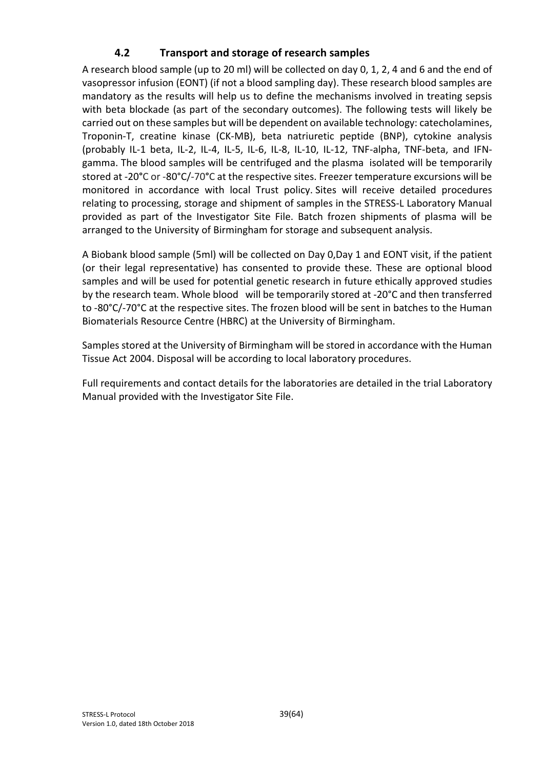# **4.2 Transport and storage of research samples**

A research blood sample (up to 20 ml) will be collected on day 0, 1, 2, 4 and 6 and the end of vasopressor infusion (EONT) (if not a blood sampling day). These research blood samples are mandatory as the results will help us to define the mechanisms involved in treating sepsis with beta blockade (as part of the secondary outcomes). The following tests will likely be carried out on these samples but will be dependent on available technology: catecholamines, Troponin-T, creatine kinase (CK-MB), beta natriuretic peptide (BNP), cytokine analysis (probably IL-1 beta, IL-2, IL-4, IL-5, IL-6, IL-8, IL-10, IL-12, TNF-alpha, TNF-beta, and IFNgamma. The blood samples will be centrifuged and the plasma isolated will be temporarily stored at -20**°**C or -80°C/-70**°**C at the respective sites. Freezer temperature excursions will be monitored in accordance with local Trust policy. Sites will receive detailed procedures relating to processing, storage and shipment of samples in the STRESS-L Laboratory Manual provided as part of the Investigator Site File. Batch frozen shipments of plasma will be arranged to the University of Birmingham for storage and subsequent analysis.

A Biobank blood sample (5ml) will be collected on Day 0,Day 1 and EONT visit, if the patient (or their legal representative) has consented to provide these. These are optional blood samples and will be used for potential genetic research in future ethically approved studies by the research team. Whole blood will be temporarily stored at -20°C and then transferred to -80°C/-70°C at the respective sites. The frozen blood will be sent in batches to the Human Biomaterials Resource Centre (HBRC) at the University of Birmingham.

Samples stored at the University of Birmingham will be stored in accordance with the Human Tissue Act 2004. Disposal will be according to local laboratory procedures.

Full requirements and contact details for the laboratories are detailed in the trial Laboratory Manual provided with the Investigator Site File.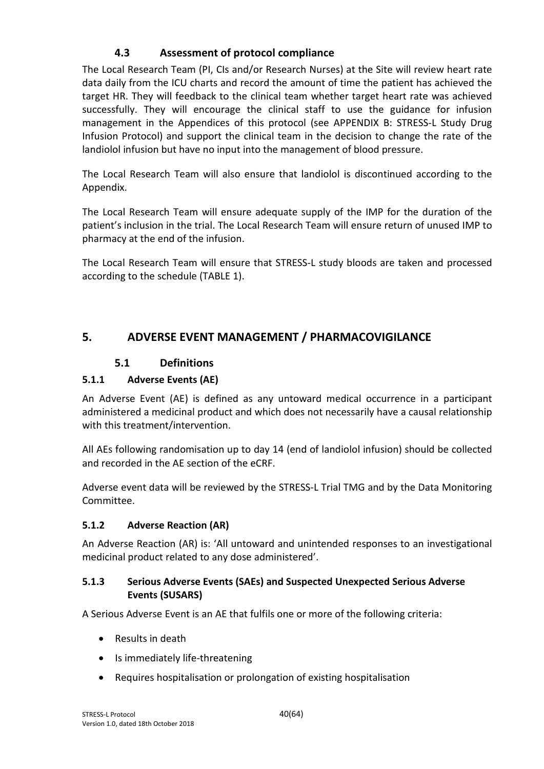# **4.3 Assessment of protocol compliance**

The Local Research Team (PI, CIs and/or Research Nurses) at the Site will review heart rate data daily from the ICU charts and record the amount of time the patient has achieved the target HR. They will feedback to the clinical team whether target heart rate was achieved successfully. They will encourage the clinical staff to use the guidance for infusion management in the Appendices of this protocol (see APPENDIX B: STRESS-L Study Drug Infusion Protocol) and support the clinical team in the decision to change the rate of the landiolol infusion but have no input into the management of blood pressure.

The Local Research Team will also ensure that landiolol is discontinued according to the Appendix.

The Local Research Team will ensure adequate supply of the IMP for the duration of the patient's inclusion in the trial. The Local Research Team will ensure return of unused IMP to pharmacy at the end of the infusion.

The Local Research Team will ensure that STRESS-L study bloods are taken and processed according to the schedule (TABLE 1).

# **5. ADVERSE EVENT MANAGEMENT / PHARMACOVIGILANCE**

## **5.1 Definitions**

# **5.1.1 Adverse Events (AE)**

An Adverse Event (AE) is defined as any untoward medical occurrence in a participant administered a medicinal product and which does not necessarily have a causal relationship with this treatment/intervention.

All AEs following randomisation up to day 14 (end of landiolol infusion) should be collected and recorded in the AE section of the eCRF.

Adverse event data will be reviewed by the STRESS-L Trial TMG and by the Data Monitoring Committee.

## **5.1.2 Adverse Reaction (AR)**

An Adverse Reaction (AR) is: 'All untoward and unintended responses to an investigational medicinal product related to any dose administered'.

## **5.1.3 Serious Adverse Events (SAEs) and Suspected Unexpected Serious Adverse Events (SUSARS)**

A Serious Adverse Event is an AE that fulfils one or more of the following criteria:

- Results in death
- Is immediately life-threatening
- Requires hospitalisation or prolongation of existing hospitalisation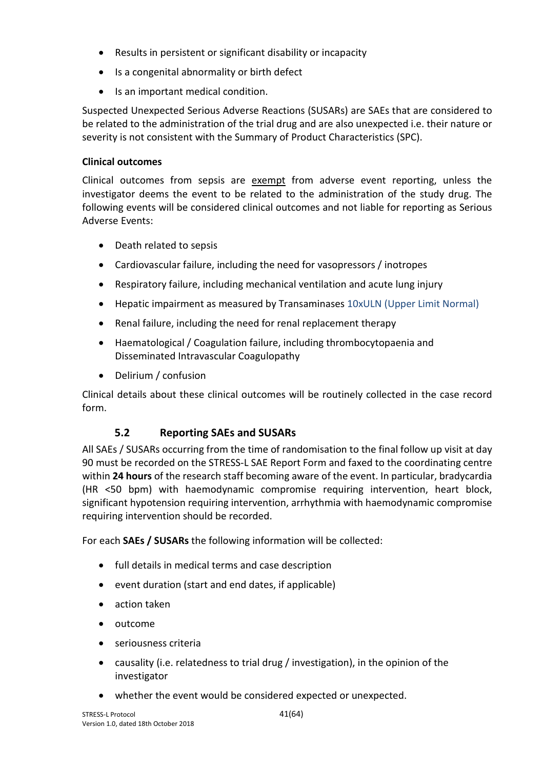- Results in persistent or significant disability or incapacity
- Is a congenital abnormality or birth defect
- Is an important medical condition.

Suspected Unexpected Serious Adverse Reactions (SUSARs) are SAEs that are considered to be related to the administration of the trial drug and are also unexpected i.e. their nature or severity is not consistent with the Summary of Product Characteristics (SPC).

#### **Clinical outcomes**

Clinical outcomes from sepsis are exempt from adverse event reporting, unless the investigator deems the event to be related to the administration of the study drug. The following events will be considered clinical outcomes and not liable for reporting as Serious Adverse Events:

- Death related to sepsis
- Cardiovascular failure, including the need for vasopressors / inotropes
- Respiratory failure, including mechanical ventilation and acute lung injury
- Hepatic impairment as measured by Transaminases 10xULN (Upper Limit Normal)
- Renal failure, including the need for renal replacement therapy
- Haematological / Coagulation failure, including thrombocytopaenia and Disseminated Intravascular Coagulopathy
- Delirium / confusion

Clinical details about these clinical outcomes will be routinely collected in the case record form.

# **5.2 Reporting SAEs and SUSARs**

All SAEs / SUSARs occurring from the time of randomisation to the final follow up visit at day 90 must be recorded on the STRESS-L SAE Report Form and faxed to the coordinating centre within **24 hours** of the research staff becoming aware of the event. In particular, bradycardia (HR <50 bpm) with haemodynamic compromise requiring intervention, heart block, significant hypotension requiring intervention, arrhythmia with haemodynamic compromise requiring intervention should be recorded.

For each **SAEs / SUSARs** the following information will be collected:

- full details in medical terms and case description
- event duration (start and end dates, if applicable)
- action taken
- outcome
- seriousness criteria
- causality (i.e. relatedness to trial drug / investigation), in the opinion of the investigator
- whether the event would be considered expected or unexpected.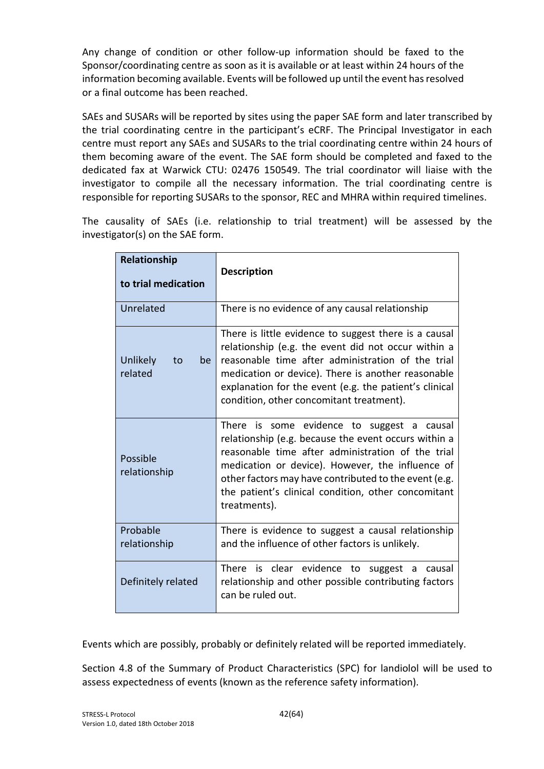Any change of condition or other follow-up information should be faxed to the Sponsor/coordinating centre as soon as it is available or at least within 24 hours of the information becoming available. Events will be followed up until the event has resolved or a final outcome has been reached.

SAEs and SUSARs will be reported by sites using the paper SAE form and later transcribed by the trial coordinating centre in the participant's eCRF. The Principal Investigator in each centre must report any SAEs and SUSARs to the trial coordinating centre within 24 hours of them becoming aware of the event. The SAE form should be completed and faxed to the dedicated fax at Warwick CTU: 02476 150549. The trial coordinator will liaise with the investigator to compile all the necessary information. The trial coordinating centre is responsible for reporting SUSARs to the sponsor, REC and MHRA within required timelines.

The causality of SAEs (i.e. relationship to trial treatment) will be assessed by the investigator(s) on the SAE form.

| Relationship<br>to trial medication | <b>Description</b>                                                                                                                                                                                                                                                                                                                          |
|-------------------------------------|---------------------------------------------------------------------------------------------------------------------------------------------------------------------------------------------------------------------------------------------------------------------------------------------------------------------------------------------|
| Unrelated                           | There is no evidence of any causal relationship                                                                                                                                                                                                                                                                                             |
| Unlikely<br>be<br>to<br>related     | There is little evidence to suggest there is a causal<br>relationship (e.g. the event did not occur within a<br>reasonable time after administration of the trial<br>medication or device). There is another reasonable<br>explanation for the event (e.g. the patient's clinical<br>condition, other concomitant treatment).               |
| Possible<br>relationship            | There is some evidence to suggest a causal<br>relationship (e.g. because the event occurs within a<br>reasonable time after administration of the trial<br>medication or device). However, the influence of<br>other factors may have contributed to the event (e.g.<br>the patient's clinical condition, other concomitant<br>treatments). |
| Probable<br>relationship            | There is evidence to suggest a causal relationship<br>and the influence of other factors is unlikely.                                                                                                                                                                                                                                       |
| Definitely related                  | There is clear evidence to suggest a<br>causal<br>relationship and other possible contributing factors<br>can be ruled out.                                                                                                                                                                                                                 |

Events which are possibly, probably or definitely related will be reported immediately.

Section 4.8 of the Summary of Product Characteristics (SPC) for landiolol will be used to assess expectedness of events (known as the reference safety information).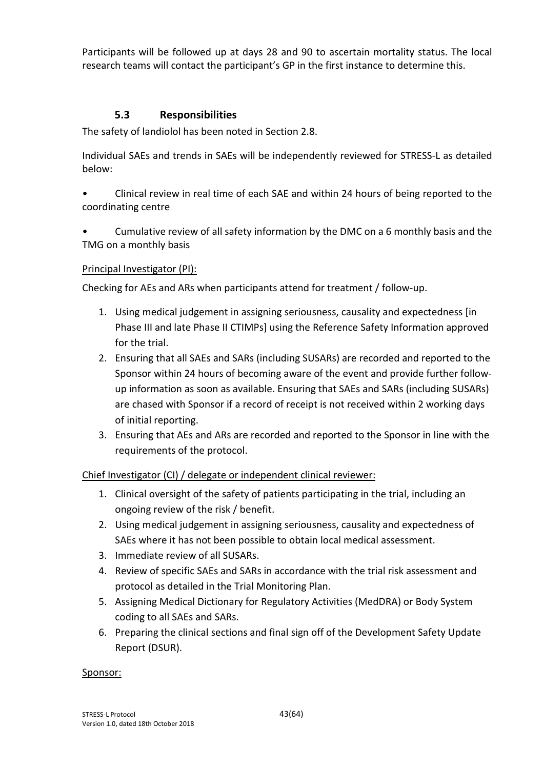Participants will be followed up at days 28 and 90 to ascertain mortality status. The local research teams will contact the participant's GP in the first instance to determine this.

#### **5.3 Responsibilities**

The safety of landiolol has been noted in Section 2.8.

Individual SAEs and trends in SAEs will be independently reviewed for STRESS-L as detailed below:

- Clinical review in real time of each SAE and within 24 hours of being reported to the coordinating centre
- Cumulative review of all safety information by the DMC on a 6 monthly basis and the TMG on a monthly basis

#### Principal Investigator (PI):

Checking for AEs and ARs when participants attend for treatment / follow-up.

- 1. Using medical judgement in assigning seriousness, causality and expectedness [in Phase III and late Phase II CTIMPs] using the Reference Safety Information approved for the trial.
- 2. Ensuring that all SAEs and SARs (including SUSARs) are recorded and reported to the Sponsor within 24 hours of becoming aware of the event and provide further followup information as soon as available. Ensuring that SAEs and SARs (including SUSARs) are chased with Sponsor if a record of receipt is not received within 2 working days of initial reporting.
- 3. Ensuring that AEs and ARs are recorded and reported to the Sponsor in line with the requirements of the protocol.

#### Chief Investigator (CI) / delegate or independent clinical reviewer:

- 1. Clinical oversight of the safety of patients participating in the trial, including an ongoing review of the risk / benefit.
- 2. Using medical judgement in assigning seriousness, causality and expectedness of SAEs where it has not been possible to obtain local medical assessment.
- 3. Immediate review of all SUSARs.
- 4. Review of specific SAEs and SARs in accordance with the trial risk assessment and protocol as detailed in the Trial Monitoring Plan.
- 5. Assigning Medical Dictionary for Regulatory Activities (MedDRA) or Body System coding to all SAEs and SARs.
- 6. Preparing the clinical sections and final sign off of the Development Safety Update Report (DSUR).

#### Sponsor: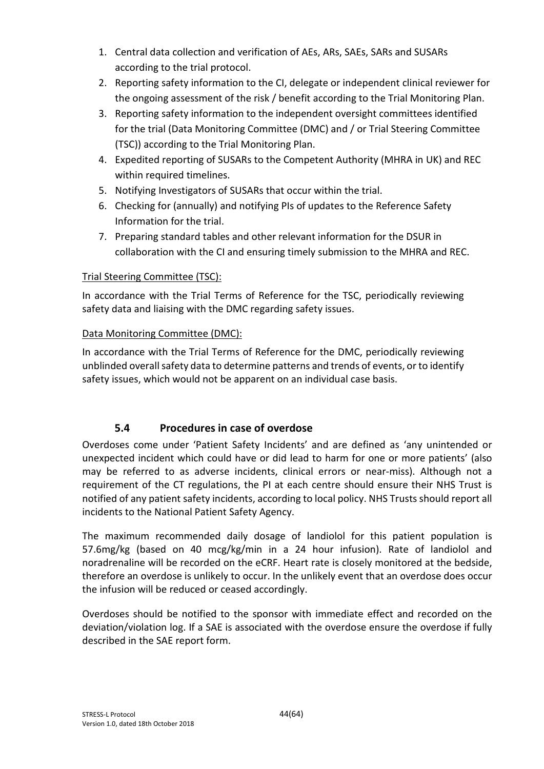- 1. Central data collection and verification of AEs, ARs, SAEs, SARs and SUSARs according to the trial protocol.
- 2. Reporting safety information to the CI, delegate or independent clinical reviewer for the ongoing assessment of the risk / benefit according to the Trial Monitoring Plan.
- 3. Reporting safety information to the independent oversight committees identified for the trial (Data Monitoring Committee (DMC) and / or Trial Steering Committee (TSC)) according to the Trial Monitoring Plan.
- 4. Expedited reporting of SUSARs to the Competent Authority (MHRA in UK) and REC within required timelines.
- 5. Notifying Investigators of SUSARs that occur within the trial.
- 6. Checking for (annually) and notifying PIs of updates to the Reference Safety Information for the trial.
- 7. Preparing standard tables and other relevant information for the DSUR in collaboration with the CI and ensuring timely submission to the MHRA and REC.

## Trial Steering Committee (TSC):

In accordance with the Trial Terms of Reference for the TSC, periodically reviewing safety data and liaising with the DMC regarding safety issues.

## Data Monitoring Committee (DMC):

In accordance with the Trial Terms of Reference for the DMC, periodically reviewing unblinded overall safety data to determine patterns and trends of events, or to identify safety issues, which would not be apparent on an individual case basis.

# **5.4 Procedures in case of overdose**

Overdoses come under 'Patient Safety Incidents' and are defined as 'any unintended or unexpected incident which could have or did lead to harm for one or more patients' (also may be referred to as adverse incidents, clinical errors or near-miss). Although not a requirement of the CT regulations, the PI at each centre should ensure their NHS Trust is notified of any patient safety incidents, according to local policy. NHS Trusts should report all incidents to the National Patient Safety Agency.

The maximum recommended daily dosage of landiolol for this patient population is 57.6mg/kg (based on 40 mcg/kg/min in a 24 hour infusion). Rate of landiolol and noradrenaline will be recorded on the eCRF. Heart rate is closely monitored at the bedside, therefore an overdose is unlikely to occur. In the unlikely event that an overdose does occur the infusion will be reduced or ceased accordingly.

Overdoses should be notified to the sponsor with immediate effect and recorded on the deviation/violation log. If a SAE is associated with the overdose ensure the overdose if fully described in the SAE report form.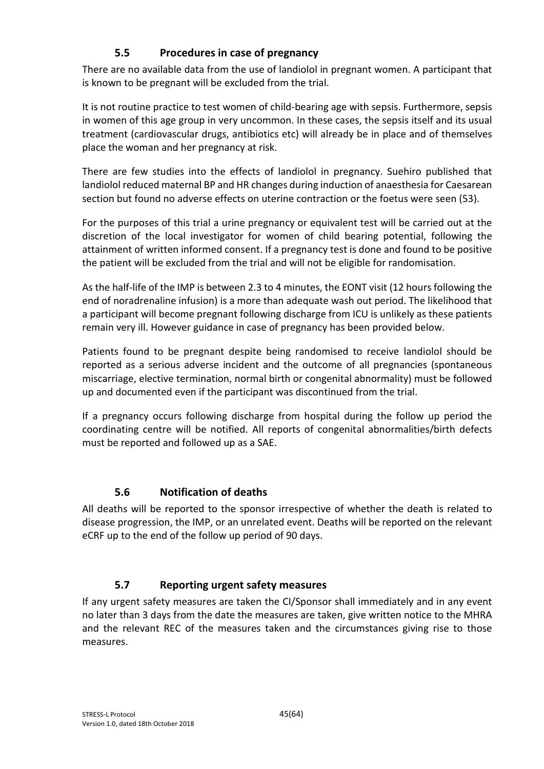# **5.5 Procedures in case of pregnancy**

There are no available data from the use of landiolol in pregnant women. A participant that is known to be pregnant will be excluded from the trial.

It is not routine practice to test women of child-bearing age with sepsis. Furthermore, sepsis in women of this age group in very uncommon. In these cases, the sepsis itself and its usual treatment (cardiovascular drugs, antibiotics etc) will already be in place and of themselves place the woman and her pregnancy at risk.

There are few studies into the effects of landiolol in pregnancy. Suehiro published that landiolol reduced maternal BP and HR changes during induction of anaesthesia for Caesarean section but found no adverse effects on uterine contraction or the foetus were seen (53).

For the purposes of this trial a urine pregnancy or equivalent test will be carried out at the discretion of the local investigator for women of child bearing potential, following the attainment of written informed consent. If a pregnancy test is done and found to be positive the patient will be excluded from the trial and will not be eligible for randomisation.

As the half-life of the IMP is between 2.3 to 4 minutes, the EONT visit (12 hours following the end of noradrenaline infusion) is a more than adequate wash out period. The likelihood that a participant will become pregnant following discharge from ICU is unlikely as these patients remain very ill. However guidance in case of pregnancy has been provided below.

Patients found to be pregnant despite being randomised to receive landiolol should be reported as a serious adverse incident and the outcome of all pregnancies (spontaneous miscarriage, elective termination, normal birth or congenital abnormality) must be followed up and documented even if the participant was discontinued from the trial.

If a pregnancy occurs following discharge from hospital during the follow up period the coordinating centre will be notified. All reports of congenital abnormalities/birth defects must be reported and followed up as a SAE.

## **5.6 Notification of deaths**

All deaths will be reported to the sponsor irrespective of whether the death is related to disease progression, the IMP, or an unrelated event. Deaths will be reported on the relevant eCRF up to the end of the follow up period of 90 days.

## **5.7 Reporting urgent safety measures**

If any urgent safety measures are taken the CI/Sponsor shall immediately and in any event no later than 3 days from the date the measures are taken, give written notice to the MHRA and the relevant REC of the measures taken and the circumstances giving rise to those measures.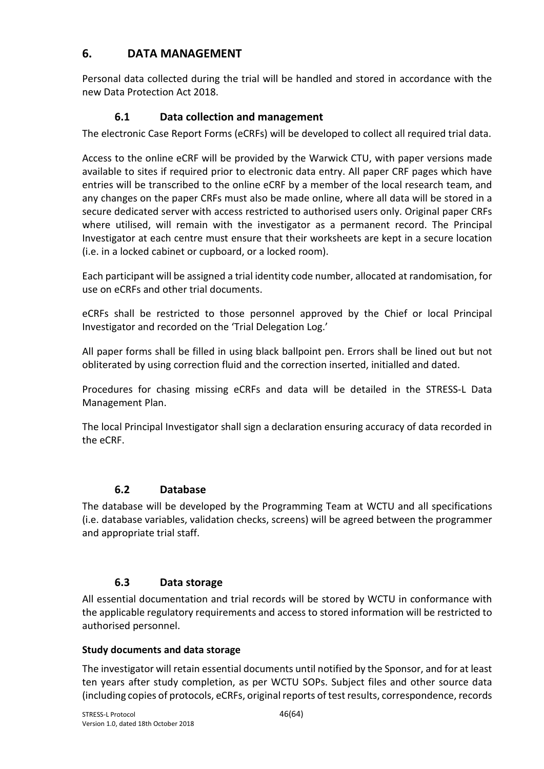# **6. DATA MANAGEMENT**

Personal data collected during the trial will be handled and stored in accordance with the new Data Protection Act 2018.

# **6.1 Data collection and management**

The electronic Case Report Forms (eCRFs) will be developed to collect all required trial data.

Access to the online eCRF will be provided by the Warwick CTU, with paper versions made available to sites if required prior to electronic data entry. All paper CRF pages which have entries will be transcribed to the online eCRF by a member of the local research team, and any changes on the paper CRFs must also be made online, where all data will be stored in a secure dedicated server with access restricted to authorised users only. Original paper CRFs where utilised, will remain with the investigator as a permanent record. The Principal Investigator at each centre must ensure that their worksheets are kept in a secure location (i.e. in a locked cabinet or cupboard, or a locked room).

Each participant will be assigned a trial identity code number, allocated at randomisation, for use on eCRFs and other trial documents.

eCRFs shall be restricted to those personnel approved by the Chief or local Principal Investigator and recorded on the 'Trial Delegation Log.'

All paper forms shall be filled in using black ballpoint pen. Errors shall be lined out but not obliterated by using correction fluid and the correction inserted, initialled and dated.

Procedures for chasing missing eCRFs and data will be detailed in the STRESS-L Data Management Plan.

The local Principal Investigator shall sign a declaration ensuring accuracy of data recorded in the eCRF.

## **6.2 Database**

The database will be developed by the Programming Team at WCTU and all specifications (i.e. database variables, validation checks, screens) will be agreed between the programmer and appropriate trial staff.

## **6.3 Data storage**

All essential documentation and trial records will be stored by WCTU in conformance with the applicable regulatory requirements and access to stored information will be restricted to authorised personnel.

#### **Study documents and data storage**

The investigator will retain essential documents until notified by the Sponsor, and for at least ten years after study completion, as per WCTU SOPs. Subject files and other source data (including copies of protocols, eCRFs, original reports of test results, correspondence, records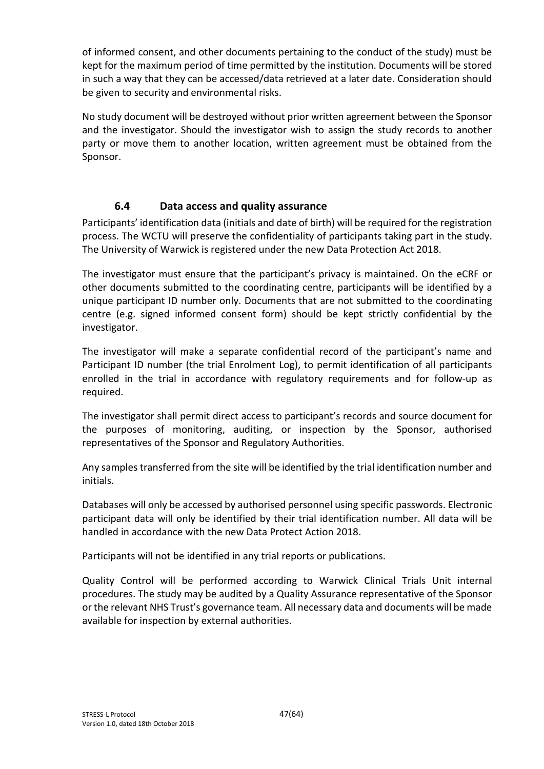of informed consent, and other documents pertaining to the conduct of the study) must be kept for the maximum period of time permitted by the institution. Documents will be stored in such a way that they can be accessed/data retrieved at a later date. Consideration should be given to security and environmental risks.

No study document will be destroyed without prior written agreement between the Sponsor and the investigator. Should the investigator wish to assign the study records to another party or move them to another location, written agreement must be obtained from the Sponsor.

## **6.4 Data access and quality assurance**

Participants' identification data (initials and date of birth) will be required for the registration process. The WCTU will preserve the confidentiality of participants taking part in the study. The University of Warwick is registered under the new Data Protection Act 2018.

The investigator must ensure that the participant's privacy is maintained. On the eCRF or other documents submitted to the coordinating centre, participants will be identified by a unique participant ID number only. Documents that are not submitted to the coordinating centre (e.g. signed informed consent form) should be kept strictly confidential by the investigator.

The investigator will make a separate confidential record of the participant's name and Participant ID number (the trial Enrolment Log), to permit identification of all participants enrolled in the trial in accordance with regulatory requirements and for follow-up as required.

The investigator shall permit direct access to participant's records and source document for the purposes of monitoring, auditing, or inspection by the Sponsor, authorised representatives of the Sponsor and Regulatory Authorities.

Any samples transferred from the site will be identified by the trial identification number and initials.

Databases will only be accessed by authorised personnel using specific passwords. Electronic participant data will only be identified by their trial identification number. All data will be handled in accordance with the new Data Protect Action 2018.

Participants will not be identified in any trial reports or publications.

Quality Control will be performed according to Warwick Clinical Trials Unit internal procedures. The study may be audited by a Quality Assurance representative of the Sponsor or the relevant NHS Trust's governance team. All necessary data and documents will be made available for inspection by external authorities.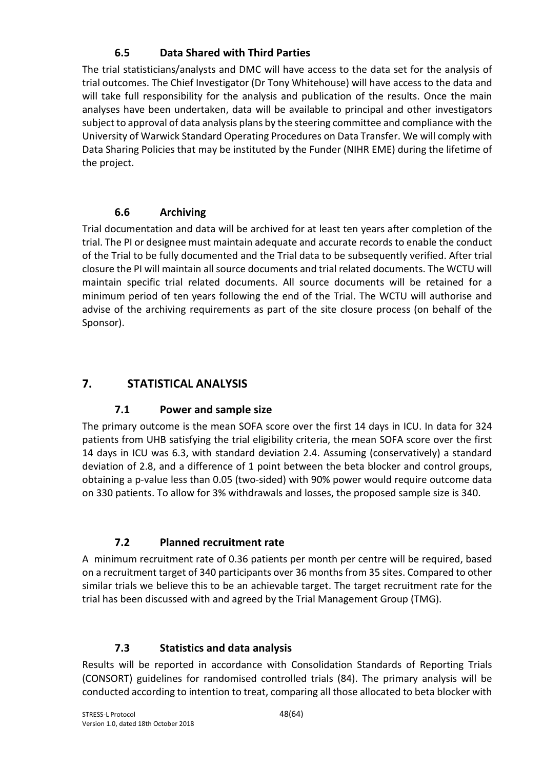# **6.5 Data Shared with Third Parties**

The trial statisticians/analysts and DMC will have access to the data set for the analysis of trial outcomes. The Chief Investigator (Dr Tony Whitehouse) will have access to the data and will take full responsibility for the analysis and publication of the results. Once the main analyses have been undertaken, data will be available to principal and other investigators subject to approval of data analysis plans by the steering committee and compliance with the University of Warwick Standard Operating Procedures on Data Transfer. We will comply with Data Sharing Policies that may be instituted by the Funder (NIHR EME) during the lifetime of the project.

# **6.6 Archiving**

Trial documentation and data will be archived for at least ten years after completion of the trial. The PI or designee must maintain adequate and accurate records to enable the conduct of the Trial to be fully documented and the Trial data to be subsequently verified. After trial closure the PI will maintain all source documents and trial related documents. The WCTU will maintain specific trial related documents. All source documents will be retained for a minimum period of ten years following the end of the Trial. The WCTU will authorise and advise of the archiving requirements as part of the site closure process (on behalf of the Sponsor).

# **7. STATISTICAL ANALYSIS**

# **7.1 Power and sample size**

The primary outcome is the mean SOFA score over the first 14 days in ICU. In data for 324 patients from UHB satisfying the trial eligibility criteria, the mean SOFA score over the first 14 days in ICU was 6.3, with standard deviation 2.4. Assuming (conservatively) a standard deviation of 2.8, and a difference of 1 point between the beta blocker and control groups, obtaining a p-value less than 0.05 (two-sided) with 90% power would require outcome data on 330 patients. To allow for 3% withdrawals and losses, the proposed sample size is 340.

# **7.2 Planned recruitment rate**

A minimum recruitment rate of 0.36 patients per month per centre will be required, based on a recruitment target of 340 participants over 36 months from 35 sites. Compared to other similar trials we believe this to be an achievable target. The target recruitment rate for the trial has been discussed with and agreed by the Trial Management Group (TMG).

# **7.3 Statistics and data analysis**

Results will be reported in accordance with Consolidation Standards of Reporting Trials (CONSORT) guidelines for randomised controlled trials (84). The primary analysis will be conducted according to intention to treat, comparing all those allocated to beta blocker with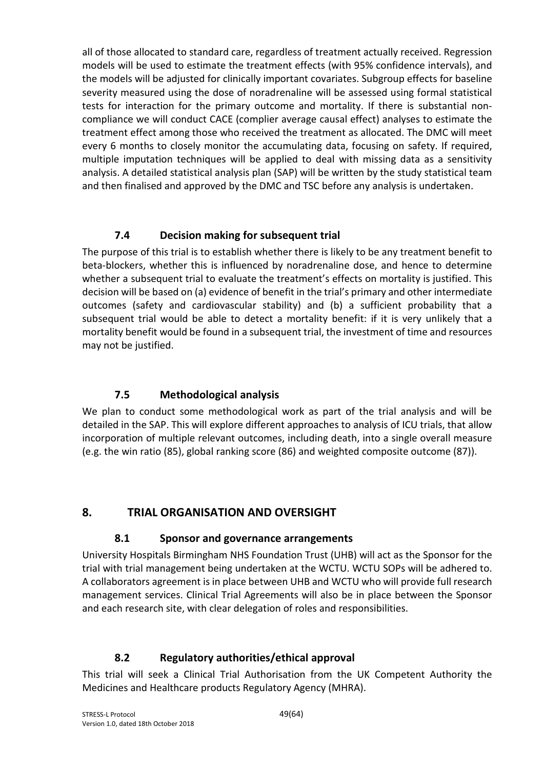all of those allocated to standard care, regardless of treatment actually received. Regression models will be used to estimate the treatment effects (with 95% confidence intervals), and the models will be adjusted for clinically important covariates. Subgroup effects for baseline severity measured using the dose of noradrenaline will be assessed using formal statistical tests for interaction for the primary outcome and mortality. If there is substantial noncompliance we will conduct CACE (complier average causal effect) analyses to estimate the treatment effect among those who received the treatment as allocated. The DMC will meet every 6 months to closely monitor the accumulating data, focusing on safety. If required, multiple imputation techniques will be applied to deal with missing data as a sensitivity analysis. A detailed statistical analysis plan (SAP) will be written by the study statistical team and then finalised and approved by the DMC and TSC before any analysis is undertaken.

# **7.4 Decision making for subsequent trial**

The purpose of this trial is to establish whether there is likely to be any treatment benefit to beta-blockers, whether this is influenced by noradrenaline dose, and hence to determine whether a subsequent trial to evaluate the treatment's effects on mortality is justified. This decision will be based on (a) evidence of benefit in the trial's primary and other intermediate outcomes (safety and cardiovascular stability) and (b) a sufficient probability that a subsequent trial would be able to detect a mortality benefit: if it is very unlikely that a mortality benefit would be found in a subsequent trial, the investment of time and resources may not be justified.

## **7.5 Methodological analysis**

We plan to conduct some methodological work as part of the trial analysis and will be detailed in the SAP. This will explore different approaches to analysis of ICU trials, that allow incorporation of multiple relevant outcomes, including death, into a single overall measure (e.g. the win ratio (85), global ranking score (86) and weighted composite outcome (87)).

# **8. TRIAL ORGANISATION AND OVERSIGHT**

## **8.1 Sponsor and governance arrangements**

University Hospitals Birmingham NHS Foundation Trust (UHB) will act as the Sponsor for the trial with trial management being undertaken at the WCTU. WCTU SOPs will be adhered to. A collaborators agreement is in place between UHB and WCTU who will provide full research management services. Clinical Trial Agreements will also be in place between the Sponsor and each research site, with clear delegation of roles and responsibilities.

## **8.2 Regulatory authorities/ethical approval**

This trial will seek a Clinical Trial Authorisation from the UK Competent Authority the Medicines and Healthcare products Regulatory Agency (MHRA).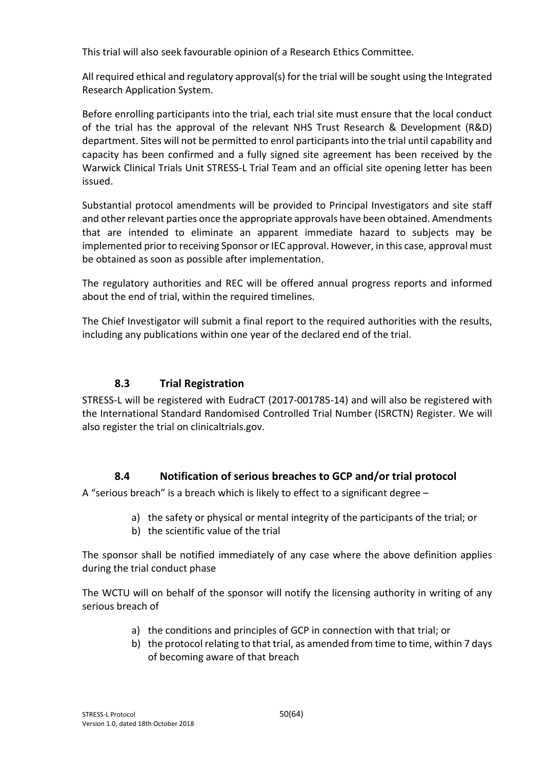This trial will also seek favourable opinion of a Research Ethics Committee.

All required ethical and regulatory approval(s) for the trial will be sought using the Integrated Research Application System.

Before enrolling participants into the trial, each trial site must ensure that the local conduct of the trial has the approval of the relevant NHS Trust Research & Development (R&D) department. Sites will not be permitted to enrol participants into the trial until capability and capacity has been confirmed and a fully signed site agreement has been received by the Warwick Clinical Trials Unit STRESS-L Trial Team and an official site opening letter has been issued.

Substantial protocol amendments will be provided to Principal Investigators and site staff and other relevant parties once the appropriate approvals have been obtained. Amendments that are intended to eliminate an apparent immediate hazard to subjects may be implemented prior to receiving Sponsor or IEC approval. However, in this case, approval must be obtained as soon as possible after implementation.

The regulatory authorities and REC will be offered annual progress reports and informed about the end of trial, within the required timelines.

The Chief Investigator will submit a final report to the required authorities with the results, including any publications within one year of the declared end of the trial.

#### **8.3 Trial Registration**

STRESS-L will be registered with EudraCT (2017-001785-14) and will also be registered with the International Standard Randomised Controlled Trial Number (ISRCTN) Register. We will also register the trial on clinicaltrials.gov.

## **8.4 Notification of serious breaches to GCP and/or trial protocol**

A "serious breach" is a breach which is likely to effect to a significant degree –

- a) the safety or physical or mental integrity of the participants of the trial; or
- b) the scientific value of the trial

The sponsor shall be notified immediately of any case where the above definition applies during the trial conduct phase

The WCTU will on behalf of the sponsor will notify the licensing authority in writing of any serious breach of

- a) the conditions and principles of GCP in connection with that trial; or
- b) the protocol relating to that trial, as amended from time to time, within 7 days of becoming aware of that breach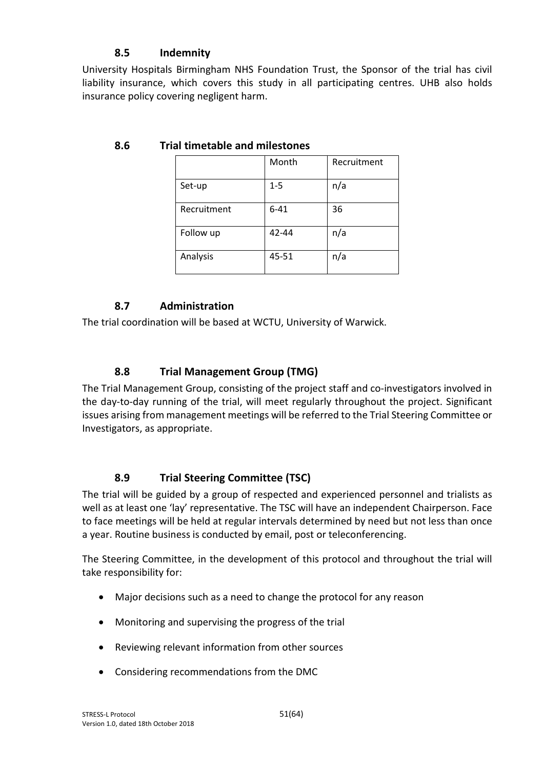# **8.5 Indemnity**

University Hospitals Birmingham NHS Foundation Trust, the Sponsor of the trial has civil liability insurance, which covers this study in all participating centres. UHB also holds insurance policy covering negligent harm.

|             | Month    | Recruitment |
|-------------|----------|-------------|
| Set-up      | $1 - 5$  | n/a         |
| Recruitment | $6 - 41$ | 36          |
| Follow up   | 42-44    | n/a         |
| Analysis    | 45-51    | n/a         |

## **8.6 Trial timetable and milestones**

## **8.7 Administration**

The trial coordination will be based at WCTU, University of Warwick.

#### **8.8 Trial Management Group (TMG)**

The Trial Management Group, consisting of the project staff and co-investigators involved in the day-to-day running of the trial, will meet regularly throughout the project. Significant issues arising from management meetings will be referred to the Trial Steering Committee or Investigators, as appropriate.

#### **8.9 Trial Steering Committee (TSC)**

The trial will be guided by a group of respected and experienced personnel and trialists as well as at least one 'lay' representative. The TSC will have an independent Chairperson. Face to face meetings will be held at regular intervals determined by need but not less than once a year. Routine business is conducted by email, post or teleconferencing.

The Steering Committee, in the development of this protocol and throughout the trial will take responsibility for:

- Major decisions such as a need to change the protocol for any reason
- Monitoring and supervising the progress of the trial
- Reviewing relevant information from other sources
- Considering recommendations from the DMC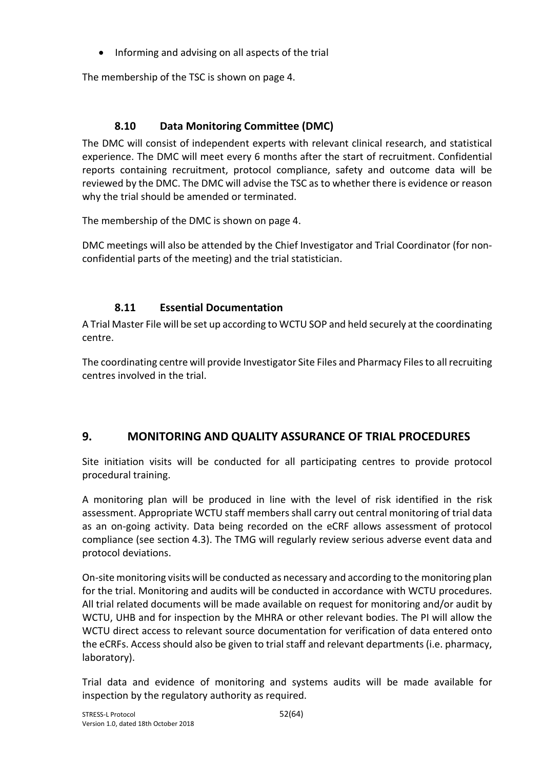• Informing and advising on all aspects of the trial

The membership of the TSC is shown on page 4.

# **8.10 Data Monitoring Committee (DMC)**

The DMC will consist of independent experts with relevant clinical research, and statistical experience. The DMC will meet every 6 months after the start of recruitment. Confidential reports containing recruitment, protocol compliance, safety and outcome data will be reviewed by the DMC. The DMC will advise the TSC as to whether there is evidence or reason why the trial should be amended or terminated.

The membership of the DMC is shown on page 4.

DMC meetings will also be attended by the Chief Investigator and Trial Coordinator (for nonconfidential parts of the meeting) and the trial statistician.

# **8.11 Essential Documentation**

A Trial Master File will be set up according to WCTU SOP and held securely at the coordinating centre.

The coordinating centre will provide Investigator Site Files and Pharmacy Files to all recruiting centres involved in the trial.

# **9. MONITORING AND QUALITY ASSURANCE OF TRIAL PROCEDURES**

Site initiation visits will be conducted for all participating centres to provide protocol procedural training.

A monitoring plan will be produced in line with the level of risk identified in the risk assessment. Appropriate WCTU staff members shall carry out central monitoring of trial data as an on-going activity. Data being recorded on the eCRF allows assessment of protocol compliance (see section 4.3). The TMG will regularly review serious adverse event data and protocol deviations.

On-site monitoring visits will be conducted as necessary and according to the monitoring plan for the trial. Monitoring and audits will be conducted in accordance with WCTU procedures. All trial related documents will be made available on request for monitoring and/or audit by WCTU, UHB and for inspection by the MHRA or other relevant bodies. The PI will allow the WCTU direct access to relevant source documentation for verification of data entered onto the eCRFs. Access should also be given to trial staff and relevant departments (i.e. pharmacy, laboratory).

Trial data and evidence of monitoring and systems audits will be made available for inspection by the regulatory authority as required.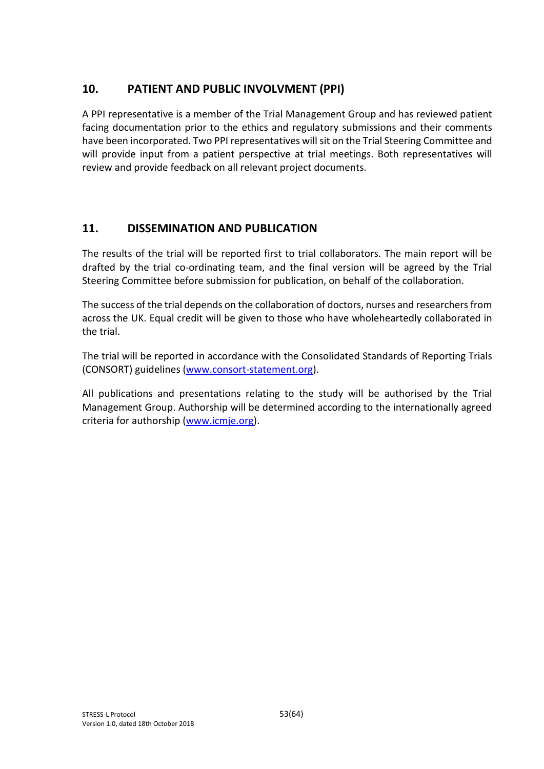# **10. PATIENT AND PUBLIC INVOLVMENT (PPI)**

A PPI representative is a member of the Trial Management Group and has reviewed patient facing documentation prior to the ethics and regulatory submissions and their comments have been incorporated. Two PPI representatives will sit on the Trial Steering Committee and will provide input from a patient perspective at trial meetings. Both representatives will review and provide feedback on all relevant project documents.

# **11. DISSEMINATION AND PUBLICATION**

The results of the trial will be reported first to trial collaborators. The main report will be drafted by the trial co-ordinating team, and the final version will be agreed by the Trial Steering Committee before submission for publication, on behalf of the collaboration.

The success of the trial depends on the collaboration of doctors, nurses and researchers from across the UK. Equal credit will be given to those who have wholeheartedly collaborated in the trial.

The trial will be reported in accordance with the Consolidated Standards of Reporting Trials (CONSORT) guidelines (www.consort-statement.org).

All publications and presentations relating to the study will be authorised by the Trial Management Group. Authorship will be determined according to the internationally agreed criteria for authorship (www.icmje.org).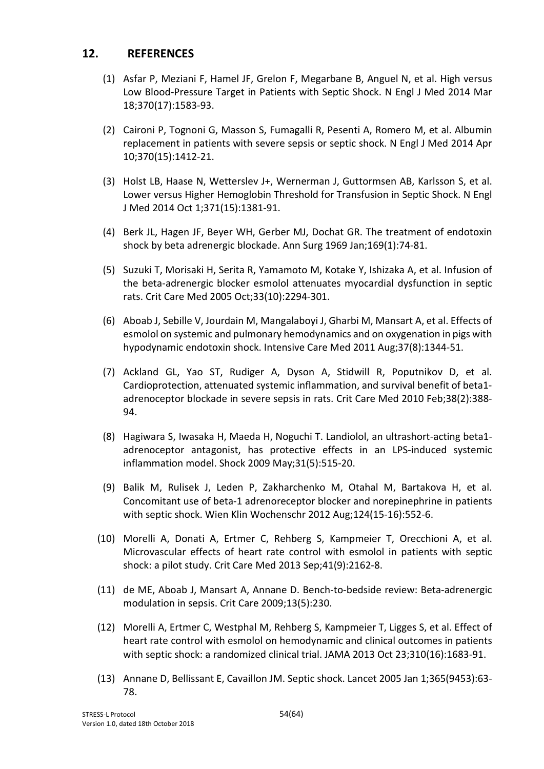#### **12. REFERENCES**

- (1) Asfar P, Meziani F, Hamel JF, Grelon F, Megarbane B, Anguel N, et al. High versus Low Blood-Pressure Target in Patients with Septic Shock. N Engl J Med 2014 Mar 18;370(17):1583-93.
- (2) Caironi P, Tognoni G, Masson S, Fumagalli R, Pesenti A, Romero M, et al. Albumin replacement in patients with severe sepsis or septic shock. N Engl J Med 2014 Apr 10;370(15):1412-21.
- (3) Holst LB, Haase N, Wetterslev J+, Wernerman J, Guttormsen AB, Karlsson S, et al. Lower versus Higher Hemoglobin Threshold for Transfusion in Septic Shock. N Engl J Med 2014 Oct 1;371(15):1381-91.
- (4) Berk JL, Hagen JF, Beyer WH, Gerber MJ, Dochat GR. The treatment of endotoxin shock by beta adrenergic blockade. Ann Surg 1969 Jan;169(1):74-81.
- (5) Suzuki T, Morisaki H, Serita R, Yamamoto M, Kotake Y, Ishizaka A, et al. Infusion of the beta-adrenergic blocker esmolol attenuates myocardial dysfunction in septic rats. Crit Care Med 2005 Oct;33(10):2294-301.
- (6) Aboab J, Sebille V, Jourdain M, Mangalaboyi J, Gharbi M, Mansart A, et al. Effects of esmolol on systemic and pulmonary hemodynamics and on oxygenation in pigs with hypodynamic endotoxin shock. Intensive Care Med 2011 Aug;37(8):1344-51.
- (7) Ackland GL, Yao ST, Rudiger A, Dyson A, Stidwill R, Poputnikov D, et al. Cardioprotection, attenuated systemic inflammation, and survival benefit of beta1 adrenoceptor blockade in severe sepsis in rats. Crit Care Med 2010 Feb;38(2):388- 94.
- (8) Hagiwara S, Iwasaka H, Maeda H, Noguchi T. Landiolol, an ultrashort-acting beta1 adrenoceptor antagonist, has protective effects in an LPS-induced systemic inflammation model. Shock 2009 May;31(5):515-20.
- (9) Balik M, Rulisek J, Leden P, Zakharchenko M, Otahal M, Bartakova H, et al. Concomitant use of beta-1 adrenoreceptor blocker and norepinephrine in patients with septic shock. Wien Klin Wochenschr 2012 Aug;124(15-16):552-6.
- (10) Morelli A, Donati A, Ertmer C, Rehberg S, Kampmeier T, Orecchioni A, et al. Microvascular effects of heart rate control with esmolol in patients with septic shock: a pilot study. Crit Care Med 2013 Sep;41(9):2162-8.
- (11) de ME, Aboab J, Mansart A, Annane D. Bench-to-bedside review: Beta-adrenergic modulation in sepsis. Crit Care 2009;13(5):230.
- (12) Morelli A, Ertmer C, Westphal M, Rehberg S, Kampmeier T, Ligges S, et al. Effect of heart rate control with esmolol on hemodynamic and clinical outcomes in patients with septic shock: a randomized clinical trial. JAMA 2013 Oct 23;310(16):1683-91.
- (13) Annane D, Bellissant E, Cavaillon JM. Septic shock. Lancet 2005 Jan 1;365(9453):63- 78.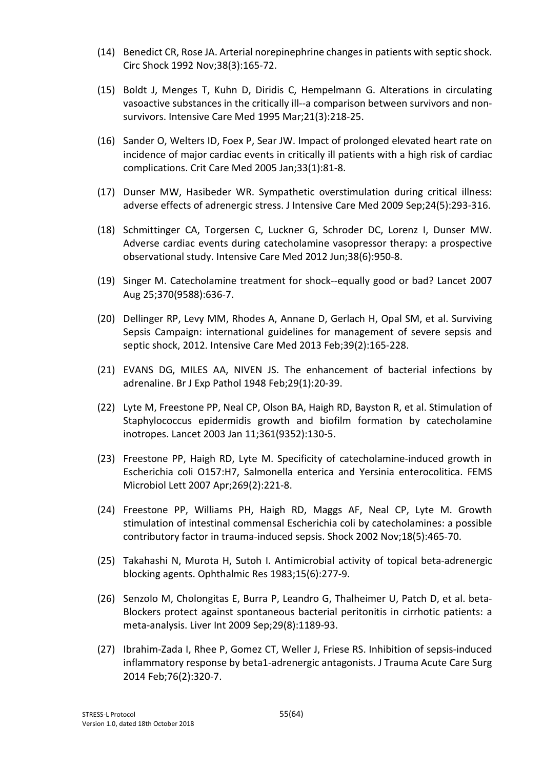- (14) Benedict CR, Rose JA. Arterial norepinephrine changes in patients with septic shock. Circ Shock 1992 Nov;38(3):165-72.
- (15) Boldt J, Menges T, Kuhn D, Diridis C, Hempelmann G. Alterations in circulating vasoactive substances in the critically ill--a comparison between survivors and nonsurvivors. Intensive Care Med 1995 Mar;21(3):218-25.
- (16) Sander O, Welters ID, Foex P, Sear JW. Impact of prolonged elevated heart rate on incidence of major cardiac events in critically ill patients with a high risk of cardiac complications. Crit Care Med 2005 Jan;33(1):81-8.
- (17) Dunser MW, Hasibeder WR. Sympathetic overstimulation during critical illness: adverse effects of adrenergic stress. J Intensive Care Med 2009 Sep;24(5):293-316.
- (18) Schmittinger CA, Torgersen C, Luckner G, Schroder DC, Lorenz I, Dunser MW. Adverse cardiac events during catecholamine vasopressor therapy: a prospective observational study. Intensive Care Med 2012 Jun;38(6):950-8.
- (19) Singer M. Catecholamine treatment for shock--equally good or bad? Lancet 2007 Aug 25;370(9588):636-7.
- (20) Dellinger RP, Levy MM, Rhodes A, Annane D, Gerlach H, Opal SM, et al. Surviving Sepsis Campaign: international guidelines for management of severe sepsis and septic shock, 2012. Intensive Care Med 2013 Feb;39(2):165-228.
- (21) EVANS DG, MILES AA, NIVEN JS. The enhancement of bacterial infections by adrenaline. Br J Exp Pathol 1948 Feb;29(1):20-39.
- (22) Lyte M, Freestone PP, Neal CP, Olson BA, Haigh RD, Bayston R, et al. Stimulation of Staphylococcus epidermidis growth and biofilm formation by catecholamine inotropes. Lancet 2003 Jan 11;361(9352):130-5.
- (23) Freestone PP, Haigh RD, Lyte M. Specificity of catecholamine-induced growth in Escherichia coli O157:H7, Salmonella enterica and Yersinia enterocolitica. FEMS Microbiol Lett 2007 Apr;269(2):221-8.
- (24) Freestone PP, Williams PH, Haigh RD, Maggs AF, Neal CP, Lyte M. Growth stimulation of intestinal commensal Escherichia coli by catecholamines: a possible contributory factor in trauma-induced sepsis. Shock 2002 Nov;18(5):465-70.
- (25) Takahashi N, Murota H, Sutoh I. Antimicrobial activity of topical beta-adrenergic blocking agents. Ophthalmic Res 1983;15(6):277-9.
- (26) Senzolo M, Cholongitas E, Burra P, Leandro G, Thalheimer U, Patch D, et al. beta-Blockers protect against spontaneous bacterial peritonitis in cirrhotic patients: a meta-analysis. Liver Int 2009 Sep;29(8):1189-93.
- (27) Ibrahim-Zada I, Rhee P, Gomez CT, Weller J, Friese RS. Inhibition of sepsis-induced inflammatory response by beta1-adrenergic antagonists. J Trauma Acute Care Surg 2014 Feb;76(2):320-7.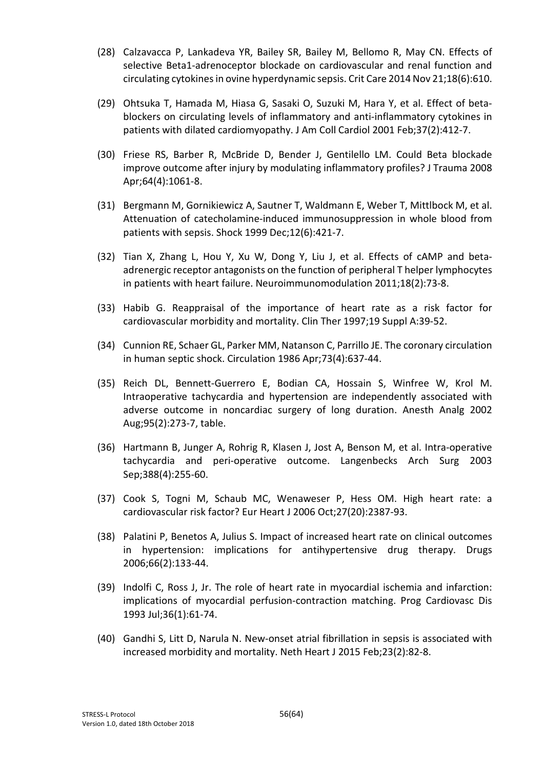- (28) Calzavacca P, Lankadeva YR, Bailey SR, Bailey M, Bellomo R, May CN. Effects of selective Beta1-adrenoceptor blockade on cardiovascular and renal function and circulating cytokines in ovine hyperdynamic sepsis. Crit Care 2014 Nov 21;18(6):610.
- (29) Ohtsuka T, Hamada M, Hiasa G, Sasaki O, Suzuki M, Hara Y, et al. Effect of betablockers on circulating levels of inflammatory and anti-inflammatory cytokines in patients with dilated cardiomyopathy. J Am Coll Cardiol 2001 Feb;37(2):412-7.
- (30) Friese RS, Barber R, McBride D, Bender J, Gentilello LM. Could Beta blockade improve outcome after injury by modulating inflammatory profiles? J Trauma 2008 Apr;64(4):1061-8.
- (31) Bergmann M, Gornikiewicz A, Sautner T, Waldmann E, Weber T, Mittlbock M, et al. Attenuation of catecholamine-induced immunosuppression in whole blood from patients with sepsis. Shock 1999 Dec;12(6):421-7.
- (32) Tian X, Zhang L, Hou Y, Xu W, Dong Y, Liu J, et al. Effects of cAMP and betaadrenergic receptor antagonists on the function of peripheral T helper lymphocytes in patients with heart failure. Neuroimmunomodulation 2011;18(2):73-8.
- (33) Habib G. Reappraisal of the importance of heart rate as a risk factor for cardiovascular morbidity and mortality. Clin Ther 1997;19 Suppl A:39-52.
- (34) Cunnion RE, Schaer GL, Parker MM, Natanson C, Parrillo JE. The coronary circulation in human septic shock. Circulation 1986 Apr;73(4):637-44.
- (35) Reich DL, Bennett-Guerrero E, Bodian CA, Hossain S, Winfree W, Krol M. Intraoperative tachycardia and hypertension are independently associated with adverse outcome in noncardiac surgery of long duration. Anesth Analg 2002 Aug;95(2):273-7, table.
- (36) Hartmann B, Junger A, Rohrig R, Klasen J, Jost A, Benson M, et al. Intra-operative tachycardia and peri-operative outcome. Langenbecks Arch Surg 2003 Sep;388(4):255-60.
- (37) Cook S, Togni M, Schaub MC, Wenaweser P, Hess OM. High heart rate: a cardiovascular risk factor? Eur Heart J 2006 Oct;27(20):2387-93.
- (38) Palatini P, Benetos A, Julius S. Impact of increased heart rate on clinical outcomes in hypertension: implications for antihypertensive drug therapy. Drugs 2006;66(2):133-44.
- (39) Indolfi C, Ross J, Jr. The role of heart rate in myocardial ischemia and infarction: implications of myocardial perfusion-contraction matching. Prog Cardiovasc Dis 1993 Jul;36(1):61-74.
- (40) Gandhi S, Litt D, Narula N. New-onset atrial fibrillation in sepsis is associated with increased morbidity and mortality. Neth Heart J 2015 Feb;23(2):82-8.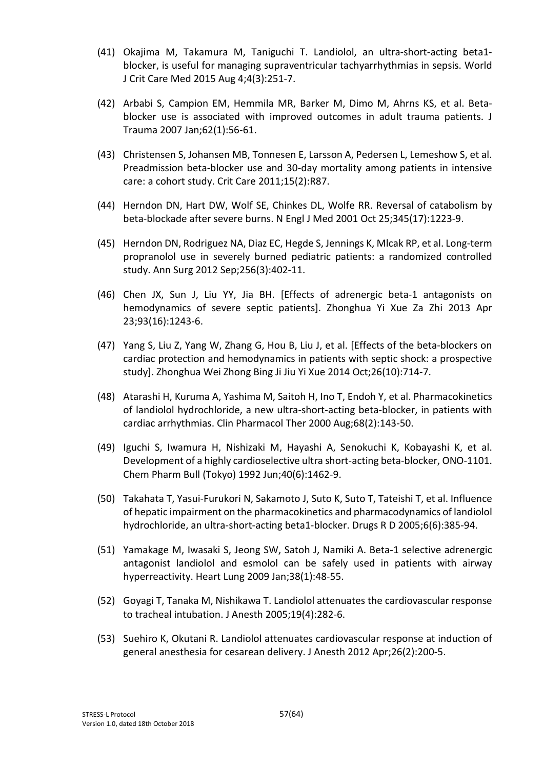- (41) Okajima M, Takamura M, Taniguchi T. Landiolol, an ultra-short-acting beta1 blocker, is useful for managing supraventricular tachyarrhythmias in sepsis. World J Crit Care Med 2015 Aug 4;4(3):251-7.
- (42) Arbabi S, Campion EM, Hemmila MR, Barker M, Dimo M, Ahrns KS, et al. Betablocker use is associated with improved outcomes in adult trauma patients. J Trauma 2007 Jan;62(1):56-61.
- (43) Christensen S, Johansen MB, Tonnesen E, Larsson A, Pedersen L, Lemeshow S, et al. Preadmission beta-blocker use and 30-day mortality among patients in intensive care: a cohort study. Crit Care 2011;15(2):R87.
- (44) Herndon DN, Hart DW, Wolf SE, Chinkes DL, Wolfe RR. Reversal of catabolism by beta-blockade after severe burns. N Engl J Med 2001 Oct 25;345(17):1223-9.
- (45) Herndon DN, Rodriguez NA, Diaz EC, Hegde S, Jennings K, Mlcak RP, et al. Long-term propranolol use in severely burned pediatric patients: a randomized controlled study. Ann Surg 2012 Sep;256(3):402-11.
- (46) Chen JX, Sun J, Liu YY, Jia BH. [Effects of adrenergic beta-1 antagonists on hemodynamics of severe septic patients]. Zhonghua Yi Xue Za Zhi 2013 Apr 23;93(16):1243-6.
- (47) Yang S, Liu Z, Yang W, Zhang G, Hou B, Liu J, et al. [Effects of the beta-blockers on cardiac protection and hemodynamics in patients with septic shock: a prospective study]. Zhonghua Wei Zhong Bing Ji Jiu Yi Xue 2014 Oct;26(10):714-7.
- (48) Atarashi H, Kuruma A, Yashima M, Saitoh H, Ino T, Endoh Y, et al. Pharmacokinetics of landiolol hydrochloride, a new ultra-short-acting beta-blocker, in patients with cardiac arrhythmias. Clin Pharmacol Ther 2000 Aug;68(2):143-50.
- (49) Iguchi S, Iwamura H, Nishizaki M, Hayashi A, Senokuchi K, Kobayashi K, et al. Development of a highly cardioselective ultra short-acting beta-blocker, ONO-1101. Chem Pharm Bull (Tokyo) 1992 Jun;40(6):1462-9.
- (50) Takahata T, Yasui-Furukori N, Sakamoto J, Suto K, Suto T, Tateishi T, et al. Influence of hepatic impairment on the pharmacokinetics and pharmacodynamics of landiolol hydrochloride, an ultra-short-acting beta1-blocker. Drugs R D 2005;6(6):385-94.
- (51) Yamakage M, Iwasaki S, Jeong SW, Satoh J, Namiki A. Beta-1 selective adrenergic antagonist landiolol and esmolol can be safely used in patients with airway hyperreactivity. Heart Lung 2009 Jan;38(1):48-55.
- (52) Goyagi T, Tanaka M, Nishikawa T. Landiolol attenuates the cardiovascular response to tracheal intubation. J Anesth 2005;19(4):282-6.
- (53) Suehiro K, Okutani R. Landiolol attenuates cardiovascular response at induction of general anesthesia for cesarean delivery. J Anesth 2012 Apr;26(2):200-5.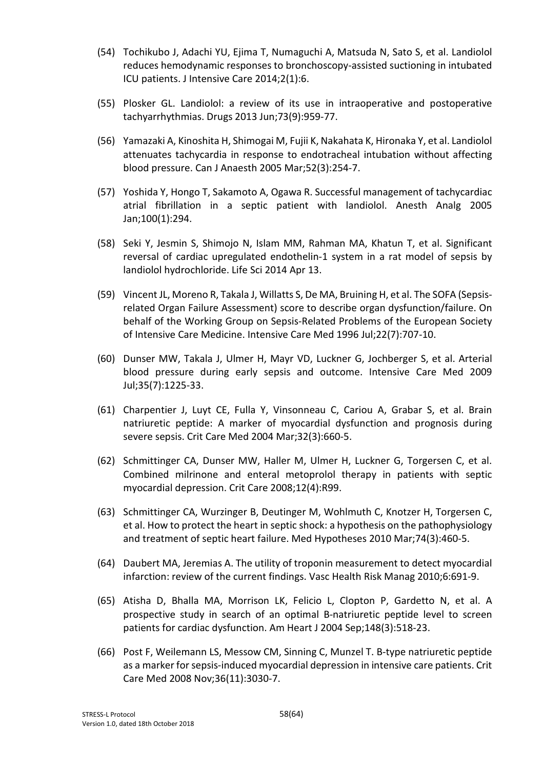- (54) Tochikubo J, Adachi YU, Ejima T, Numaguchi A, Matsuda N, Sato S, et al. Landiolol reduces hemodynamic responses to bronchoscopy-assisted suctioning in intubated ICU patients. J Intensive Care 2014;2(1):6.
- (55) Plosker GL. Landiolol: a review of its use in intraoperative and postoperative tachyarrhythmias. Drugs 2013 Jun;73(9):959-77.
- (56) Yamazaki A, Kinoshita H, Shimogai M, Fujii K, Nakahata K, Hironaka Y, et al. Landiolol attenuates tachycardia in response to endotracheal intubation without affecting blood pressure. Can J Anaesth 2005 Mar;52(3):254-7.
- (57) Yoshida Y, Hongo T, Sakamoto A, Ogawa R. Successful management of tachycardiac atrial fibrillation in a septic patient with landiolol. Anesth Analg 2005 Jan;100(1):294.
- (58) Seki Y, Jesmin S, Shimojo N, Islam MM, Rahman MA, Khatun T, et al. Significant reversal of cardiac upregulated endothelin-1 system in a rat model of sepsis by landiolol hydrochloride. Life Sci 2014 Apr 13.
- (59) Vincent JL, Moreno R, Takala J, Willatts S, De MA, Bruining H, et al. The SOFA (Sepsisrelated Organ Failure Assessment) score to describe organ dysfunction/failure. On behalf of the Working Group on Sepsis-Related Problems of the European Society of Intensive Care Medicine. Intensive Care Med 1996 Jul;22(7):707-10.
- (60) Dunser MW, Takala J, Ulmer H, Mayr VD, Luckner G, Jochberger S, et al. Arterial blood pressure during early sepsis and outcome. Intensive Care Med 2009 Jul;35(7):1225-33.
- (61) Charpentier J, Luyt CE, Fulla Y, Vinsonneau C, Cariou A, Grabar S, et al. Brain natriuretic peptide: A marker of myocardial dysfunction and prognosis during severe sepsis. Crit Care Med 2004 Mar;32(3):660-5.
- (62) Schmittinger CA, Dunser MW, Haller M, Ulmer H, Luckner G, Torgersen C, et al. Combined milrinone and enteral metoprolol therapy in patients with septic myocardial depression. Crit Care 2008;12(4):R99.
- (63) Schmittinger CA, Wurzinger B, Deutinger M, Wohlmuth C, Knotzer H, Torgersen C, et al. How to protect the heart in septic shock: a hypothesis on the pathophysiology and treatment of septic heart failure. Med Hypotheses 2010 Mar;74(3):460-5.
- (64) Daubert MA, Jeremias A. The utility of troponin measurement to detect myocardial infarction: review of the current findings. Vasc Health Risk Manag 2010;6:691-9.
- (65) Atisha D, Bhalla MA, Morrison LK, Felicio L, Clopton P, Gardetto N, et al. A prospective study in search of an optimal B-natriuretic peptide level to screen patients for cardiac dysfunction. Am Heart J 2004 Sep;148(3):518-23.
- (66) Post F, Weilemann LS, Messow CM, Sinning C, Munzel T. B-type natriuretic peptide as a marker for sepsis-induced myocardial depression in intensive care patients. Crit Care Med 2008 Nov;36(11):3030-7.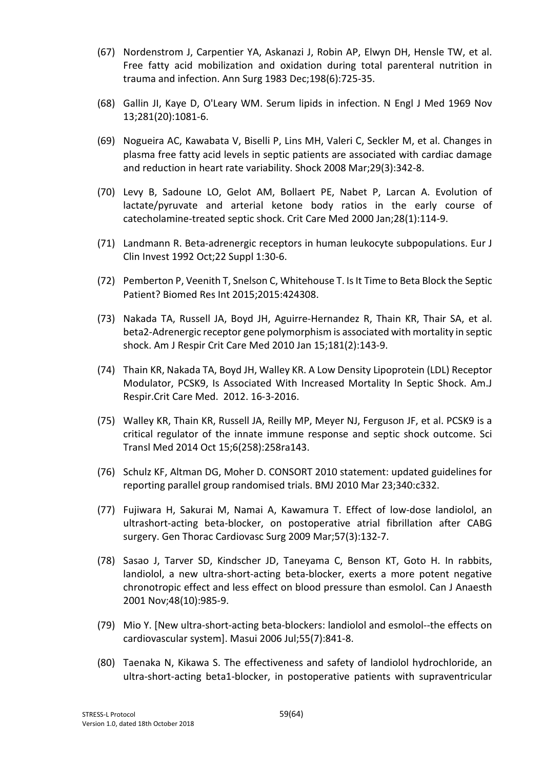- (67) Nordenstrom J, Carpentier YA, Askanazi J, Robin AP, Elwyn DH, Hensle TW, et al. Free fatty acid mobilization and oxidation during total parenteral nutrition in trauma and infection. Ann Surg 1983 Dec;198(6):725-35.
- (68) Gallin JI, Kaye D, O'Leary WM. Serum lipids in infection. N Engl J Med 1969 Nov 13;281(20):1081-6.
- (69) Nogueira AC, Kawabata V, Biselli P, Lins MH, Valeri C, Seckler M, et al. Changes in plasma free fatty acid levels in septic patients are associated with cardiac damage and reduction in heart rate variability. Shock 2008 Mar;29(3):342-8.
- (70) Levy B, Sadoune LO, Gelot AM, Bollaert PE, Nabet P, Larcan A. Evolution of lactate/pyruvate and arterial ketone body ratios in the early course of catecholamine-treated septic shock. Crit Care Med 2000 Jan;28(1):114-9.
- (71) Landmann R. Beta-adrenergic receptors in human leukocyte subpopulations. Eur J Clin Invest 1992 Oct;22 Suppl 1:30-6.
- (72) Pemberton P, Veenith T, Snelson C, Whitehouse T. Is It Time to Beta Block the Septic Patient? Biomed Res Int 2015;2015:424308.
- (73) Nakada TA, Russell JA, Boyd JH, Aguirre-Hernandez R, Thain KR, Thair SA, et al. beta2-Adrenergic receptor gene polymorphism is associated with mortality in septic shock. Am J Respir Crit Care Med 2010 Jan 15;181(2):143-9.
- (74) Thain KR, Nakada TA, Boyd JH, Walley KR. A Low Density Lipoprotein (LDL) Receptor Modulator, PCSK9, Is Associated With Increased Mortality In Septic Shock. Am.J Respir.Crit Care Med. 2012. 16-3-2016.
- (75) Walley KR, Thain KR, Russell JA, Reilly MP, Meyer NJ, Ferguson JF, et al. PCSK9 is a critical regulator of the innate immune response and septic shock outcome. Sci Transl Med 2014 Oct 15;6(258):258ra143.
- (76) Schulz KF, Altman DG, Moher D. CONSORT 2010 statement: updated guidelines for reporting parallel group randomised trials. BMJ 2010 Mar 23;340:c332.
- (77) Fujiwara H, Sakurai M, Namai A, Kawamura T. Effect of low-dose landiolol, an ultrashort-acting beta-blocker, on postoperative atrial fibrillation after CABG surgery. Gen Thorac Cardiovasc Surg 2009 Mar;57(3):132-7.
- (78) Sasao J, Tarver SD, Kindscher JD, Taneyama C, Benson KT, Goto H. In rabbits, landiolol, a new ultra-short-acting beta-blocker, exerts a more potent negative chronotropic effect and less effect on blood pressure than esmolol. Can J Anaesth 2001 Nov;48(10):985-9.
- (79) Mio Y. [New ultra-short-acting beta-blockers: landiolol and esmolol--the effects on cardiovascular system]. Masui 2006 Jul;55(7):841-8.
- (80) Taenaka N, Kikawa S. The effectiveness and safety of landiolol hydrochloride, an ultra-short-acting beta1-blocker, in postoperative patients with supraventricular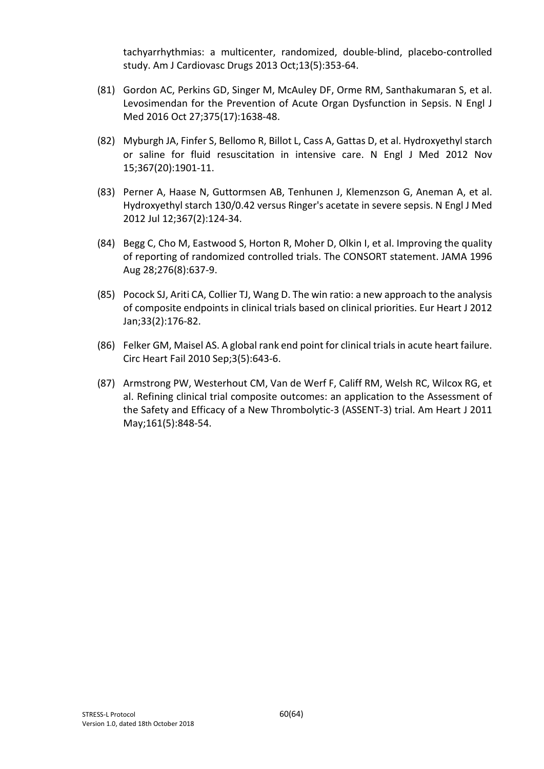tachyarrhythmias: a multicenter, randomized, double-blind, placebo-controlled study. Am J Cardiovasc Drugs 2013 Oct;13(5):353-64.

- (81) Gordon AC, Perkins GD, Singer M, McAuley DF, Orme RM, Santhakumaran S, et al. Levosimendan for the Prevention of Acute Organ Dysfunction in Sepsis. N Engl J Med 2016 Oct 27;375(17):1638-48.
- (82) Myburgh JA, Finfer S, Bellomo R, Billot L, Cass A, Gattas D, et al. Hydroxyethyl starch or saline for fluid resuscitation in intensive care. N Engl J Med 2012 Nov 15;367(20):1901-11.
- (83) Perner A, Haase N, Guttormsen AB, Tenhunen J, Klemenzson G, Aneman A, et al. Hydroxyethyl starch 130/0.42 versus Ringer's acetate in severe sepsis. N Engl J Med 2012 Jul 12;367(2):124-34.
- (84) Begg C, Cho M, Eastwood S, Horton R, Moher D, Olkin I, et al. Improving the quality of reporting of randomized controlled trials. The CONSORT statement. JAMA 1996 Aug 28;276(8):637-9.
- (85) Pocock SJ, Ariti CA, Collier TJ, Wang D. The win ratio: a new approach to the analysis of composite endpoints in clinical trials based on clinical priorities. Eur Heart J 2012 Jan;33(2):176-82.
- (86) Felker GM, Maisel AS. A global rank end point for clinical trials in acute heart failure. Circ Heart Fail 2010 Sep;3(5):643-6.
- (87) Armstrong PW, Westerhout CM, Van de Werf F, Califf RM, Welsh RC, Wilcox RG, et al. Refining clinical trial composite outcomes: an application to the Assessment of the Safety and Efficacy of a New Thrombolytic-3 (ASSENT-3) trial. Am Heart J 2011 May;161(5):848-54.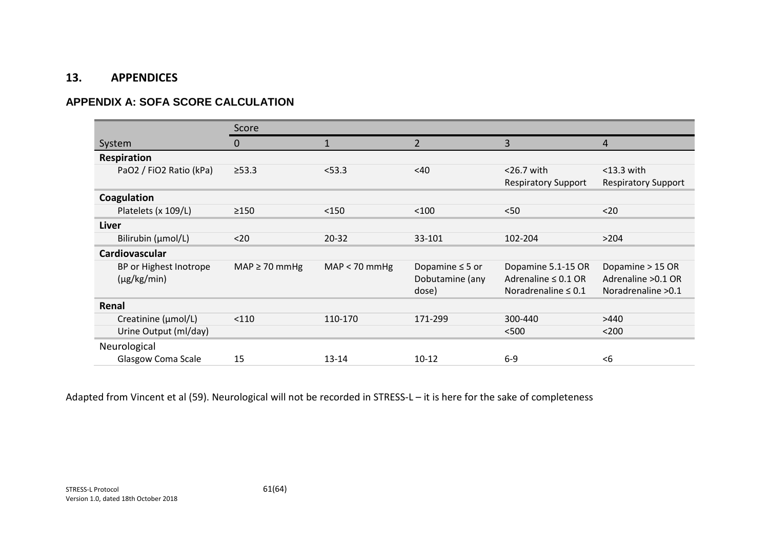#### **13. APPENDICES**

## **APPENDIX A: SOFA SCORE CALCULATION**

|                           | Score              |                 |                      |                            |                            |
|---------------------------|--------------------|-----------------|----------------------|----------------------------|----------------------------|
| System                    | 0                  |                 | $\overline{2}$       | 3                          | 4                          |
| Respiration               |                    |                 |                      |                            |                            |
| PaO2 / FiO2 Ratio (kPa)   | $\geq 53.3$        | < 53.3          | <40                  | $<$ 26.7 with              | $<$ 13.3 with              |
|                           |                    |                 |                      | <b>Respiratory Support</b> | <b>Respiratory Support</b> |
| Coagulation               |                    |                 |                      |                            |                            |
| Platelets (x 109/L)       | $\geq$ 150         | $<$ 150         | $<$ 100              | < 50                       | $20$                       |
| Liver                     |                    |                 |                      |                            |                            |
| Bilirubin (µmol/L)        | $20$               | $20 - 32$       | 33-101               | 102-204                    | >204                       |
| Cardiovascular            |                    |                 |                      |                            |                            |
| BP or Highest Inotrope    | $MAP \geq 70$ mmHg | $MAP < 70$ mmHg | Dopamine $\leq$ 5 or | Dopamine 5.1-15 OR         | Dopamine > 15 OR           |
| $(\mu g/kg/min)$          |                    |                 | Dobutamine (any      | Adrenaline $\leq 0.1$ OR   | Adrenaline > 0.1 OR        |
|                           |                    |                 | dose)                | Noradrenaline $\leq 0.1$   | Noradrenaline > 0.1        |
| Renal                     |                    |                 |                      |                            |                            |
| Creatinine (µmol/L)       | < 110              | 110-170         | 171-299              | 300-440                    | >440                       |
| Urine Output (ml/day)     |                    |                 |                      | < 500                      | $200$                      |
| Neurological              |                    |                 |                      |                            |                            |
| <b>Glasgow Coma Scale</b> | 15                 | $13 - 14$       | $10 - 12$            | $6-9$                      | $6$                        |

Adapted from Vincent et al (59). Neurological will not be recorded in STRESS-L – it is here for the sake of completeness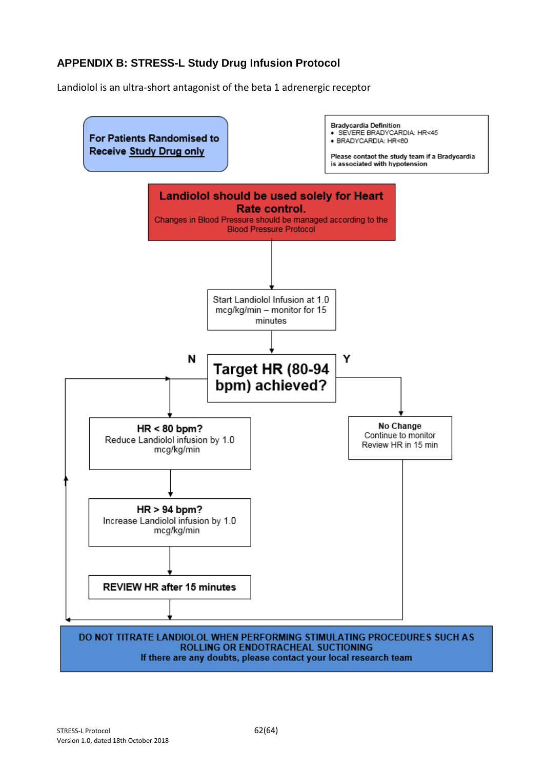## **APPENDIX B: STRESS-L Study Drug Infusion Protocol**

Landiolol is an ultra-short antagonist of the beta 1 adrenergic receptor



If there are any doubts, please contact your local research team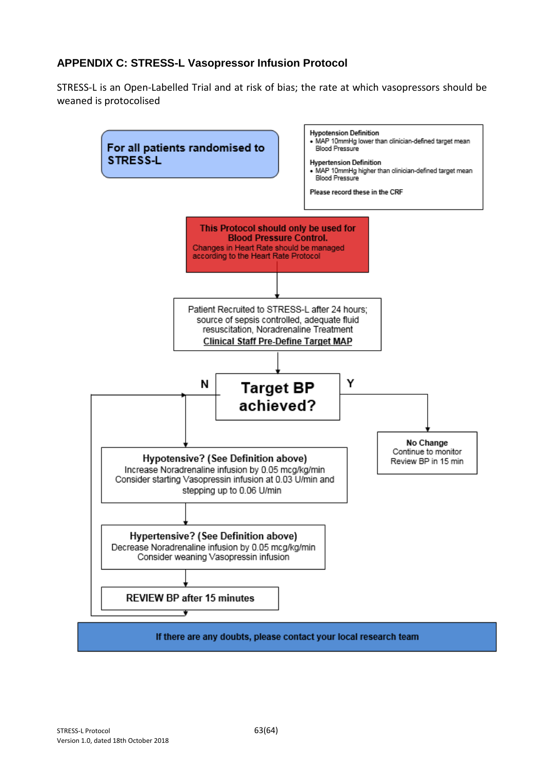## **APPENDIX C: STRESS-L Vasopressor Infusion Protocol**

STRESS-L is an Open-Labelled Trial and at risk of bias; the rate at which vasopressors should be weaned is protocolised